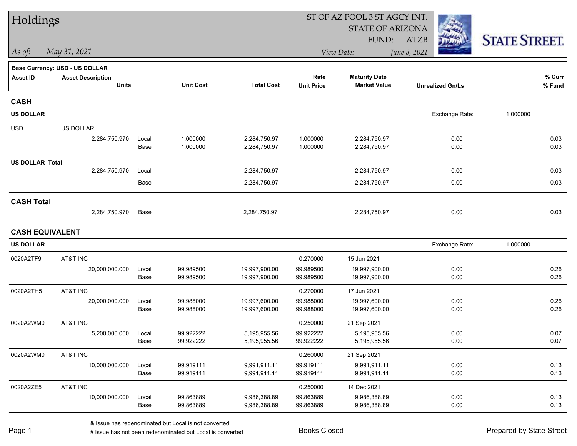| Holdings               |                                |               |                        |                              |                        | ST OF AZ POOL 3 ST AGCY INT. |                         |                      |
|------------------------|--------------------------------|---------------|------------------------|------------------------------|------------------------|------------------------------|-------------------------|----------------------|
|                        |                                |               |                        |                              |                        | <b>STATE OF ARIZONA</b>      |                         |                      |
|                        |                                |               |                        |                              |                        | FUND:                        | <b>ATZB</b>             | <b>STATE STREET.</b> |
| As of:                 | May 31, 2021                   |               |                        |                              |                        | View Date:                   | June 8, 2021            |                      |
|                        | Base Currency: USD - US DOLLAR |               |                        |                              |                        |                              |                         |                      |
| <b>Asset ID</b>        | <b>Asset Description</b>       |               |                        |                              | Rate                   | <b>Maturity Date</b>         |                         | % Curr               |
|                        | <b>Units</b>                   |               | <b>Unit Cost</b>       | <b>Total Cost</b>            | <b>Unit Price</b>      | <b>Market Value</b>          | <b>Unrealized Gn/Ls</b> | % Fund               |
| <b>CASH</b>            |                                |               |                        |                              |                        |                              |                         |                      |
| <b>US DOLLAR</b>       |                                |               |                        |                              |                        |                              | Exchange Rate:          | 1.000000             |
| <b>USD</b>             | US DOLLAR                      |               |                        |                              |                        |                              |                         |                      |
|                        | 2,284,750.970                  | Local         | 1.000000               | 2,284,750.97                 | 1.000000               | 2,284,750.97                 | 0.00                    | 0.03                 |
|                        |                                | Base          | 1.000000               | 2,284,750.97                 | 1.000000               | 2,284,750.97                 | 0.00                    | 0.03                 |
| <b>US DOLLAR Total</b> |                                |               |                        |                              |                        |                              |                         |                      |
|                        | 2,284,750.970                  | Local         |                        | 2,284,750.97                 |                        | 2,284,750.97                 | 0.00                    | 0.03                 |
|                        |                                | Base          |                        | 2,284,750.97                 |                        | 2,284,750.97                 | 0.00                    | 0.03                 |
| <b>CASH Total</b>      |                                |               |                        |                              |                        |                              |                         |                      |
|                        | 2,284,750.970                  | Base          |                        | 2,284,750.97                 |                        | 2,284,750.97                 | 0.00                    | 0.03                 |
| <b>CASH EQUIVALENT</b> |                                |               |                        |                              |                        |                              |                         |                      |
| <b>US DOLLAR</b>       |                                |               |                        |                              |                        |                              | Exchange Rate:          | 1.000000             |
| 0020A2TF9              | AT&T INC                       |               |                        |                              | 0.270000               | 15 Jun 2021                  |                         |                      |
|                        | 20,000,000.000                 | Local         | 99.989500              | 19,997,900.00                | 99.989500              | 19,997,900.00                | 0.00                    | 0.26                 |
|                        |                                | Base          | 99.989500              | 19,997,900.00                | 99.989500              | 19,997,900.00                | 0.00                    | 0.26                 |
| 0020A2TH5              | AT&T INC                       |               |                        |                              | 0.270000               | 17 Jun 2021                  |                         |                      |
|                        | 20,000,000.000                 | Local         | 99.988000              | 19,997,600.00                | 99.988000              | 19,997,600.00                | 0.00                    | 0.26                 |
|                        |                                | Base          | 99.988000              | 19,997,600.00                | 99.988000              | 19,997,600.00                | 0.00                    | 0.26                 |
| 0020A2WM0              | AT&T INC                       |               |                        |                              | 0.250000               | 21 Sep 2021                  |                         |                      |
|                        | 5,200,000.000                  | Local         | 99.922222              | 5,195,955.56                 | 99.922222              | 5,195,955.56                 | 0.00                    | 0.07<br>0.07         |
|                        |                                | Base          | 99.922222              | 5,195,955.56                 | 99.922222              | 5,195,955.56                 | 0.00                    |                      |
| 0020A2WM0              | AT&T INC                       |               |                        |                              | 0.260000               | 21 Sep 2021                  |                         |                      |
|                        | 10,000,000.000                 | Local<br>Base | 99.919111<br>99.919111 | 9,991,911.11<br>9,991,911.11 | 99.919111<br>99.919111 | 9,991,911.11<br>9,991,911.11 | 0.00<br>0.00            | 0.13<br>0.13         |
|                        |                                |               |                        |                              |                        |                              |                         |                      |
| 0020A2ZE5              | AT&T INC                       |               |                        |                              | 0.250000               | 14 Dec 2021                  |                         |                      |
|                        | 10,000,000.000                 | Local<br>Base | 99.863889<br>99.863889 | 9,986,388.89<br>9,986,388.89 | 99.863889<br>99.863889 | 9,986,388.89<br>9,986,388.89 | 0.00<br>0.00            | 0.13<br>0.13         |
|                        |                                |               |                        |                              |                        |                              |                         |                      |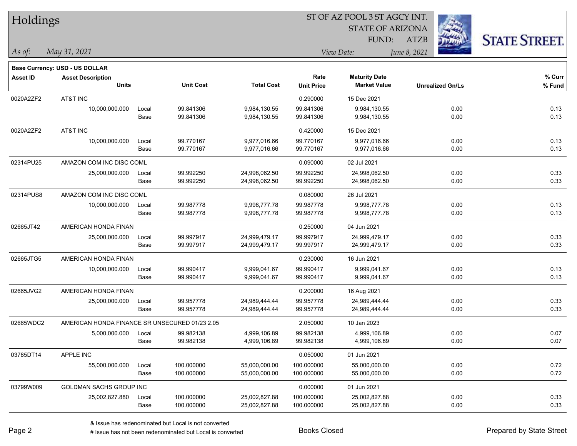| Holdings        |                                                |                      |                  |                   |                   |                         |              |                         |                      |
|-----------------|------------------------------------------------|----------------------|------------------|-------------------|-------------------|-------------------------|--------------|-------------------------|----------------------|
|                 |                                                |                      |                  |                   |                   | <b>STATE OF ARIZONA</b> |              |                         |                      |
|                 |                                                |                      |                  |                   |                   | FUND:                   | <b>ATZB</b>  |                         | <b>STATE STREET.</b> |
| As of:          | May 31, 2021                                   |                      |                  |                   |                   | View Date:              | June 8, 2021 |                         |                      |
|                 | Base Currency: USD - US DOLLAR                 |                      |                  |                   |                   |                         |              |                         |                      |
| <b>Asset ID</b> | <b>Asset Description</b>                       |                      |                  |                   | Rate              | <b>Maturity Date</b>    |              |                         | % Curr               |
|                 | <b>Units</b>                                   |                      | <b>Unit Cost</b> | <b>Total Cost</b> | <b>Unit Price</b> | <b>Market Value</b>     |              | <b>Unrealized Gn/Ls</b> | % Fund               |
| 0020A2ZF2       | AT&T INC                                       |                      |                  |                   | 0.290000          | 15 Dec 2021             |              |                         |                      |
|                 | 10,000,000.000                                 | Local                | 99.841306        | 9,984,130.55      | 99.841306         | 9,984,130.55            |              | 0.00                    | 0.13                 |
|                 |                                                | Base                 | 99.841306        | 9,984,130.55      | 99.841306         | 9,984,130.55            |              | 0.00                    | 0.13                 |
| 0020A2ZF2       | AT&T INC                                       |                      |                  |                   | 0.420000          | 15 Dec 2021             |              |                         |                      |
|                 | 10,000,000.000                                 | Local                | 99.770167        | 9,977,016.66      | 99.770167         | 9,977,016.66            |              | 0.00                    | 0.13                 |
|                 |                                                | Base                 | 99.770167        | 9,977,016.66      | 99.770167         | 9,977,016.66            |              | 0.00                    | 0.13                 |
| 02314PU25       | AMAZON COM INC DISC COML                       |                      |                  |                   | 0.090000          | 02 Jul 2021             |              |                         |                      |
|                 | 25,000,000.000                                 | Local                | 99.992250        | 24,998,062.50     | 99.992250         | 24,998,062.50           |              | 0.00                    | 0.33                 |
|                 |                                                | Base                 | 99.992250        | 24,998,062.50     | 99.992250         | 24,998,062.50           |              | 0.00                    | 0.33                 |
| 02314PUS8       | AMAZON COM INC DISC COML                       |                      |                  |                   | 0.080000          | 26 Jul 2021             |              |                         |                      |
|                 | 10,000,000.000                                 | Local                | 99.987778        | 9,998,777.78      | 99.987778         | 9,998,777.78            |              | 0.00                    | 0.13                 |
|                 |                                                | Base                 | 99.987778        | 9,998,777.78      | 99.987778         | 9,998,777.78            |              | 0.00                    | 0.13                 |
| 02665JT42       | AMERICAN HONDA FINAN                           |                      |                  |                   | 0.250000          | 04 Jun 2021             |              |                         |                      |
|                 | 25,000,000.000                                 | Local                | 99.997917        | 24,999,479.17     | 99.997917         | 24,999,479.17           |              | 0.00                    | 0.33                 |
|                 |                                                | Base                 | 99.997917        | 24,999,479.17     | 99.997917         | 24,999,479.17           |              | 0.00                    | 0.33                 |
| 02665JTG5       |                                                | AMERICAN HONDA FINAN |                  |                   |                   | 16 Jun 2021             |              |                         |                      |
|                 | 10,000,000.000                                 | Local                | 99.990417        | 9,999,041.67      | 99.990417         | 9,999,041.67            |              | 0.00                    | 0.13                 |
|                 |                                                | Base                 | 99.990417        | 9,999,041.67      | 99.990417         | 9,999,041.67            |              | 0.00                    | 0.13                 |
| 02665JVG2       | AMERICAN HONDA FINAN                           |                      |                  |                   | 0.200000          | 16 Aug 2021             |              |                         |                      |
|                 | 25,000,000.000                                 | Local                | 99.957778        | 24,989,444.44     | 99.957778         | 24,989,444.44           |              | 0.00                    | 0.33                 |
|                 |                                                | Base                 | 99.957778        | 24,989,444.44     | 99.957778         | 24,989,444.44           |              | 0.00                    | 0.33                 |
| 02665WDC2       | AMERICAN HONDA FINANCE SR UNSECURED 01/23 2.05 |                      |                  |                   | 2.050000          | 10 Jan 2023             |              |                         |                      |
|                 | 5,000,000.000                                  | Local                | 99.982138        | 4,999,106.89      | 99.982138         | 4,999,106.89            |              | 0.00                    | 0.07                 |
|                 |                                                | Base                 | 99.982138        | 4,999,106.89      | 99.982138         | 4,999,106.89            |              | 0.00                    | 0.07                 |
| 03785DT14       | APPLE INC                                      |                      |                  |                   | 0.050000          | 01 Jun 2021             |              |                         |                      |
|                 | 55,000,000.000                                 | Local                | 100.000000       | 55,000,000.00     | 100.000000        | 55,000,000.00           |              | 0.00                    | 0.72                 |
|                 |                                                | Base                 | 100.000000       | 55,000,000.00     | 100.000000        | 55,000,000.00           |              | 0.00                    | 0.72                 |
| 03799W009       | GOLDMAN SACHS GROUP INC                        |                      |                  |                   | 0.000000          | 01 Jun 2021             |              |                         |                      |
|                 | 25,002,827.880                                 | Local                | 100.000000       | 25,002,827.88     | 100.000000        | 25,002,827.88           |              | 0.00                    | 0.33                 |
|                 |                                                | Base                 | 100.000000       | 25,002,827.88     | 100.000000        | 25,002,827.88           |              | 0.00                    | 0.33                 |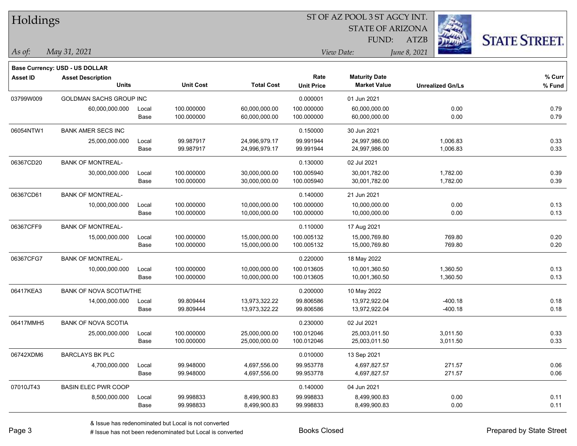| Holdings        |                                |       |                  | ST OF AZ POOL 3 ST AGCY INT. |                   |                      |                         |                      |  |  |  |
|-----------------|--------------------------------|-------|------------------|------------------------------|-------------------|----------------------|-------------------------|----------------------|--|--|--|
|                 |                                |       |                  | <b>STATE OF ARIZONA</b>      |                   |                      |                         |                      |  |  |  |
|                 |                                |       |                  |                              |                   | FUND:                | <b>ATZB</b>             | <b>STATE STREET.</b> |  |  |  |
| As of:          | May 31, 2021                   |       |                  |                              | View Date:        |                      | June 8, 2021            |                      |  |  |  |
|                 | Base Currency: USD - US DOLLAR |       |                  |                              |                   |                      |                         |                      |  |  |  |
| <b>Asset ID</b> | <b>Asset Description</b>       |       |                  |                              | Rate              | <b>Maturity Date</b> |                         | % Curr               |  |  |  |
|                 | <b>Units</b>                   |       | <b>Unit Cost</b> | <b>Total Cost</b>            | <b>Unit Price</b> | <b>Market Value</b>  | <b>Unrealized Gn/Ls</b> | % Fund               |  |  |  |
| 03799W009       | <b>GOLDMAN SACHS GROUP INC</b> |       |                  |                              | 0.000001          | 01 Jun 2021          |                         |                      |  |  |  |
|                 | 60,000,000.000                 | Local | 100.000000       | 60,000,000.00                | 100.000000        | 60,000,000.00        | 0.00                    | 0.79                 |  |  |  |
|                 |                                | Base  | 100.000000       | 60,000,000.00                | 100.000000        | 60,000,000.00        | 0.00                    | 0.79                 |  |  |  |
| 06054NTW1       | <b>BANK AMER SECS INC</b>      |       |                  |                              | 0.150000          | 30 Jun 2021          |                         |                      |  |  |  |
|                 | 25,000,000.000                 | Local | 99.987917        | 24,996,979.17                | 99.991944         | 24,997,986.00        | 1,006.83                | 0.33                 |  |  |  |
|                 |                                | Base  | 99.987917        | 24,996,979.17                | 99.991944         | 24,997,986.00        | 1,006.83                | 0.33                 |  |  |  |
| 06367CD20       | <b>BANK OF MONTREAL-</b>       |       |                  |                              | 0.130000          | 02 Jul 2021          |                         |                      |  |  |  |
|                 | 30,000,000.000                 | Local | 100.000000       | 30,000,000.00                | 100.005940        | 30,001,782.00        | 1,782.00                | 0.39                 |  |  |  |
|                 |                                | Base  | 100.000000       | 30,000,000.00                | 100.005940        | 30,001,782.00        | 1,782.00                | 0.39                 |  |  |  |
| 06367CD61       | <b>BANK OF MONTREAL-</b>       |       |                  |                              | 0.140000          | 21 Jun 2021          |                         |                      |  |  |  |
|                 | 10,000,000.000                 | Local | 100.000000       | 10,000,000.00                | 100.000000        | 10,000,000.00        | 0.00                    | 0.13                 |  |  |  |
|                 |                                | Base  | 100.000000       | 10,000,000.00                | 100.000000        | 10,000,000.00        | 0.00                    | 0.13                 |  |  |  |
| 06367CFF9       | <b>BANK OF MONTREAL-</b>       |       |                  |                              | 0.110000          | 17 Aug 2021          |                         |                      |  |  |  |
|                 | 15,000,000.000                 | Local | 100.000000       | 15,000,000.00                | 100.005132        | 15,000,769.80        | 769.80                  | 0.20                 |  |  |  |
|                 |                                | Base  | 100.000000       | 15,000,000.00                | 100.005132        | 15,000,769.80        | 769.80                  | 0.20                 |  |  |  |
| 06367CFG7       | <b>BANK OF MONTREAL-</b>       |       |                  |                              | 0.220000          | 18 May 2022          |                         |                      |  |  |  |
|                 | 10,000,000.000                 | Local | 100.000000       | 10,000,000.00                | 100.013605        | 10,001,360.50        | 1,360.50                | 0.13                 |  |  |  |
|                 |                                | Base  | 100.000000       | 10,000,000.00                | 100.013605        | 10,001,360.50        | 1,360.50                | 0.13                 |  |  |  |
| 06417KEA3       | BANK OF NOVA SCOTIA/THE        |       |                  |                              | 0.200000          | 10 May 2022          |                         |                      |  |  |  |
|                 | 14,000,000.000                 | Local | 99.809444        | 13,973,322.22                | 99.806586         | 13,972,922.04        | $-400.18$               | 0.18                 |  |  |  |
|                 |                                | Base  | 99.809444        | 13,973,322.22                | 99.806586         | 13,972,922.04        | $-400.18$               | 0.18                 |  |  |  |
| 06417MMH5       | <b>BANK OF NOVA SCOTIA</b>     |       |                  |                              | 0.230000          | 02 Jul 2021          |                         |                      |  |  |  |
|                 | 25,000,000.000                 | Local | 100.000000       | 25,000,000.00                | 100.012046        | 25,003,011.50        | 3,011.50                | 0.33                 |  |  |  |
|                 |                                | Base  | 100.000000       | 25,000,000.00                | 100.012046        | 25,003,011.50        | 3,011.50                | 0.33                 |  |  |  |
| 06742XDM6       | <b>BARCLAYS BK PLC</b>         |       |                  |                              | 0.010000          | 13 Sep 2021          |                         |                      |  |  |  |
|                 | 4,700,000.000                  | Local | 99.948000        | 4,697,556.00                 | 99.953778         | 4,697,827.57         | 271.57                  | 0.06                 |  |  |  |
|                 |                                | Base  | 99.948000        | 4,697,556.00                 | 99.953778         | 4,697,827.57         | 271.57                  | 0.06                 |  |  |  |
| 07010JT43       | <b>BASIN ELEC PWR COOP</b>     |       |                  |                              | 0.140000          | 04 Jun 2021          |                         |                      |  |  |  |
|                 | 8,500,000.000                  | Local | 99.998833        | 8,499,900.83                 | 99.998833         | 8,499,900.83         | 0.00                    | 0.11                 |  |  |  |
|                 |                                | Base  | 99.998833        | 8,499,900.83                 | 99.998833         | 8,499,900.83         | 0.00                    | 0.11                 |  |  |  |

 $\overline{\phantom{0}}$ 

 $\overline{\phantom{0}}$ 

 $\overline{\phantom{0}}$ 

 $\overline{\phantom{0}}$ 

 $\overline{\phantom{0}}$ 

÷.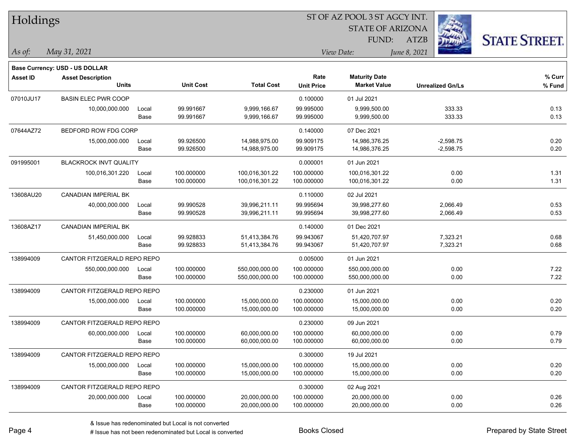| Holdings        |                                |       |                  | ST OF AZ POOL 3 ST AGCY INT. |                   |                         |                         |                      |  |  |
|-----------------|--------------------------------|-------|------------------|------------------------------|-------------------|-------------------------|-------------------------|----------------------|--|--|
|                 |                                |       |                  |                              |                   | <b>STATE OF ARIZONA</b> |                         |                      |  |  |
|                 |                                |       |                  |                              |                   | FUND:                   | <b>ATZB</b>             | <b>STATE STREET.</b> |  |  |
| As of:          | May 31, 2021                   |       |                  |                              |                   | View Date:              | June 8, 2021            |                      |  |  |
|                 | Base Currency: USD - US DOLLAR |       |                  |                              |                   |                         |                         |                      |  |  |
| <b>Asset ID</b> | <b>Asset Description</b>       |       |                  |                              | Rate              | <b>Maturity Date</b>    |                         | % Curr               |  |  |
|                 | <b>Units</b>                   |       | <b>Unit Cost</b> | <b>Total Cost</b>            | <b>Unit Price</b> | <b>Market Value</b>     | <b>Unrealized Gn/Ls</b> | % Fund               |  |  |
| 07010JU17       | <b>BASIN ELEC PWR COOP</b>     |       |                  |                              | 0.100000          | 01 Jul 2021             |                         |                      |  |  |
|                 | 10,000,000.000                 | Local | 99.991667        | 9,999,166.67                 | 99.995000         | 9,999,500.00            | 333.33                  | 0.13                 |  |  |
|                 |                                | Base  | 99.991667        | 9,999,166.67                 | 99.995000         | 9,999,500.00            | 333.33                  | 0.13                 |  |  |
| 07644AZ72       | BEDFORD ROW FDG CORP           |       |                  |                              | 0.140000          | 07 Dec 2021             |                         |                      |  |  |
|                 | 15,000,000.000                 | Local | 99.926500        | 14,988,975.00                | 99.909175         | 14,986,376.25           | $-2,598.75$             | 0.20                 |  |  |
|                 |                                | Base  | 99.926500        | 14,988,975.00                | 99.909175         | 14,986,376.25           | $-2,598.75$             | 0.20                 |  |  |
| 091995001       | <b>BLACKROCK INVT QUALITY</b>  |       |                  |                              | 0.000001          | 01 Jun 2021             |                         |                      |  |  |
|                 | 100,016,301.220                | Local | 100.000000       | 100,016,301.22               | 100.000000        | 100,016,301.22          | 0.00                    | 1.31                 |  |  |
|                 |                                | Base  | 100.000000       | 100,016,301.22               | 100.000000        | 100,016,301.22          | 0.00                    | 1.31                 |  |  |
| 13608AU20       | <b>CANADIAN IMPERIAL BK</b>    |       |                  |                              | 0.110000          | 02 Jul 2021             |                         |                      |  |  |
|                 | 40,000,000.000                 | Local | 99.990528        | 39,996,211.11                | 99.995694         | 39,998,277.60           | 2,066.49                | 0.53                 |  |  |
|                 |                                | Base  | 99.990528        | 39,996,211.11                | 99.995694         | 39,998,277.60           | 2,066.49                | 0.53                 |  |  |
| 13608AZ17       | <b>CANADIAN IMPERIAL BK</b>    |       |                  |                              | 0.140000          | 01 Dec 2021             |                         |                      |  |  |
|                 | 51,450,000.000                 | Local | 99.928833        | 51,413,384.76                | 99.943067         | 51,420,707.97           | 7,323.21                | 0.68                 |  |  |
|                 |                                | Base  | 99.928833        | 51,413,384.76                | 99.943067         | 51,420,707.97           | 7,323.21                | 0.68                 |  |  |
| 138994009       | CANTOR FITZGERALD REPO REPO    |       |                  |                              | 0.005000          | 01 Jun 2021             |                         |                      |  |  |
|                 | 550,000,000.000                | Local | 100.000000       | 550,000,000.00               | 100.000000        | 550,000,000.00          | 0.00                    | 7.22                 |  |  |
|                 |                                | Base  | 100.000000       | 550,000,000.00               | 100.000000        | 550,000,000.00          | 0.00                    | 7.22                 |  |  |
| 138994009       | CANTOR FITZGERALD REPO REPO    |       |                  |                              | 0.230000          | 01 Jun 2021             |                         |                      |  |  |
|                 | 15,000,000.000                 | Local | 100.000000       | 15,000,000.00                | 100.000000        | 15,000,000.00           | 0.00                    | 0.20                 |  |  |
|                 |                                | Base  | 100.000000       | 15,000,000.00                | 100.000000        | 15,000,000.00           | 0.00                    | 0.20                 |  |  |
| 138994009       | CANTOR FITZGERALD REPO REPO    |       |                  |                              | 0.230000          | 09 Jun 2021             |                         |                      |  |  |
|                 | 60,000,000.000                 | Local | 100.000000       | 60,000,000.00                | 100.000000        | 60,000,000.00           | 0.00                    | 0.79                 |  |  |
|                 |                                | Base  | 100.000000       | 60,000,000.00                | 100.000000        | 60,000,000.00           | 0.00                    | 0.79                 |  |  |
| 138994009       | CANTOR FITZGERALD REPO REPO    |       |                  |                              | 0.300000          | 19 Jul 2021             |                         |                      |  |  |
|                 | 15,000,000.000                 | Local | 100.000000       | 15,000,000.00                | 100.000000        | 15,000,000.00           | 0.00                    | 0.20                 |  |  |
|                 |                                | Base  | 100.000000       | 15,000,000.00                | 100.000000        | 15,000,000.00           | 0.00                    | 0.20                 |  |  |
| 138994009       | CANTOR FITZGERALD REPO REPO    |       |                  |                              | 0.300000          | 02 Aug 2021             |                         |                      |  |  |
|                 | 20,000,000.000                 | Local | 100.000000       | 20,000,000.00                | 100.000000        | 20,000,000.00           | 0.00                    | 0.26                 |  |  |
|                 |                                | Base  | 100.000000       | 20,000,000.00                | 100.000000        | 20,000,000.00           | 0.00                    | 0.26                 |  |  |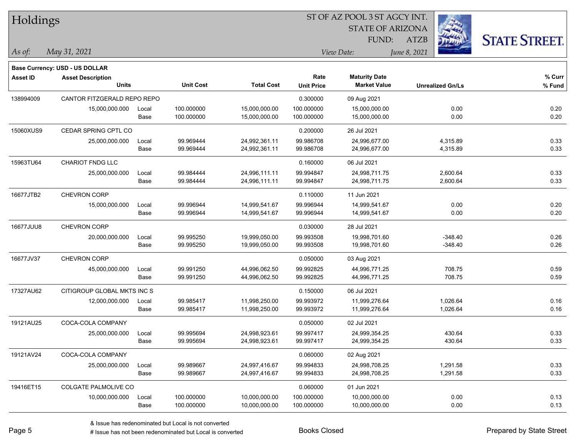| Holdings        |                                |       |                  |                   |                   |                         |                         |                      |
|-----------------|--------------------------------|-------|------------------|-------------------|-------------------|-------------------------|-------------------------|----------------------|
|                 |                                |       |                  |                   |                   | <b>STATE OF ARIZONA</b> |                         |                      |
|                 |                                |       |                  |                   |                   | FUND:                   | <b>ATZB</b>             | <b>STATE STREET.</b> |
| As of:          | May 31, 2021                   |       |                  |                   |                   | View Date:              | June 8, 2021            |                      |
|                 | Base Currency: USD - US DOLLAR |       |                  |                   |                   |                         |                         |                      |
| <b>Asset ID</b> | <b>Asset Description</b>       |       |                  |                   | Rate              | <b>Maturity Date</b>    |                         | $%$ Curr             |
|                 | <b>Units</b>                   |       | <b>Unit Cost</b> | <b>Total Cost</b> | <b>Unit Price</b> | <b>Market Value</b>     | <b>Unrealized Gn/Ls</b> | % Fund               |
| 138994009       | CANTOR FITZGERALD REPO REPO    |       |                  |                   | 0.300000          | 09 Aug 2021             |                         |                      |
|                 | 15,000,000.000                 | Local | 100.000000       | 15,000,000.00     | 100.000000        | 15,000,000.00           | 0.00                    | 0.20                 |
|                 |                                | Base  | 100.000000       | 15,000,000.00     | 100.000000        | 15,000,000.00           | 0.00                    | 0.20                 |
| 15060XUS9       | CEDAR SPRING CPTL CO           |       |                  |                   | 0.200000          | 26 Jul 2021             |                         |                      |
|                 | 25,000,000.000                 | Local | 99.969444        | 24,992,361.11     | 99.986708         | 24,996,677.00           | 4,315.89                | 0.33                 |
|                 |                                | Base  | 99.969444        | 24,992,361.11     | 99.986708         | 24,996,677.00           | 4,315.89                | 0.33                 |
| 15963TU64       | <b>CHARIOT FNDG LLC</b>        |       |                  |                   | 0.160000          | 06 Jul 2021             |                         |                      |
|                 | 25,000,000.000                 | Local | 99.984444        | 24,996,111.11     | 99.994847         | 24,998,711.75           | 2,600.64                | 0.33                 |
|                 |                                | Base  | 99.984444        | 24,996,111.11     | 99.994847         | 24,998,711.75           | 2,600.64                | 0.33                 |
| 16677JTB2       | CHEVRON CORP                   |       |                  |                   | 0.110000          | 11 Jun 2021             |                         |                      |
|                 | 15,000,000.000                 | Local | 99.996944        | 14,999,541.67     | 99.996944         | 14,999,541.67           | 0.00                    | 0.20                 |
|                 |                                | Base  | 99.996944        | 14,999,541.67     | 99.996944         | 14,999,541.67           | 0.00                    | 0.20                 |
| 16677JUU8       | <b>CHEVRON CORP</b>            |       |                  |                   | 0.030000          | 28 Jul 2021             |                         |                      |
|                 | 20,000,000.000                 | Local | 99.995250        | 19,999,050.00     | 99.993508         | 19,998,701.60           | $-348.40$               | 0.26                 |
|                 |                                | Base  | 99.995250        | 19,999,050.00     | 99.993508         | 19,998,701.60           | $-348.40$               | 0.26                 |
| 16677JV37       | <b>CHEVRON CORP</b>            |       |                  |                   | 0.050000          | 03 Aug 2021             |                         |                      |
|                 | 45,000,000.000                 | Local | 99.991250        | 44,996,062.50     | 99.992825         | 44,996,771.25           | 708.75                  | 0.59                 |
|                 |                                | Base  | 99.991250        | 44,996,062.50     | 99.992825         | 44,996,771.25           | 708.75                  | 0.59                 |
| 17327AU62       | CITIGROUP GLOBAL MKTS INC S    |       |                  |                   | 0.150000          | 06 Jul 2021             |                         |                      |
|                 | 12,000,000.000                 | Local | 99.985417        | 11,998,250.00     | 99.993972         | 11,999,276.64           | 1,026.64                | 0.16                 |
|                 |                                | Base  | 99.985417        | 11,998,250.00     | 99.993972         | 11,999,276.64           | 1,026.64                | 0.16                 |
| 19121AU25       | COCA-COLA COMPANY              |       |                  |                   | 0.050000          | 02 Jul 2021             |                         |                      |
|                 | 25,000,000.000                 | Local | 99.995694        | 24,998,923.61     | 99.997417         | 24,999,354.25           | 430.64                  | 0.33                 |
|                 |                                | Base  | 99.995694        | 24,998,923.61     | 99.997417         | 24,999,354.25           | 430.64                  | 0.33                 |
| 19121AV24       | COCA-COLA COMPANY              |       |                  |                   | 0.060000          | 02 Aug 2021             |                         |                      |
|                 | 25,000,000.000                 | Local | 99.989667        | 24,997,416.67     | 99.994833         | 24,998,708.25           | 1,291.58                | 0.33                 |
|                 |                                | Base  | 99.989667        | 24,997,416.67     | 99.994833         | 24,998,708.25           | 1,291.58                | 0.33                 |
| 19416ET15       | COLGATE PALMOLIVE CO           |       |                  |                   | 0.060000          | 01 Jun 2021             |                         |                      |
|                 | 10,000,000.000                 | Local | 100.000000       | 10,000,000.00     | 100.000000        | 10,000,000.00           | 0.00                    | 0.13                 |
|                 |                                | Base  | 100.000000       | 10,000,000.00     | 100.000000        | 10,000,000.00           | 0.00                    | 0.13                 |

 $\overline{\phantom{0}}$ 

 $\overline{\phantom{0}}$ 

 $\overline{\phantom{0}}$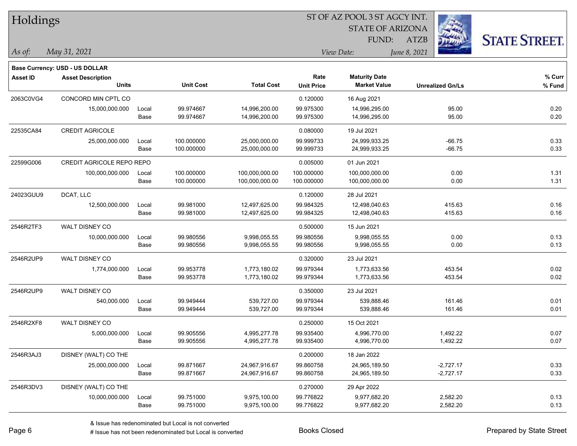| Holdings        |                                  |       |                  |                   |                   |                         |                         |                      |
|-----------------|----------------------------------|-------|------------------|-------------------|-------------------|-------------------------|-------------------------|----------------------|
|                 |                                  |       |                  |                   |                   | <b>STATE OF ARIZONA</b> |                         |                      |
|                 |                                  |       |                  |                   |                   | FUND:                   | <b>ATZB</b>             | <b>STATE STREET.</b> |
| As of:          | May 31, 2021                     |       |                  |                   | View Date:        |                         | June 8, 2021            |                      |
|                 | Base Currency: USD - US DOLLAR   |       |                  |                   |                   |                         |                         |                      |
| <b>Asset ID</b> | <b>Asset Description</b>         |       |                  |                   | Rate              | <b>Maturity Date</b>    |                         | % Curr               |
|                 | <b>Units</b>                     |       | <b>Unit Cost</b> | <b>Total Cost</b> | <b>Unit Price</b> | <b>Market Value</b>     | <b>Unrealized Gn/Ls</b> | % Fund               |
| 2063C0VG4       | CONCORD MIN CPTL CO              |       |                  |                   | 0.120000          | 16 Aug 2021             |                         |                      |
|                 | 15,000,000.000                   | Local | 99.974667        | 14,996,200.00     | 99.975300         | 14,996,295.00           | 95.00                   | 0.20                 |
|                 |                                  | Base  | 99.974667        | 14,996,200.00     | 99.975300         | 14,996,295.00           | 95.00                   | 0.20                 |
| 22535CA84       | <b>CREDIT AGRICOLE</b>           |       |                  |                   | 0.080000          | 19 Jul 2021             |                         |                      |
|                 | 25,000,000.000                   | Local | 100.000000       | 25,000,000.00     | 99.999733         | 24,999,933.25           | -66.75                  | 0.33                 |
|                 |                                  | Base  | 100.000000       | 25,000,000.00     | 99.999733         | 24,999,933.25           | $-66.75$                | 0.33                 |
| 22599G006       | <b>CREDIT AGRICOLE REPO REPO</b> |       |                  |                   | 0.005000          | 01 Jun 2021             |                         |                      |
|                 | 100,000,000.000                  | Local | 100.000000       | 100,000,000.00    | 100.000000        | 100,000,000.00          | 0.00                    | 1.31                 |
|                 |                                  | Base  | 100.000000       | 100,000,000.00    | 100.000000        | 100,000,000.00          | 0.00                    | 1.31                 |
| 24023GUU9       | DCAT, LLC                        |       |                  |                   | 0.120000          | 28 Jul 2021             |                         |                      |
|                 | 12,500,000.000                   | Local | 99.981000        | 12,497,625.00     | 99.984325         | 12,498,040.63           | 415.63                  | 0.16                 |
|                 |                                  | Base  | 99.981000        | 12,497,625.00     | 99.984325         | 12,498,040.63           | 415.63                  | 0.16                 |
| 2546R2TF3       | WALT DISNEY CO                   |       |                  |                   | 0.500000          | 15 Jun 2021             |                         |                      |
|                 | 10,000,000.000                   | Local | 99.980556        | 9,998,055.55      | 99.980556         | 9,998,055.55            | 0.00                    | 0.13                 |
|                 |                                  | Base  | 99.980556        | 9,998,055.55      | 99.980556         | 9,998,055.55            | 0.00                    | 0.13                 |
| 2546R2UP9       | WALT DISNEY CO                   |       |                  |                   | 0.320000          | 23 Jul 2021             |                         |                      |
|                 | 1,774,000.000                    | Local | 99.953778        | 1,773,180.02      | 99.979344         | 1,773,633.56            | 453.54                  | 0.02                 |
|                 |                                  | Base  | 99.953778        | 1,773,180.02      | 99.979344         | 1,773,633.56            | 453.54                  | 0.02                 |
| 2546R2UP9       | WALT DISNEY CO                   |       |                  |                   | 0.350000          | 23 Jul 2021             |                         |                      |
|                 | 540,000.000                      | Local | 99.949444        | 539,727.00        | 99.979344         | 539,888.46              | 161.46                  | 0.01                 |
|                 |                                  | Base  | 99.949444        | 539,727.00        | 99.979344         | 539,888.46              | 161.46                  | 0.01                 |
| 2546R2XF8       | WALT DISNEY CO                   |       |                  |                   | 0.250000          | 15 Oct 2021             |                         |                      |
|                 | 5,000,000.000                    | Local | 99.905556        | 4,995,277.78      | 99.935400         | 4,996,770.00            | 1,492.22                | 0.07                 |
|                 |                                  | Base  | 99.905556        | 4,995,277.78      | 99.935400         | 4,996,770.00            | 1,492.22                | 0.07                 |
| 2546R3AJ3       | DISNEY (WALT) CO THE             |       |                  |                   | 0.200000          | 18 Jan 2022             |                         |                      |
|                 | 25,000,000.000                   | Local | 99.871667        | 24,967,916.67     | 99.860758         | 24,965,189.50           | $-2,727.17$             | 0.33                 |
|                 |                                  | Base  | 99.871667        | 24,967,916.67     | 99.860758         | 24,965,189.50           | $-2,727.17$             | 0.33                 |
| 2546R3DV3       | DISNEY (WALT) CO THE             |       |                  |                   | 0.270000          | 29 Apr 2022             |                         |                      |
|                 | 10,000,000.000                   | Local | 99.751000        | 9,975,100.00      | 99.776822         | 9,977,682.20            | 2,582.20                | 0.13                 |
|                 |                                  | Base  | 99.751000        | 9,975,100.00      | 99.776822         | 9,977,682.20            | 2,582.20                | 0.13                 |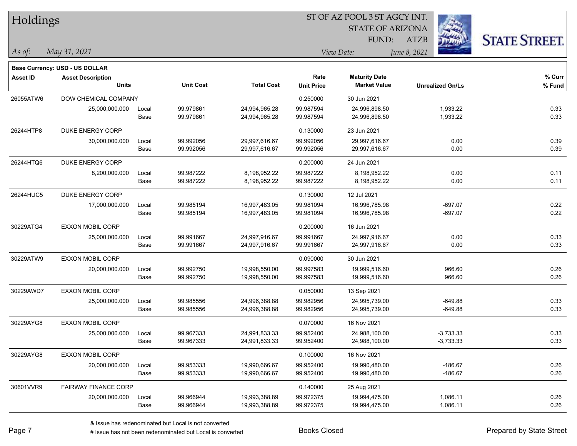| Holdings        |                                          |       |                  |                   |                   | ST OF AZ POOL 3 ST AGCY INT.                |              |                         |                      |
|-----------------|------------------------------------------|-------|------------------|-------------------|-------------------|---------------------------------------------|--------------|-------------------------|----------------------|
|                 |                                          |       |                  |                   |                   | <b>STATE OF ARIZONA</b>                     |              |                         |                      |
|                 |                                          |       |                  |                   |                   | FUND:                                       | <b>ATZB</b>  |                         | <b>STATE STREET.</b> |
| As of:          | May 31, 2021                             |       |                  |                   |                   | View Date:                                  | June 8, 2021 |                         |                      |
|                 |                                          |       |                  |                   |                   |                                             |              |                         |                      |
|                 | Base Currency: USD - US DOLLAR           |       |                  |                   | Rate              |                                             |              |                         |                      |
| <b>Asset ID</b> | <b>Asset Description</b><br><b>Units</b> |       | <b>Unit Cost</b> | <b>Total Cost</b> | <b>Unit Price</b> | <b>Maturity Date</b><br><b>Market Value</b> |              | <b>Unrealized Gn/Ls</b> | % Curr<br>% Fund     |
| 26055ATW6       | DOW CHEMICAL COMPANY                     |       |                  |                   | 0.250000          | 30 Jun 2021                                 |              |                         |                      |
|                 | 25,000,000.000                           | Local | 99.979861        | 24,994,965.28     | 99.987594         | 24,996,898.50                               |              | 1,933.22                | 0.33                 |
|                 |                                          | Base  | 99.979861        | 24,994,965.28     | 99.987594         | 24,996,898.50                               |              | 1,933.22                | 0.33                 |
| 26244HTP8       | DUKE ENERGY CORP                         |       |                  |                   | 0.130000          | 23 Jun 2021                                 |              |                         |                      |
|                 | 30,000,000.000                           | Local | 99.992056        | 29,997,616.67     | 99.992056         | 29,997,616.67                               |              | 0.00                    | 0.39                 |
|                 |                                          | Base  | 99.992056        | 29,997,616.67     | 99.992056         | 29,997,616.67                               |              | 0.00                    | 0.39                 |
| 26244HTQ6       | <b>DUKE ENERGY CORP</b>                  |       |                  |                   | 0.200000          | 24 Jun 2021                                 |              |                         |                      |
|                 | 8,200,000.000                            | Local | 99.987222        | 8,198,952.22      | 99.987222         | 8,198,952.22                                |              | 0.00                    | 0.11                 |
|                 |                                          | Base  | 99.987222        | 8,198,952.22      | 99.987222         | 8,198,952.22                                |              | 0.00                    | 0.11                 |
| 26244HUC5       | <b>DUKE ENERGY CORP</b>                  |       |                  |                   | 0.130000          | 12 Jul 2021                                 |              |                         |                      |
|                 | 17,000,000.000                           | Local | 99.985194        | 16,997,483.05     | 99.981094         | 16,996,785.98                               |              | $-697.07$               | 0.22                 |
|                 |                                          | Base  | 99.985194        | 16,997,483.05     | 99.981094         | 16,996,785.98                               |              | $-697.07$               | 0.22                 |
| 30229ATG4       | EXXON MOBIL CORP                         |       |                  |                   | 0.200000          | 16 Jun 2021                                 |              |                         |                      |
|                 | 25,000,000.000                           | Local | 99.991667        | 24,997,916.67     | 99.991667         | 24,997,916.67                               |              | 0.00                    | 0.33                 |
|                 |                                          | Base  | 99.991667        | 24,997,916.67     | 99.991667         | 24,997,916.67                               |              | 0.00                    | 0.33                 |
| 30229ATW9       | <b>EXXON MOBIL CORP</b>                  |       |                  |                   | 0.090000          | 30 Jun 2021                                 |              |                         |                      |
|                 | 20,000,000.000                           | Local | 99.992750        | 19,998,550.00     | 99.997583         | 19,999,516.60                               |              | 966.60                  | 0.26                 |
|                 |                                          | Base  | 99.992750        | 19,998,550.00     | 99.997583         | 19,999,516.60                               |              | 966.60                  | 0.26                 |
| 30229AWD7       | EXXON MOBIL CORP                         |       |                  |                   | 0.050000          | 13 Sep 2021                                 |              |                         |                      |
|                 | 25,000,000.000                           | Local | 99.985556        | 24,996,388.88     | 99.982956         | 24,995,739.00                               |              | $-649.88$               | 0.33                 |
|                 |                                          | Base  | 99.985556        | 24,996,388.88     | 99.982956         | 24,995,739.00                               |              | $-649.88$               | 0.33                 |
| 30229AYG8       | <b>EXXON MOBIL CORP</b>                  |       |                  |                   | 0.070000          | 16 Nov 2021                                 |              |                         |                      |
|                 | 25,000,000.000                           | Local | 99.967333        | 24,991,833.33     | 99.952400         | 24,988,100.00                               |              | $-3,733.33$             | 0.33                 |
|                 |                                          | Base  | 99.967333        | 24,991,833.33     | 99.952400         | 24,988,100.00                               |              | $-3,733.33$             | 0.33                 |
| 30229AYG8       | <b>EXXON MOBIL CORP</b>                  |       |                  |                   | 0.100000          | 16 Nov 2021                                 |              |                         |                      |
|                 | 20,000,000.000                           | Local | 99.953333        | 19,990,666.67     | 99.952400         | 19,990,480.00                               |              | $-186.67$               | 0.26                 |
|                 |                                          | Base  | 99.953333        | 19,990,666.67     | 99.952400         | 19,990,480.00                               |              | $-186.67$               | 0.26                 |
| 30601VVR9       | <b>FAIRWAY FINANCE CORP</b>              |       |                  |                   | 0.140000          | 25 Aug 2021                                 |              |                         |                      |
|                 | 20,000,000.000                           | Local | 99.966944        | 19,993,388.89     | 99.972375         | 19,994,475.00                               |              | 1,086.11                | 0.26                 |
|                 |                                          | Base  | 99.966944        | 19,993,388.89     | 99.972375         | 19,994,475.00                               |              | 1,086.11                | 0.26                 |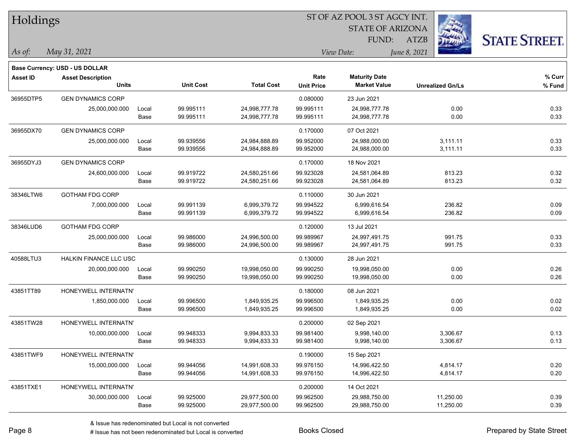| Holdings        |                                          |       |                  |                   | ST OF AZ POOL 3 ST AGCY INT. |                         |                         |                      |  |
|-----------------|------------------------------------------|-------|------------------|-------------------|------------------------------|-------------------------|-------------------------|----------------------|--|
|                 |                                          |       |                  |                   |                              | <b>STATE OF ARIZONA</b> |                         |                      |  |
|                 |                                          |       |                  |                   |                              | FUND:                   | <b>ATZB</b>             | <b>STATE STREET.</b> |  |
| As of:          | May 31, 2021                             |       |                  |                   |                              | View Date:              | June 8, 2021            |                      |  |
|                 |                                          |       |                  |                   |                              |                         |                         |                      |  |
|                 | <b>Base Currency: USD - US DOLLAR</b>    |       |                  |                   | Rate                         | <b>Maturity Date</b>    |                         | % Curr               |  |
| <b>Asset ID</b> | <b>Asset Description</b><br><b>Units</b> |       | <b>Unit Cost</b> | <b>Total Cost</b> | <b>Unit Price</b>            | <b>Market Value</b>     | <b>Unrealized Gn/Ls</b> | % Fund               |  |
| 36955DTP5       | <b>GEN DYNAMICS CORP</b>                 |       |                  |                   | 0.080000                     | 23 Jun 2021             |                         |                      |  |
|                 | 25,000,000.000                           | Local | 99.995111        | 24,998,777.78     | 99.995111                    | 24,998,777.78           | 0.00                    | 0.33                 |  |
|                 |                                          | Base  | 99.995111        | 24,998,777.78     | 99.995111                    | 24,998,777.78           | 0.00                    | 0.33                 |  |
| 36955DX70       | <b>GEN DYNAMICS CORP</b>                 |       |                  |                   | 0.170000                     | 07 Oct 2021             |                         |                      |  |
|                 | 25,000,000.000                           | Local | 99.939556        | 24,984,888.89     | 99.952000                    | 24,988,000.00           | 3,111.11                | 0.33                 |  |
|                 |                                          | Base  | 99.939556        | 24,984,888.89     | 99.952000                    | 24,988,000.00           | 3,111.11                | 0.33                 |  |
| 36955DYJ3       | <b>GEN DYNAMICS CORP</b>                 |       |                  |                   | 0.170000                     | 18 Nov 2021             |                         |                      |  |
|                 | 24,600,000.000                           | Local | 99.919722        | 24,580,251.66     | 99.923028                    | 24,581,064.89           | 813.23                  | 0.32                 |  |
|                 |                                          | Base  | 99.919722        | 24,580,251.66     | 99.923028                    | 24,581,064.89           | 813.23                  | 0.32                 |  |
| 38346LTW6       | <b>GOTHAM FDG CORP</b>                   |       |                  |                   | 0.110000                     | 30 Jun 2021             |                         |                      |  |
|                 | 7,000,000.000                            | Local | 99.991139        | 6,999,379.72      | 99.994522                    | 6,999,616.54            | 236.82                  | 0.09                 |  |
|                 |                                          | Base  | 99.991139        | 6,999,379.72      | 99.994522                    | 6,999,616.54            | 236.82                  | 0.09                 |  |
| 38346LUD6       | <b>GOTHAM FDG CORP</b>                   |       |                  |                   | 0.120000                     | 13 Jul 2021             |                         |                      |  |
|                 | 25,000,000.000                           | Local | 99.986000        | 24,996,500.00     | 99.989967                    | 24,997,491.75           | 991.75                  | 0.33                 |  |
|                 |                                          | Base  | 99.986000        | 24,996,500.00     | 99.989967                    | 24,997,491.75           | 991.75                  | 0.33                 |  |
| 40588LTU3       | <b>HALKIN FINANCE LLC USC</b>            |       |                  |                   | 0.130000                     | 28 Jun 2021             |                         |                      |  |
|                 | 20,000,000.000                           | Local | 99.990250        | 19,998,050.00     | 99.990250                    | 19,998,050.00           | 0.00                    | 0.26                 |  |
|                 |                                          | Base  | 99.990250        | 19,998,050.00     | 99.990250                    | 19,998,050.00           | 0.00                    | 0.26                 |  |
| 43851TT89       | HONEYWELL INTERNATN'                     |       |                  |                   | 0.180000                     | 08 Jun 2021             |                         |                      |  |
|                 | 1,850,000.000                            | Local | 99.996500        | 1,849,935.25      | 99.996500                    | 1,849,935.25            | 0.00                    | 0.02                 |  |
|                 |                                          | Base  | 99.996500        | 1,849,935.25      | 99.996500                    | 1,849,935.25            | 0.00                    | 0.02                 |  |
| 43851TW28       | HONEYWELL INTERNATN'                     |       |                  |                   | 0.200000                     | 02 Sep 2021             |                         |                      |  |
|                 | 10,000,000.000                           | Local | 99.948333        | 9,994,833.33      | 99.981400                    | 9,998,140.00            | 3,306.67                | 0.13                 |  |
|                 |                                          | Base  | 99.948333        | 9,994,833.33      | 99.981400                    | 9,998,140.00            | 3,306.67                | 0.13                 |  |
| 43851TWF9       | HONEYWELL INTERNATN'                     |       |                  |                   | 0.190000                     | 15 Sep 2021             |                         |                      |  |
|                 | 15,000,000.000                           | Local | 99.944056        | 14,991,608.33     | 99.976150                    | 14,996,422.50           | 4,814.17                | 0.20                 |  |
|                 |                                          | Base  | 99.944056        | 14,991,608.33     | 99.976150                    | 14,996,422.50           | 4,814.17                | 0.20                 |  |
| 43851TXE1       | HONEYWELL INTERNATN'                     |       |                  |                   | 0.200000                     | 14 Oct 2021             |                         |                      |  |
|                 | 30,000,000.000                           | Local | 99.925000        | 29,977,500.00     | 99.962500                    | 29,988,750.00           | 11,250.00               | 0.39                 |  |
|                 |                                          | Base  | 99.925000        | 29,977,500.00     | 99.962500                    | 29,988,750.00           | 11,250.00               | 0.39                 |  |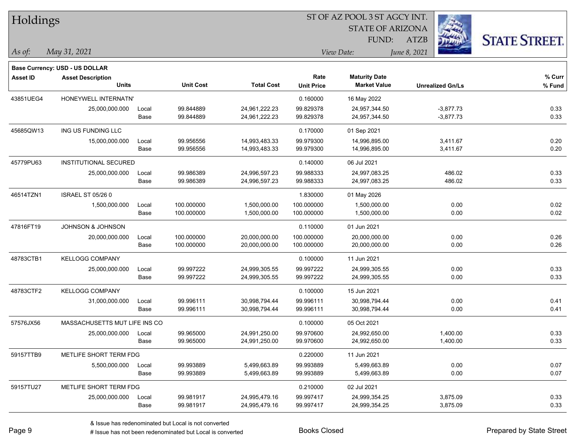| <b>Holdings</b> |                                       |       |                  |                   | 51 OF AZ POOL 3 51 AGCY INT. |                         |                         |                      |  |  |
|-----------------|---------------------------------------|-------|------------------|-------------------|------------------------------|-------------------------|-------------------------|----------------------|--|--|
|                 |                                       |       |                  |                   |                              | <b>STATE OF ARIZONA</b> | i.                      |                      |  |  |
|                 |                                       |       |                  |                   |                              | FUND:                   | ATZB                    | <b>STATE STREET.</b> |  |  |
| As of:          | May 31, 2021                          |       |                  |                   |                              | View Date:              | June 8, 2021            |                      |  |  |
|                 | <b>Base Currency: USD - US DOLLAR</b> |       |                  |                   |                              |                         |                         |                      |  |  |
| <b>Asset ID</b> | <b>Asset Description</b>              |       |                  |                   | Rate                         | <b>Maturity Date</b>    |                         | % Curr               |  |  |
|                 | <b>Units</b>                          |       | <b>Unit Cost</b> | <b>Total Cost</b> | <b>Unit Price</b>            | <b>Market Value</b>     | <b>Unrealized Gn/Ls</b> | % Fund               |  |  |
| 43851UEG4       | HONEYWELL INTERNATN'                  |       |                  |                   | 0.160000                     | 16 May 2022             |                         |                      |  |  |
|                 | 25,000,000.000                        | Local | 99.844889        | 24,961,222.23     | 99.829378                    | 24,957,344.50           | $-3,877.73$             | 0.33                 |  |  |
|                 |                                       | Base  | 99.844889        | 24,961,222.23     | 99.829378                    | 24,957,344.50           | $-3,877.73$             | 0.33                 |  |  |
| 45685QW13       | ING US FUNDING LLC                    |       |                  |                   | 0.170000                     | 01 Sep 2021             |                         |                      |  |  |
|                 | 15,000,000.000                        | Local | 99.956556        | 14,993,483.33     | 99.979300                    | 14,996,895.00           | 3,411.67                | 0.20                 |  |  |
|                 |                                       | Base  | 99.956556        | 14,993,483.33     | 99.979300                    | 14,996,895.00           | 3,411.67                | 0.20                 |  |  |
| 45779PU63       | <b>INSTITUTIONAL SECURED</b>          |       |                  |                   | 0.140000                     | 06 Jul 2021             |                         |                      |  |  |
|                 | 25,000,000.000                        | Local | 99.986389        | 24,996,597.23     | 99.988333                    | 24,997,083.25           | 486.02                  | 0.33                 |  |  |
|                 |                                       | Base  | 99.986389        | 24,996,597.23     | 99.988333                    | 24,997,083.25           | 486.02                  | 0.33                 |  |  |
| 46514TZN1       | <b>ISRAEL ST 05/26 0</b>              |       |                  |                   | 1.830000                     | 01 May 2026             |                         |                      |  |  |
|                 | 1,500,000.000                         | Local | 100.000000       | 1,500,000.00      | 100.000000                   | 1,500,000.00            | 0.00                    | 0.02                 |  |  |
|                 |                                       | Base  | 100.000000       | 1,500,000.00      | 100.000000                   | 1,500,000.00            | 0.00                    | 0.02                 |  |  |
| 47816FT19       | <b>JOHNSON &amp; JOHNSON</b>          |       |                  |                   | 0.110000                     | 01 Jun 2021             |                         |                      |  |  |
|                 | 20,000,000.000                        | Local | 100.000000       | 20,000,000.00     | 100.000000                   | 20,000,000.00           | 0.00                    | 0.26                 |  |  |
|                 |                                       | Base  | 100.000000       | 20,000,000.00     | 100.000000                   | 20,000,000.00           | 0.00                    | 0.26                 |  |  |
| 48783CTB1       | <b>KELLOGG COMPANY</b>                |       |                  |                   | 0.100000                     | 11 Jun 2021             |                         |                      |  |  |
|                 | 25,000,000.000                        | Local | 99.997222        | 24,999,305.55     | 99.997222                    | 24,999,305.55           | 0.00                    | 0.33                 |  |  |
|                 |                                       | Base  | 99.997222        | 24,999,305.55     | 99.997222                    | 24,999,305.55           | 0.00                    | 0.33                 |  |  |
| 48783CTF2       | <b>KELLOGG COMPANY</b>                |       |                  |                   | 0.100000                     | 15 Jun 2021             |                         |                      |  |  |
|                 | 31,000,000.000                        | Local | 99.996111        | 30,998,794.44     | 99.996111                    | 30,998,794.44           | 0.00                    | 0.41                 |  |  |
|                 |                                       | Base  | 99.996111        | 30,998,794.44     | 99.996111                    | 30,998,794.44           | 0.00                    | 0.41                 |  |  |
| 57576JX56       | MASSACHUSETTS MUT LIFE INS CO         |       |                  |                   | 0.100000                     | 05 Oct 2021             |                         |                      |  |  |
|                 | 25,000,000.000                        | Local | 99.965000        | 24,991,250.00     | 99.970600                    | 24,992,650.00           | 1,400.00                | 0.33                 |  |  |
|                 |                                       | Base  | 99.965000        | 24,991,250.00     | 99.970600                    | 24,992,650.00           | 1,400.00                | 0.33                 |  |  |
| 59157TTB9       | METLIFE SHORT TERM FDG                |       |                  |                   | 0.220000                     | 11 Jun 2021             |                         |                      |  |  |
|                 | 5,500,000.000                         | Local | 99.993889        | 5,499,663.89      | 99.993889                    | 5,499,663.89            | 0.00                    | 0.07                 |  |  |
|                 |                                       | Base  | 99.993889        | 5,499,663.89      | 99.993889                    | 5,499,663.89            | 0.00                    | 0.07                 |  |  |
| 59157TU27       | METLIFE SHORT TERM FDG                |       |                  |                   | 0.210000                     | 02 Jul 2021             |                         |                      |  |  |
|                 | 25,000,000.000                        | Local | 99.981917        | 24,995,479.16     | 99.997417                    | 24,999,354.25           | 3,875.09                | 0.33                 |  |  |
|                 |                                       | Base  | 99.981917        | 24,995,479.16     | 99.997417                    | 24,999,354.25           | 3,875.09                | 0.33                 |  |  |
|                 |                                       |       |                  |                   |                              |                         |                         |                      |  |  |

 $\overline{S}$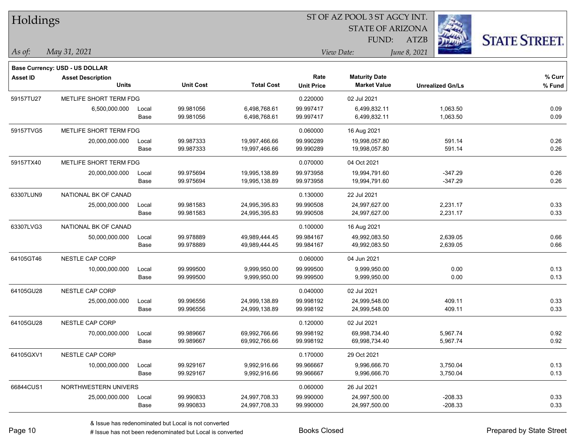| Holdings        |                                          |       |                  |                   |                   | ST OF AZ POOL 3 ST AGCY INT.                |                         |                      |
|-----------------|------------------------------------------|-------|------------------|-------------------|-------------------|---------------------------------------------|-------------------------|----------------------|
|                 |                                          |       |                  |                   |                   | <b>STATE OF ARIZONA</b>                     |                         |                      |
|                 |                                          |       |                  |                   |                   | FUND:                                       | <b>ATZB</b>             | <b>STATE STREET.</b> |
| As of:          | May 31, 2021                             |       |                  |                   |                   | View Date:                                  | June 8, 2021            |                      |
|                 |                                          |       |                  |                   |                   |                                             |                         |                      |
|                 | Base Currency: USD - US DOLLAR           |       |                  |                   | Rate              |                                             |                         |                      |
| <b>Asset ID</b> | <b>Asset Description</b><br><b>Units</b> |       | <b>Unit Cost</b> | <b>Total Cost</b> | <b>Unit Price</b> | <b>Maturity Date</b><br><b>Market Value</b> | <b>Unrealized Gn/Ls</b> | % Curr<br>% Fund     |
| 59157TU27       | METLIFE SHORT TERM FDG                   |       |                  |                   | 0.220000          | 02 Jul 2021                                 |                         |                      |
|                 | 6,500,000.000                            | Local | 99.981056        | 6,498,768.61      | 99.997417         | 6,499,832.11                                | 1,063.50                | 0.09                 |
|                 |                                          | Base  | 99.981056        | 6,498,768.61      | 99.997417         | 6,499,832.11                                | 1,063.50                | 0.09                 |
| 59157TVG5       | METLIFE SHORT TERM FDG                   |       |                  |                   | 0.060000          | 16 Aug 2021                                 |                         |                      |
|                 | 20,000,000.000                           | Local | 99.987333        | 19,997,466.66     | 99.990289         | 19,998,057.80                               | 591.14                  | 0.26                 |
|                 |                                          | Base  | 99.987333        | 19,997,466.66     | 99.990289         | 19,998,057.80                               | 591.14                  | 0.26                 |
| 59157TX40       | METLIFE SHORT TERM FDG                   |       |                  |                   | 0.070000          | 04 Oct 2021                                 |                         |                      |
|                 | 20,000,000.000                           | Local | 99.975694        | 19,995,138.89     | 99.973958         | 19,994,791.60                               | $-347.29$               | 0.26                 |
|                 |                                          | Base  | 99.975694        | 19,995,138.89     | 99.973958         | 19,994,791.60                               | $-347.29$               | 0.26                 |
| 63307LUN9       | NATIONAL BK OF CANAD                     |       |                  |                   | 0.130000          | 22 Jul 2021                                 |                         |                      |
|                 | 25,000,000.000                           | Local | 99.981583        | 24,995,395.83     | 99.990508         | 24,997,627.00                               | 2,231.17                | 0.33                 |
|                 |                                          | Base  | 99.981583        | 24,995,395.83     | 99.990508         | 24,997,627.00                               | 2,231.17                | 0.33                 |
| 63307LVG3       | NATIONAL BK OF CANAD                     |       |                  |                   | 0.100000          | 16 Aug 2021                                 |                         |                      |
|                 | 50,000,000.000                           | Local | 99.978889        | 49,989,444.45     | 99.984167         | 49,992,083.50                               | 2,639.05                | 0.66                 |
|                 |                                          | Base  | 99.978889        | 49,989,444.45     | 99.984167         | 49,992,083.50                               | 2,639.05                | 0.66                 |
| 64105GT46       | <b>NESTLE CAP CORP</b>                   |       |                  |                   | 0.060000          | 04 Jun 2021                                 |                         |                      |
|                 | 10,000,000.000                           | Local | 99.999500        | 9,999,950.00      | 99.999500         | 9,999,950.00                                | 0.00                    | 0.13                 |
|                 |                                          | Base  | 99.999500        | 9,999,950.00      | 99.999500         | 9,999,950.00                                | 0.00                    | 0.13                 |
| 64105GU28       | NESTLE CAP CORP                          |       |                  |                   | 0.040000          | 02 Jul 2021                                 |                         |                      |
|                 | 25,000,000.000                           | Local | 99.996556        | 24,999,138.89     | 99.998192         | 24,999,548.00                               | 409.11                  | 0.33                 |
|                 |                                          | Base  | 99.996556        | 24,999,138.89     | 99.998192         | 24,999,548.00                               | 409.11                  | 0.33                 |
| 64105GU28       | NESTLE CAP CORP                          |       |                  |                   | 0.120000          | 02 Jul 2021                                 |                         |                      |
|                 | 70,000,000.000                           | Local | 99.989667        | 69,992,766.66     | 99.998192         | 69,998,734.40                               | 5,967.74                | 0.92                 |
|                 |                                          | Base  | 99.989667        | 69,992,766.66     | 99.998192         | 69,998,734.40                               | 5,967.74                | 0.92                 |
| 64105GXV1       | NESTLE CAP CORP                          |       |                  |                   | 0.170000          | 29 Oct 2021                                 |                         |                      |
|                 | 10,000,000.000                           | Local | 99.929167        | 9,992,916.66      | 99.966667         | 9,996,666.70                                | 3,750.04                | 0.13                 |
|                 |                                          | Base  | 99.929167        | 9,992,916.66      | 99.966667         | 9,996,666.70                                | 3,750.04                | 0.13                 |
| 66844CUS1       | NORTHWESTERN UNIVERS                     |       |                  |                   | 0.060000          | 26 Jul 2021                                 |                         |                      |
|                 | 25,000,000.000                           | Local | 99.990833        | 24,997,708.33     | 99.990000         | 24,997,500.00                               | $-208.33$               | 0.33                 |
|                 |                                          | Base  | 99.990833        | 24,997,708.33     | 99.990000         | 24,997,500.00                               | $-208.33$               | 0.33                 |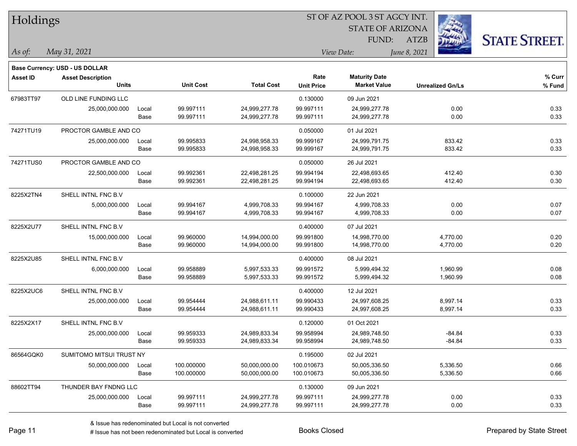| Holdings        |                                |       |                  |                   | ST OF AZ POOL 3 ST AGCY INT. |                         |                         |                      |  |  |
|-----------------|--------------------------------|-------|------------------|-------------------|------------------------------|-------------------------|-------------------------|----------------------|--|--|
|                 |                                |       |                  |                   |                              | <b>STATE OF ARIZONA</b> |                         |                      |  |  |
|                 |                                |       |                  |                   |                              | FUND:                   | ATZB                    | <b>STATE STREET.</b> |  |  |
| As of:          | May 31, 2021                   |       |                  |                   |                              | View Date:              | June 8, 2021            |                      |  |  |
|                 | Base Currency: USD - US DOLLAR |       |                  |                   |                              |                         |                         |                      |  |  |
| <b>Asset ID</b> | <b>Asset Description</b>       |       |                  |                   | Rate                         | <b>Maturity Date</b>    |                         | % Curr               |  |  |
|                 | <b>Units</b>                   |       | <b>Unit Cost</b> | <b>Total Cost</b> | <b>Unit Price</b>            | <b>Market Value</b>     | <b>Unrealized Gn/Ls</b> | % Fund               |  |  |
| 67983TT97       | <b>OLD LINE FUNDING LLC</b>    |       |                  |                   | 0.130000                     | 09 Jun 2021             |                         |                      |  |  |
|                 | 25,000,000.000                 | Local | 99.997111        | 24,999,277.78     | 99.997111                    | 24,999,277.78           | 0.00                    | 0.33                 |  |  |
|                 |                                | Base  | 99.997111        | 24,999,277.78     | 99.997111                    | 24,999,277.78           | 0.00                    | 0.33                 |  |  |
| 74271TU19       | PROCTOR GAMBLE AND CO          |       |                  |                   | 0.050000                     | 01 Jul 2021             |                         |                      |  |  |
|                 | 25,000,000.000                 | Local | 99.995833        | 24,998,958.33     | 99.999167                    | 24,999,791.75           | 833.42                  | 0.33                 |  |  |
|                 |                                | Base  | 99.995833        | 24,998,958.33     | 99.999167                    | 24,999,791.75           | 833.42                  | 0.33                 |  |  |
| 74271TUS0       | PROCTOR GAMBLE AND CO          |       |                  |                   | 0.050000                     | 26 Jul 2021             |                         |                      |  |  |
|                 | 22,500,000.000                 | Local | 99.992361        | 22,498,281.25     | 99.994194                    | 22,498,693.65           | 412.40                  | 0.30                 |  |  |
|                 |                                | Base  | 99.992361        | 22,498,281.25     | 99.994194                    | 22,498,693.65           | 412.40                  | 0.30                 |  |  |
| 8225X2TN4       | SHELL INTNL FNC B.V            |       |                  |                   | 0.100000                     | 22 Jun 2021             |                         |                      |  |  |
|                 | 5,000,000.000                  | Local | 99.994167        | 4,999,708.33      | 99.994167                    | 4,999,708.33            | 0.00                    | 0.07                 |  |  |
|                 |                                | Base  | 99.994167        | 4,999,708.33      | 99.994167                    | 4,999,708.33            | 0.00                    | 0.07                 |  |  |
| 8225X2U77       | SHELL INTNL FNC B.V            |       |                  |                   | 0.400000                     | 07 Jul 2021             |                         |                      |  |  |
|                 | 15,000,000.000                 | Local | 99.960000        | 14,994,000.00     | 99.991800                    | 14,998,770.00           | 4,770.00                | 0.20                 |  |  |
|                 |                                | Base  | 99.960000        | 14,994,000.00     | 99.991800                    | 14,998,770.00           | 4,770.00                | 0.20                 |  |  |
| 8225X2U85       | SHELL INTNL FNC B.V            |       |                  |                   | 0.400000                     | 08 Jul 2021             |                         |                      |  |  |
|                 | 6,000,000.000                  | Local | 99.958889        | 5,997,533.33      | 99.991572                    | 5,999,494.32            | 1,960.99                | 0.08                 |  |  |
|                 |                                | Base  | 99.958889        | 5,997,533.33      | 99.991572                    | 5,999,494.32            | 1,960.99                | 0.08                 |  |  |
| 8225X2UC6       | SHELL INTNL FNC B.V            |       |                  |                   | 0.400000                     | 12 Jul 2021             |                         |                      |  |  |
|                 | 25,000,000.000                 | Local | 99.954444        | 24,988,611.11     | 99.990433                    | 24,997,608.25           | 8,997.14                | 0.33                 |  |  |
|                 |                                | Base  | 99.954444        | 24,988,611.11     | 99.990433                    | 24,997,608.25           | 8,997.14                | 0.33                 |  |  |
| 8225X2X17       | SHELL INTNL FNC B.V            |       |                  |                   | 0.120000                     | 01 Oct 2021             |                         |                      |  |  |
|                 | 25,000,000.000                 | Local | 99.959333        | 24,989,833.34     | 99.958994                    | 24,989,748.50           | $-84.84$                | 0.33                 |  |  |
|                 |                                | Base  | 99.959333        | 24,989,833.34     | 99.958994                    | 24,989,748.50           | $-84.84$                | 0.33                 |  |  |
| 86564GQK0       | SUMITOMO MITSUI TRUST NY       |       |                  |                   | 0.195000                     | 02 Jul 2021             |                         |                      |  |  |
|                 | 50,000,000.000                 | Local | 100.000000       | 50,000,000.00     | 100.010673                   | 50,005,336.50           | 5,336.50                | 0.66                 |  |  |
|                 |                                | Base  | 100.000000       | 50,000,000.00     | 100.010673                   | 50,005,336.50           | 5,336.50                | 0.66                 |  |  |
| 88602TT94       | THUNDER BAY FNDNG LLC          |       |                  |                   | 0.130000                     | 09 Jun 2021             |                         |                      |  |  |
|                 | 25,000,000.000                 | Local | 99.997111        | 24,999,277.78     | 99.997111                    | 24,999,277.78           | 0.00                    | 0.33                 |  |  |
|                 |                                | Base  | 99.997111        | 24,999,277.78     | 99.997111                    | 24,999,277.78           | 0.00                    | 0.33                 |  |  |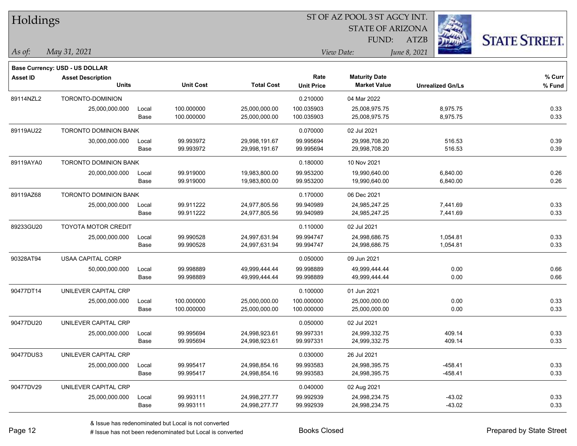| Holdings        |                                          |       |                  |                   | ST OF AZ POOL 3 ST AGCY INT. |                                             |                         |                      |  |  |
|-----------------|------------------------------------------|-------|------------------|-------------------|------------------------------|---------------------------------------------|-------------------------|----------------------|--|--|
|                 |                                          |       |                  |                   |                              | <b>STATE OF ARIZONA</b>                     |                         |                      |  |  |
|                 |                                          |       |                  |                   |                              | FUND:                                       | <b>ATZB</b>             | <b>STATE STREET.</b> |  |  |
| As of:          | May 31, 2021                             |       |                  |                   |                              | View Date:                                  | June 8, 2021            |                      |  |  |
|                 |                                          |       |                  |                   |                              |                                             |                         |                      |  |  |
|                 | Base Currency: USD - US DOLLAR           |       |                  |                   | Rate                         |                                             |                         |                      |  |  |
| <b>Asset ID</b> | <b>Asset Description</b><br><b>Units</b> |       | <b>Unit Cost</b> | <b>Total Cost</b> | <b>Unit Price</b>            | <b>Maturity Date</b><br><b>Market Value</b> | <b>Unrealized Gn/Ls</b> | % Curr<br>$%$ Fund   |  |  |
| 89114NZL2       | TORONTO-DOMINION                         |       |                  |                   | 0.210000                     | 04 Mar 2022                                 |                         |                      |  |  |
|                 | 25,000,000.000                           | Local | 100.000000       | 25,000,000.00     | 100.035903                   | 25,008,975.75                               | 8,975.75                | 0.33                 |  |  |
|                 |                                          | Base  | 100.000000       | 25,000,000.00     | 100.035903                   | 25,008,975.75                               | 8,975.75                | 0.33                 |  |  |
| 89119AU22       | <b>TORONTO DOMINION BANK</b>             |       |                  |                   | 0.070000                     | 02 Jul 2021                                 |                         |                      |  |  |
|                 | 30,000,000.000                           | Local | 99.993972        | 29,998,191.67     | 99.995694                    | 29,998,708.20                               | 516.53                  | 0.39                 |  |  |
|                 |                                          | Base  | 99.993972        | 29,998,191.67     | 99.995694                    | 29,998,708.20                               | 516.53                  | 0.39                 |  |  |
| 89119AYA0       | <b>TORONTO DOMINION BANK</b>             |       |                  |                   | 0.180000                     | 10 Nov 2021                                 |                         |                      |  |  |
|                 | 20,000,000.000                           | Local | 99.919000        | 19,983,800.00     | 99.953200                    | 19,990,640.00                               | 6,840.00                | 0.26                 |  |  |
|                 |                                          | Base  | 99.919000        | 19,983,800.00     | 99.953200                    | 19,990,640.00                               | 6,840.00                | 0.26                 |  |  |
| 89119AZ68       | TORONTO DOMINION BANK                    |       |                  |                   | 0.170000                     | 06 Dec 2021                                 |                         |                      |  |  |
|                 | 25,000,000.000                           | Local | 99.911222        | 24,977,805.56     | 99.940989                    | 24,985,247.25                               | 7,441.69                | 0.33                 |  |  |
|                 |                                          | Base  | 99.911222        | 24,977,805.56     | 99.940989                    | 24,985,247.25                               | 7,441.69                | 0.33                 |  |  |
| 89233GU20       | <b>TOYOTA MOTOR CREDIT</b>               |       |                  |                   | 0.110000                     | 02 Jul 2021                                 |                         |                      |  |  |
|                 | 25,000,000.000                           | Local | 99.990528        | 24,997,631.94     | 99.994747                    | 24,998,686.75                               | 1,054.81                | 0.33                 |  |  |
|                 |                                          | Base  | 99.990528        | 24,997,631.94     | 99.994747                    | 24,998,686.75                               | 1,054.81                | 0.33                 |  |  |
| 90328AT94       | <b>USAA CAPITAL CORP</b>                 |       |                  |                   | 0.050000                     | 09 Jun 2021                                 |                         |                      |  |  |
|                 | 50,000,000.000                           | Local | 99.998889        | 49,999,444.44     | 99.998889                    | 49,999,444.44                               | 0.00                    | 0.66                 |  |  |
|                 |                                          | Base  | 99.998889        | 49,999,444.44     | 99.998889                    | 49,999,444.44                               | 0.00                    | 0.66                 |  |  |
| 90477DT14       | UNILEVER CAPITAL CRP                     |       |                  |                   | 0.100000                     | 01 Jun 2021                                 |                         |                      |  |  |
|                 | 25,000,000.000                           | Local | 100.000000       | 25,000,000.00     | 100.000000                   | 25,000,000.00                               | 0.00                    | 0.33                 |  |  |
|                 |                                          | Base  | 100.000000       | 25,000,000.00     | 100.000000                   | 25,000,000.00                               | 0.00                    | 0.33                 |  |  |
| 90477DU20       | UNILEVER CAPITAL CRP                     |       |                  |                   | 0.050000                     | 02 Jul 2021                                 |                         |                      |  |  |
|                 | 25,000,000.000                           | Local | 99.995694        | 24,998,923.61     | 99.997331                    | 24,999,332.75                               | 409.14                  | 0.33                 |  |  |
|                 |                                          | Base  | 99.995694        | 24,998,923.61     | 99.997331                    | 24,999,332.75                               | 409.14                  | 0.33                 |  |  |
| 90477DUS3       | UNILEVER CAPITAL CRP                     |       |                  |                   | 0.030000                     | 26 Jul 2021                                 |                         |                      |  |  |
|                 | 25,000,000.000                           | Local | 99.995417        | 24,998,854.16     | 99.993583                    | 24,998,395.75                               | -458.41                 | 0.33                 |  |  |
|                 |                                          | Base  | 99.995417        | 24,998,854.16     | 99.993583                    | 24,998,395.75                               | -458.41                 | 0.33                 |  |  |
| 90477DV29       | UNILEVER CAPITAL CRP                     |       |                  |                   | 0.040000                     | 02 Aug 2021                                 |                         |                      |  |  |
|                 | 25,000,000.000                           | Local | 99.993111        | 24,998,277.77     | 99.992939                    | 24,998,234.75                               | $-43.02$                | 0.33                 |  |  |
|                 |                                          | Base  | 99.993111        | 24,998,277.77     | 99.992939                    | 24,998,234.75                               | $-43.02$                | 0.33                 |  |  |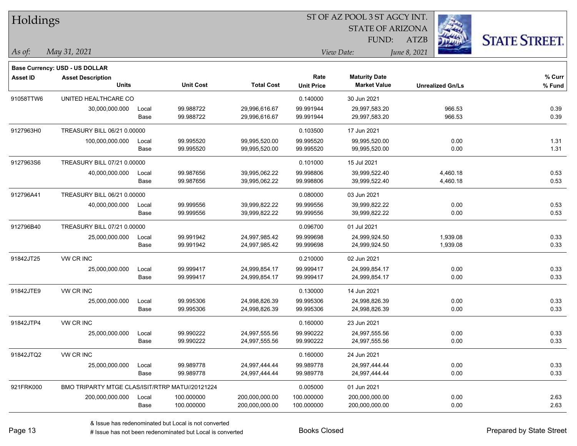| Holdings        |                                                 |       |                  |                   |                   | ST OF AZ POOL 3 ST AGCY INT. |              |                         |                      |
|-----------------|-------------------------------------------------|-------|------------------|-------------------|-------------------|------------------------------|--------------|-------------------------|----------------------|
|                 |                                                 |       |                  |                   |                   | <b>STATE OF ARIZONA</b>      |              |                         |                      |
|                 |                                                 |       |                  |                   |                   | FUND:                        | <b>ATZB</b>  |                         | <b>STATE STREET.</b> |
| As of:          | May 31, 2021                                    |       |                  |                   |                   | View Date:                   | June 8, 2021 |                         |                      |
|                 | Base Currency: USD - US DOLLAR                  |       |                  |                   |                   |                              |              |                         |                      |
| <b>Asset ID</b> | <b>Asset Description</b>                        |       |                  |                   | Rate              | <b>Maturity Date</b>         |              |                         | % Curr               |
|                 | <b>Units</b>                                    |       | <b>Unit Cost</b> | <b>Total Cost</b> | <b>Unit Price</b> | <b>Market Value</b>          |              | <b>Unrealized Gn/Ls</b> | % Fund               |
| 91058TTW6       | UNITED HEALTHCARE CO                            |       |                  |                   | 0.140000          | 30 Jun 2021                  |              |                         |                      |
|                 | 30,000,000.000                                  | Local | 99.988722        | 29,996,616.67     | 99.991944         | 29,997,583.20                |              | 966.53                  | 0.39                 |
|                 |                                                 | Base  | 99.988722        | 29,996,616.67     | 99.991944         | 29,997,583.20                |              | 966.53                  | 0.39                 |
| 9127963H0       | TREASURY BILL 06/21 0.00000                     |       |                  |                   | 0.103500          | 17 Jun 2021                  |              |                         |                      |
|                 | 100,000,000.000                                 | Local | 99.995520        | 99,995,520.00     | 99.995520         | 99,995,520.00                |              | 0.00                    | 1.31                 |
|                 |                                                 | Base  | 99.995520        | 99,995,520.00     | 99.995520         | 99,995,520.00                |              | 0.00                    | 1.31                 |
| 9127963S6       | TREASURY BILL 07/21 0.00000                     |       |                  |                   | 0.101000          | 15 Jul 2021                  |              |                         |                      |
|                 | 40,000,000.000                                  | Local | 99.987656        | 39,995,062.22     | 99.998806         | 39,999,522.40                |              | 4,460.18                | 0.53                 |
|                 |                                                 | Base  | 99.987656        | 39,995,062.22     | 99.998806         | 39,999,522.40                |              | 4,460.18                | 0.53                 |
| 912796A41       | TREASURY BILL 06/21 0.00000                     |       |                  |                   | 0.080000          | 03 Jun 2021                  |              |                         |                      |
|                 | 40,000,000.000                                  | Local | 99.999556        | 39,999,822.22     | 99.999556         | 39,999,822.22                |              | 0.00                    | 0.53                 |
|                 |                                                 | Base  | 99.999556        | 39,999,822.22     | 99.999556         | 39,999,822.22                |              | 0.00                    | 0.53                 |
| 912796B40       | TREASURY BILL 07/21 0.00000                     |       |                  |                   | 0.096700          | 01 Jul 2021                  |              |                         |                      |
|                 | 25,000,000.000                                  | Local | 99.991942        | 24,997,985.42     | 99.999698         | 24,999,924.50                |              | 1,939.08                | 0.33                 |
|                 |                                                 | Base  | 99.991942        | 24,997,985.42     | 99.999698         | 24,999,924.50                |              | 1,939.08                | 0.33                 |
| 91842JT25       | VW CR INC                                       |       |                  |                   | 0.210000          | 02 Jun 2021                  |              |                         |                      |
|                 | 25,000,000.000                                  | Local | 99.999417        | 24,999,854.17     | 99.999417         | 24,999,854.17                |              | 0.00                    | 0.33                 |
|                 |                                                 | Base  | 99.999417        | 24,999,854.17     | 99.999417         | 24,999,854.17                |              | 0.00                    | 0.33                 |
| 91842JTE9       | VW CR INC                                       |       |                  |                   | 0.130000          | 14 Jun 2021                  |              |                         |                      |
|                 | 25,000,000.000                                  | Local | 99.995306        | 24,998,826.39     | 99.995306         | 24,998,826.39                |              | 0.00                    | 0.33                 |
|                 |                                                 | Base  | 99.995306        | 24,998,826.39     | 99.995306         | 24,998,826.39                |              | 0.00                    | 0.33                 |
| 91842JTP4       | VW CR INC                                       |       |                  |                   | 0.160000          | 23 Jun 2021                  |              |                         |                      |
|                 | 25,000,000.000                                  | Local | 99.990222        | 24,997,555.56     | 99.990222         | 24,997,555.56                |              | 0.00                    | 0.33                 |
|                 |                                                 | Base  | 99.990222        | 24,997,555.56     | 99.990222         | 24,997,555.56                |              | 0.00                    | 0.33                 |
| 91842JTQ2       | VW CR INC                                       |       |                  |                   | 0.160000          | 24 Jun 2021                  |              |                         |                      |
|                 | 25,000,000.000                                  | Local | 99.989778        | 24,997,444.44     | 99.989778         | 24,997,444.44                |              | 0.00                    | 0.33                 |
|                 |                                                 | Base  | 99.989778        | 24,997,444.44     | 99.989778         | 24,997,444.44                |              | 0.00                    | 0.33                 |
| 921FRK000       | BMO TRIPARTY MTGE CLAS/ISIT/RTRP MATU//20121224 |       |                  |                   | 0.005000          | 01 Jun 2021                  |              |                         |                      |
|                 | 200,000,000.000                                 | Local | 100.000000       | 200,000,000.00    | 100.000000        | 200,000,000.00               |              | 0.00                    | 2.63                 |
|                 |                                                 | Base  | 100.000000       | 200,000,000.00    | 100.000000        | 200,000,000.00               |              | 0.00                    | 2.63                 |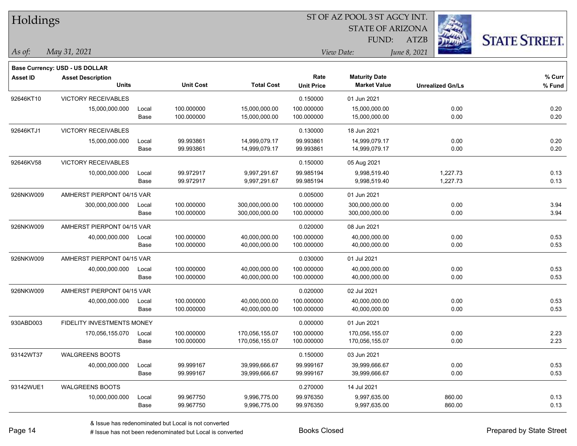| Holdings        |                                   |       |                  |                   | ST OF AZ POOL 3 ST AGCY INT. |                         |                         |                      |  |  |
|-----------------|-----------------------------------|-------|------------------|-------------------|------------------------------|-------------------------|-------------------------|----------------------|--|--|
|                 |                                   |       |                  |                   |                              | <b>STATE OF ARIZONA</b> |                         |                      |  |  |
|                 |                                   |       |                  |                   |                              | FUND:                   | <b>ATZB</b>             | <b>STATE STREET.</b> |  |  |
| As of:          | May 31, 2021                      |       |                  |                   |                              | View Date:              | June 8, 2021            |                      |  |  |
|                 | Base Currency: USD - US DOLLAR    |       |                  |                   |                              |                         |                         |                      |  |  |
| <b>Asset ID</b> | <b>Asset Description</b>          |       |                  |                   | Rate                         | <b>Maturity Date</b>    |                         | % Curr               |  |  |
|                 | <b>Units</b>                      |       | <b>Unit Cost</b> | <b>Total Cost</b> | <b>Unit Price</b>            | <b>Market Value</b>     | <b>Unrealized Gn/Ls</b> | % Fund               |  |  |
| 92646KT10       | <b>VICTORY RECEIVABLES</b>        |       |                  |                   | 0.150000                     | 01 Jun 2021             |                         |                      |  |  |
|                 | 15,000,000.000                    | Local | 100.000000       | 15,000,000.00     | 100.000000                   | 15,000,000.00           | 0.00                    | 0.20                 |  |  |
|                 |                                   | Base  | 100.000000       | 15,000,000.00     | 100.000000                   | 15,000,000.00           | 0.00                    | 0.20                 |  |  |
| 92646KTJ1       | <b>VICTORY RECEIVABLES</b>        |       |                  |                   | 0.130000                     | 18 Jun 2021             |                         |                      |  |  |
|                 | 15,000,000.000                    | Local | 99.993861        | 14,999,079.17     | 99.993861                    | 14,999,079.17           | 0.00                    | 0.20                 |  |  |
|                 |                                   | Base  | 99.993861        | 14,999,079.17     | 99.993861                    | 14,999,079.17           | 0.00                    | 0.20                 |  |  |
| 92646KV58       | <b>VICTORY RECEIVABLES</b>        |       |                  |                   | 0.150000                     | 05 Aug 2021             |                         |                      |  |  |
|                 | 10,000,000.000                    | Local | 99.972917        | 9,997,291.67      | 99.985194                    | 9,998,519.40            | 1,227.73                | 0.13                 |  |  |
|                 |                                   | Base  | 99.972917        | 9,997,291.67      | 99.985194                    | 9,998,519.40            | 1,227.73                | 0.13                 |  |  |
| 926NKW009       | AMHERST PIERPONT 04/15 VAR        |       |                  |                   | 0.005000                     | 01 Jun 2021             |                         |                      |  |  |
|                 | 300,000,000.000                   | Local | 100.000000       | 300,000,000.00    | 100.000000                   | 300,000,000.00          | 0.00                    | 3.94                 |  |  |
|                 |                                   | Base  | 100.000000       | 300,000,000.00    | 100.000000                   | 300,000,000.00          | 0.00                    | 3.94                 |  |  |
| 926NKW009       | AMHERST PIERPONT 04/15 VAR        |       |                  |                   | 0.020000                     | 08 Jun 2021             |                         |                      |  |  |
|                 | 40,000,000.000                    | Local | 100.000000       | 40,000,000.00     | 100.000000                   | 40,000,000.00           | 0.00                    | 0.53                 |  |  |
|                 |                                   | Base  | 100.000000       | 40,000,000.00     | 100.000000                   | 40,000,000.00           | 0.00                    | 0.53                 |  |  |
| 926NKW009       | AMHERST PIERPONT 04/15 VAR        |       |                  |                   | 0.030000                     | 01 Jul 2021             |                         |                      |  |  |
|                 | 40,000,000.000                    | Local | 100.000000       | 40,000,000.00     | 100.000000                   | 40,000,000.00           | 0.00                    | 0.53                 |  |  |
|                 |                                   | Base  | 100.000000       | 40,000,000.00     | 100.000000                   | 40,000,000.00           | 0.00                    | 0.53                 |  |  |
| 926NKW009       | AMHERST PIERPONT 04/15 VAR        |       |                  |                   | 0.020000                     | 02 Jul 2021             |                         |                      |  |  |
|                 | 40,000,000.000                    | Local | 100.000000       | 40,000,000.00     | 100.000000                   | 40,000,000.00           | 0.00                    | 0.53                 |  |  |
|                 |                                   | Base  | 100.000000       | 40,000,000.00     | 100.000000                   | 40,000,000.00           | 0.00                    | 0.53                 |  |  |
| 930ABD003       | <b>FIDELITY INVESTMENTS MONEY</b> |       |                  |                   | 0.000000                     | 01 Jun 2021             |                         |                      |  |  |
|                 | 170,056,155.070                   | Local | 100.000000       | 170,056,155.07    | 100.000000                   | 170,056,155.07          | 0.00                    | 2.23                 |  |  |
|                 |                                   | Base  | 100.000000       | 170,056,155.07    | 100.000000                   | 170,056,155.07          | 0.00                    | 2.23                 |  |  |
| 93142WT37       | <b>WALGREENS BOOTS</b>            |       |                  |                   | 0.150000                     | 03 Jun 2021             |                         |                      |  |  |
|                 | 40,000,000.000                    | Local | 99.999167        | 39,999,666.67     | 99.999167                    | 39,999,666.67           | 0.00                    | 0.53                 |  |  |
|                 |                                   | Base  | 99.999167        | 39,999,666.67     | 99.999167                    | 39,999,666.67           | 0.00                    | 0.53                 |  |  |
| 93142WUE1       | <b>WALGREENS BOOTS</b>            |       |                  |                   | 0.270000                     | 14 Jul 2021             |                         |                      |  |  |
|                 | 10,000,000.000                    | Local | 99.967750        | 9,996,775.00      | 99.976350                    | 9,997,635.00            | 860.00                  | 0.13                 |  |  |
|                 |                                   | Base  | 99.967750        | 9,996,775.00      | 99.976350                    | 9,997,635.00            | 860.00                  | 0.13                 |  |  |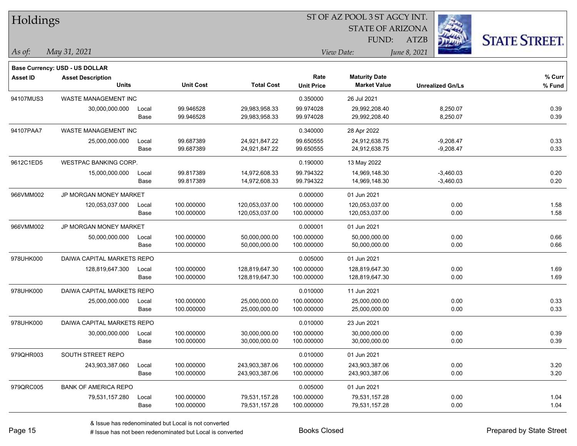| Holdings        |                                |       |                  |                   | 51 OF AZ POOL 351 AGCY INT. |                         |                         |                      |  |  |
|-----------------|--------------------------------|-------|------------------|-------------------|-----------------------------|-------------------------|-------------------------|----------------------|--|--|
|                 |                                |       |                  |                   |                             | <b>STATE OF ARIZONA</b> |                         |                      |  |  |
|                 |                                |       |                  |                   |                             | FUND:                   | <b>ATZB</b>             | <b>STATE STREET.</b> |  |  |
| $As$ of:        | May 31, 2021                   |       |                  |                   |                             | View Date:              | June 8, 2021            |                      |  |  |
|                 | Base Currency: USD - US DOLLAR |       |                  |                   |                             |                         |                         |                      |  |  |
| <b>Asset ID</b> | <b>Asset Description</b>       |       |                  |                   | Rate                        | <b>Maturity Date</b>    |                         | % Curr               |  |  |
|                 | <b>Units</b>                   |       | <b>Unit Cost</b> | <b>Total Cost</b> | <b>Unit Price</b>           | <b>Market Value</b>     | <b>Unrealized Gn/Ls</b> | % Fund               |  |  |
| 94107MUS3       | <b>WASTE MANAGEMENT INC</b>    |       |                  |                   | 0.350000                    | 26 Jul 2021             |                         |                      |  |  |
|                 | 30,000,000.000                 | Local | 99.946528        | 29,983,958.33     | 99.974028                   | 29,992,208.40           | 8,250.07                | 0.39                 |  |  |
|                 |                                | Base  | 99.946528        | 29,983,958.33     | 99.974028                   | 29,992,208.40           | 8,250.07                | 0.39                 |  |  |
| 94107PAA7       | WASTE MANAGEMENT INC           |       |                  |                   | 0.340000                    | 28 Apr 2022             |                         |                      |  |  |
|                 | 25,000,000.000                 | Local | 99.687389        | 24,921,847.22     | 99.650555                   | 24,912,638.75           | $-9,208.47$             | 0.33                 |  |  |
|                 |                                | Base  | 99.687389        | 24,921,847.22     | 99.650555                   | 24,912,638.75           | $-9,208.47$             | 0.33                 |  |  |
| 9612C1ED5       | <b>WESTPAC BANKING CORP.</b>   |       |                  |                   | 0.190000                    | 13 May 2022             |                         |                      |  |  |
|                 | 15,000,000.000                 | Local | 99.817389        | 14,972,608.33     | 99.794322                   | 14,969,148.30           | $-3,460.03$             | 0.20                 |  |  |
|                 |                                | Base  | 99.817389        | 14,972,608.33     | 99.794322                   | 14,969,148.30           | $-3,460.03$             | 0.20                 |  |  |
| 966VMM002       | JP MORGAN MONEY MARKET         |       |                  |                   | 0.000000                    | 01 Jun 2021             |                         |                      |  |  |
|                 | 120,053,037.000                | Local | 100.000000       | 120,053,037.00    | 100.000000                  | 120,053,037.00          | 0.00                    | 1.58                 |  |  |
|                 |                                | Base  | 100.000000       | 120,053,037.00    | 100.000000                  | 120,053,037.00          | 0.00                    | 1.58                 |  |  |
| 966VMM002       | JP MORGAN MONEY MARKET         |       |                  |                   | 0.000001                    | 01 Jun 2021             |                         |                      |  |  |
|                 | 50,000,000.000                 | Local | 100.000000       | 50,000,000.00     | 100.000000                  | 50,000,000.00           | 0.00                    | 0.66                 |  |  |
|                 |                                | Base  | 100.000000       | 50,000,000.00     | 100.000000                  | 50,000,000.00           | 0.00                    | 0.66                 |  |  |
| 978UHK000       | DAIWA CAPITAL MARKETS REPO     |       |                  |                   | 0.005000                    | 01 Jun 2021             |                         |                      |  |  |
|                 | 128,819,647.300                | Local | 100.000000       | 128,819,647.30    | 100.000000                  | 128,819,647.30          | 0.00                    | 1.69                 |  |  |
|                 |                                | Base  | 100.000000       | 128,819,647.30    | 100.000000                  | 128,819,647.30          | 0.00                    | 1.69                 |  |  |
| 978UHK000       | DAIWA CAPITAL MARKETS REPO     |       |                  |                   | 0.010000                    | 11 Jun 2021             |                         |                      |  |  |
|                 | 25,000,000.000                 | Local | 100.000000       | 25,000,000.00     | 100.000000                  | 25,000,000.00           | 0.00                    | 0.33                 |  |  |
|                 |                                | Base  | 100.000000       | 25,000,000.00     | 100.000000                  | 25,000,000.00           | 0.00                    | 0.33                 |  |  |
| 978UHK000       | DAIWA CAPITAL MARKETS REPO     |       |                  |                   | 0.010000                    | 23 Jun 2021             |                         |                      |  |  |
|                 | 30,000,000.000                 | Local | 100.000000       | 30,000,000.00     | 100.000000                  | 30,000,000.00           | 0.00                    | 0.39                 |  |  |
|                 |                                | Base  | 100.000000       | 30,000,000.00     | 100.000000                  | 30,000,000.00           | 0.00                    | 0.39                 |  |  |
| 979QHR003       | SOUTH STREET REPO              |       |                  |                   | 0.010000                    | 01 Jun 2021             |                         |                      |  |  |
|                 | 243,903,387.060                | Local | 100.000000       | 243,903,387.06    | 100.000000                  | 243,903,387.06          | 0.00                    | 3.20                 |  |  |
|                 |                                | Base  | 100.000000       | 243,903,387.06    | 100.000000                  | 243,903,387.06          | 0.00                    | 3.20                 |  |  |
| 979QRC005       | <b>BANK OF AMERICA REPO</b>    |       |                  |                   | 0.005000                    | 01 Jun 2021             |                         |                      |  |  |
|                 | 79,531,157.280                 | Local | 100.000000       | 79,531,157.28     | 100.000000                  | 79,531,157.28           | 0.00                    | 1.04                 |  |  |
|                 |                                | Base  | 100.000000       | 79,531,157.28     | 100.000000                  | 79,531,157.28           | 0.00                    | 1.04                 |  |  |

 $STOTAT$   $17 DOOT$  3  $ST A GOCH$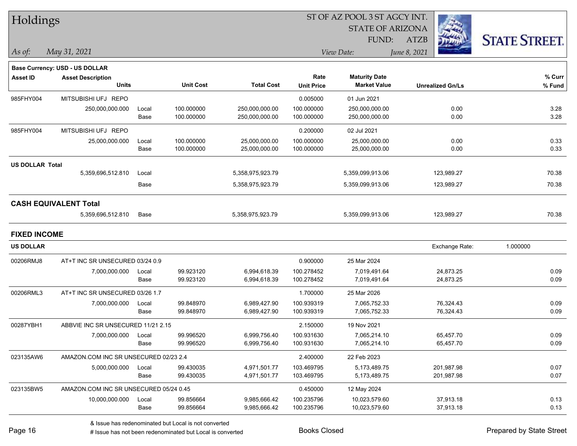| Holdings               |                                        |       |                  |                   | ST OF AZ POOL 3 ST AGCY INT. |                         |                         |                      |
|------------------------|----------------------------------------|-------|------------------|-------------------|------------------------------|-------------------------|-------------------------|----------------------|
|                        |                                        |       |                  |                   |                              | <b>STATE OF ARIZONA</b> |                         |                      |
|                        |                                        |       |                  |                   |                              | FUND:                   | ATZB                    | <b>STATE STREET.</b> |
| As of:                 | May 31, 2021                           |       |                  |                   |                              | View Date:              | June 8, 2021            |                      |
|                        | Base Currency: USD - US DOLLAR         |       |                  |                   |                              |                         |                         |                      |
| <b>Asset ID</b>        | <b>Asset Description</b>               |       |                  |                   | Rate                         | <b>Maturity Date</b>    |                         | % Curr               |
|                        | <b>Units</b>                           |       | <b>Unit Cost</b> | <b>Total Cost</b> | <b>Unit Price</b>            | <b>Market Value</b>     | <b>Unrealized Gn/Ls</b> | % Fund               |
| 985FHY004              | MITSUBISHI UFJ REPO                    |       |                  |                   | 0.005000                     | 01 Jun 2021             |                         |                      |
|                        | 250,000,000.000                        | Local | 100.000000       | 250,000,000.00    | 100.000000                   | 250,000,000.00          | 0.00                    | 3.28                 |
|                        |                                        | Base  | 100.000000       | 250,000,000.00    | 100.000000                   | 250,000,000.00          | 0.00                    | 3.28                 |
| 985FHY004              | MITSUBISHI UFJ REPO                    |       |                  |                   | 0.200000                     | 02 Jul 2021             |                         |                      |
|                        | 25,000,000.000                         | Local | 100.000000       | 25,000,000.00     | 100.000000                   | 25,000,000.00           | 0.00                    | 0.33                 |
|                        |                                        | Base  | 100.000000       | 25,000,000.00     | 100.000000                   | 25,000,000.00           | 0.00                    | 0.33                 |
| <b>US DOLLAR Total</b> |                                        |       |                  |                   |                              |                         |                         |                      |
|                        | 5,359,696,512.810                      | Local |                  | 5,358,975,923.79  |                              | 5,359,099,913.06        | 123,989.27              | 70.38                |
|                        |                                        | Base  |                  | 5,358,975,923.79  |                              | 5,359,099,913.06        | 123,989.27              | 70.38                |
|                        | <b>CASH EQUIVALENT Total</b>           |       |                  |                   |                              |                         |                         |                      |
|                        | 5,359,696,512.810                      | Base  |                  | 5,358,975,923.79  |                              | 5,359,099,913.06        | 123,989.27              | 70.38                |
| <b>FIXED INCOME</b>    |                                        |       |                  |                   |                              |                         |                         |                      |
| <b>US DOLLAR</b>       |                                        |       |                  |                   |                              |                         | Exchange Rate:          | 1.000000             |
| 00206RMJ8              | AT+T INC SR UNSECURED 03/24 0.9        |       |                  |                   | 0.900000                     | 25 Mar 2024             |                         |                      |
|                        | 7,000,000.000                          | Local | 99.923120        | 6,994,618.39      | 100.278452                   | 7,019,491.64            | 24,873.25               | 0.09                 |
|                        |                                        | Base  | 99.923120        | 6,994,618.39      | 100.278452                   | 7,019,491.64            | 24,873.25               | 0.09                 |
| 00206RML3              | AT+T INC SR UNSECURED 03/26 1.7        |       |                  |                   | 1.700000                     | 25 Mar 2026             |                         |                      |
|                        | 7,000,000.000                          | Local | 99.848970        | 6,989,427.90      | 100.939319                   | 7,065,752.33            | 76,324.43               | 0.09                 |
|                        |                                        | Base  | 99.848970        | 6,989,427.90      | 100.939319                   | 7,065,752.33            | 76,324.43               | 0.09                 |
| 00287YBH1              | ABBVIE INC SR UNSECURED 11/21 2.15     |       |                  |                   | 2.150000                     | 19 Nov 2021             |                         |                      |
|                        | 7,000,000.000                          | Local | 99.996520        | 6,999,756.40      | 100.931630                   | 7,065,214.10            | 65,457.70               | 0.09                 |
|                        |                                        | Base  | 99.996520        | 6,999,756.40      | 100.931630                   | 7,065,214.10            | 65,457.70               | 0.09                 |
| 023135AW6              | AMAZON.COM INC SR UNSECURED 02/23 2.4  |       |                  |                   | 2.400000                     | 22 Feb 2023             |                         |                      |
|                        | 5,000,000.000                          | Local | 99.430035        | 4,971,501.77      | 103.469795                   | 5,173,489.75            | 201,987.98              | 0.07                 |
|                        |                                        | Base  | 99.430035        | 4,971,501.77      | 103.469795                   | 5,173,489.75            | 201,987.98              | 0.07                 |
| 023135BW5              | AMAZON.COM INC SR UNSECURED 05/24 0.45 |       |                  |                   | 0.450000                     | 12 May 2024             |                         |                      |
|                        | 10,000,000.000                         | Local | 99.856664        | 9,985,666.42      | 100.235796                   | 10,023,579.60           | 37,913.18               | 0.13                 |
|                        |                                        | Base  | 99.856664        | 9,985,666.42      | 100.235796                   | 10,023,579.60           | 37,913.18               | 0.13                 |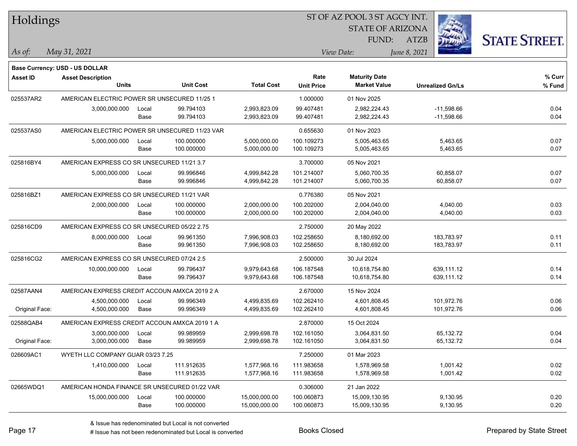| Holdings        |                                                |       |                  |                   | 51 OF AZ POOL 3 51 AGCY INT. |                         |                         |                      |  |  |  |
|-----------------|------------------------------------------------|-------|------------------|-------------------|------------------------------|-------------------------|-------------------------|----------------------|--|--|--|
|                 |                                                |       |                  |                   |                              | <b>STATE OF ARIZONA</b> | i.                      |                      |  |  |  |
|                 |                                                |       |                  |                   |                              | FUND:                   | ATZB                    | <b>STATE STREET.</b> |  |  |  |
|                 |                                                |       |                  |                   |                              |                         |                         |                      |  |  |  |
| As of:          | May 31, 2021                                   |       |                  |                   |                              | View Date:              | June 8, 2021            |                      |  |  |  |
|                 | <b>Base Currency: USD - US DOLLAR</b>          |       |                  |                   |                              |                         |                         |                      |  |  |  |
| <b>Asset ID</b> | <b>Asset Description</b>                       |       |                  |                   | Rate                         | <b>Maturity Date</b>    |                         | % Curr               |  |  |  |
|                 | <b>Units</b>                                   |       | <b>Unit Cost</b> | <b>Total Cost</b> | <b>Unit Price</b>            | <b>Market Value</b>     | <b>Unrealized Gn/Ls</b> | % Fund               |  |  |  |
| 025537AR2       | AMERICAN ELECTRIC POWER SR UNSECURED 11/25 1   |       |                  |                   | 1.000000                     | 01 Nov 2025             |                         |                      |  |  |  |
|                 | 3,000,000.000                                  | Local | 99.794103        | 2,993,823.09      | 99.407481                    | 2,982,224.43            | $-11,598.66$            | 0.04                 |  |  |  |
|                 |                                                | Base  | 99.794103        | 2,993,823.09      | 99.407481                    | 2,982,224.43            | $-11,598.66$            | 0.04                 |  |  |  |
| 025537AS0       | AMERICAN ELECTRIC POWER SR UNSECURED 11/23 VAR |       |                  |                   | 0.655630                     | 01 Nov 2023             |                         |                      |  |  |  |
|                 | 5,000,000.000                                  | Local | 100.000000       | 5,000,000.00      | 100.109273                   | 5,005,463.65            | 5,463.65                | 0.07                 |  |  |  |
|                 |                                                | Base  | 100.000000       | 5,000,000.00      | 100.109273                   | 5,005,463.65            | 5,463.65                | 0.07                 |  |  |  |
| 025816BY4       | AMERICAN EXPRESS CO SR UNSECURED 11/21 3.7     |       |                  |                   | 3.700000                     | 05 Nov 2021             |                         |                      |  |  |  |
|                 | 5,000,000.000                                  | Local | 99.996846        | 4,999,842.28      | 101.214007                   | 5,060,700.35            | 60,858.07               | 0.07                 |  |  |  |
|                 |                                                | Base  | 99.996846        | 4,999,842.28      | 101.214007                   | 5,060,700.35            | 60,858.07               | 0.07                 |  |  |  |
| 025816BZ1       | AMERICAN EXPRESS CO SR UNSECURED 11/21 VAR     |       |                  |                   | 0.776380                     | 05 Nov 2021             |                         |                      |  |  |  |
|                 | 2,000,000.000                                  | Local | 100.000000       | 2,000,000.00      | 100.202000                   | 2,004,040.00            | 4,040.00                | 0.03                 |  |  |  |
|                 |                                                | Base  | 100.000000       | 2,000,000.00      | 100.202000                   | 2,004,040.00            | 4,040.00                | 0.03                 |  |  |  |
| 025816CD9       | AMERICAN EXPRESS CO SR UNSECURED 05/22 2.75    |       |                  |                   | 2.750000                     | 20 May 2022             |                         |                      |  |  |  |
|                 | 8,000,000.000                                  | Local | 99.961350        | 7,996,908.03      | 102.258650                   | 8,180,692.00            | 183,783.97              | 0.11                 |  |  |  |
|                 |                                                | Base  | 99.961350        | 7,996,908.03      | 102.258650                   | 8,180,692.00            | 183,783.97              | 0.11                 |  |  |  |
| 025816CG2       | AMERICAN EXPRESS CO SR UNSECURED 07/24 2.5     |       |                  |                   | 2.500000                     | 30 Jul 2024             |                         |                      |  |  |  |
|                 | 10,000,000.000                                 | Local | 99.796437        | 9,979,643.68      | 106.187548                   | 10,618,754.80           | 639,111.12              | 0.14                 |  |  |  |
|                 |                                                | Base  | 99.796437        | 9,979,643.68      | 106.187548                   | 10,618,754.80           | 639,111.12              | 0.14                 |  |  |  |
| 02587AAN4       | AMERICAN EXPRESS CREDIT ACCOUN AMXCA 2019 2 A  |       |                  |                   | 2.670000                     | 15 Nov 2024             |                         |                      |  |  |  |
|                 | 4,500,000.000                                  | Local | 99.996349        | 4,499,835.69      | 102.262410                   | 4,601,808.45            | 101,972.76              | 0.06                 |  |  |  |
| Original Face:  | 4,500,000.000                                  | Base  | 99.996349        | 4,499,835.69      | 102.262410                   | 4,601,808.45            | 101,972.76              | 0.06                 |  |  |  |
| 02588QAB4       | AMERICAN EXPRESS CREDIT ACCOUN AMXCA 2019 1 A  |       |                  |                   | 2.870000                     | 15 Oct 2024             |                         |                      |  |  |  |
|                 | 3,000,000.000                                  | Local | 99.989959        | 2,999,698.78      | 102.161050                   | 3,064,831.50            | 65,132.72               | 0.04                 |  |  |  |
| Original Face:  | 3,000,000.000                                  | Base  | 99.989959        | 2,999,698.78      | 102.161050                   | 3,064,831.50            | 65,132.72               | 0.04                 |  |  |  |
| 026609AC1       | WYETH LLC COMPANY GUAR 03/23 7.25              |       |                  |                   | 7.250000                     | 01 Mar 2023             |                         |                      |  |  |  |
|                 | 1,410,000.000                                  | Local | 111.912635       | 1,577,968.16      | 111.983658                   | 1,578,969.58            | 1,001.42                | 0.02                 |  |  |  |
|                 |                                                | Base  | 111.912635       | 1,577,968.16      | 111.983658                   | 1,578,969.58            | 1,001.42                | 0.02                 |  |  |  |
| 02665WDQ1       | AMERICAN HONDA FINANCE SR UNSECURED 01/22 VAR  |       |                  |                   | 0.306000                     | 21 Jan 2022             |                         |                      |  |  |  |
|                 | 15,000,000.000                                 | Local | 100.000000       | 15,000,000.00     | 100.060873                   | 15,009,130.95           | 9,130.95                | 0.20                 |  |  |  |
|                 |                                                | Base  | 100.000000       | 15,000,000.00     | 100.060873                   | 15,009,130.95           | 9,130.95                | 0.20                 |  |  |  |
|                 |                                                |       |                  |                   |                              |                         |                         |                      |  |  |  |

ST OF A Z POOL 2 ST ACCV INT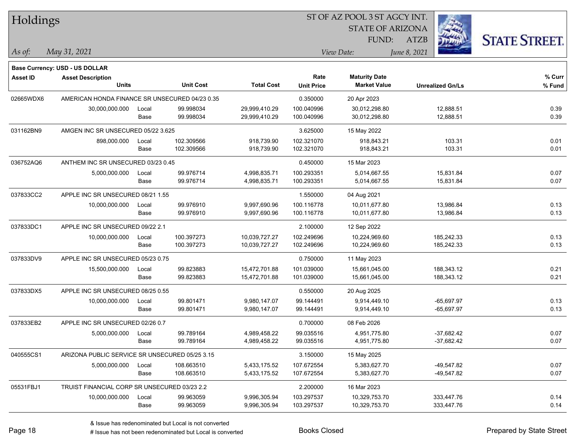| Holdings        |                                                |       |                  |                   | ST OF AZ POOL 3 ST AGCY INT. |                                             |              |                         |                      |
|-----------------|------------------------------------------------|-------|------------------|-------------------|------------------------------|---------------------------------------------|--------------|-------------------------|----------------------|
|                 |                                                |       |                  |                   |                              | <b>STATE OF ARIZONA</b>                     |              |                         |                      |
|                 |                                                |       |                  |                   |                              | FUND:                                       | <b>ATZB</b>  |                         | <b>STATE STREET.</b> |
| As of:          | May 31, 2021                                   |       |                  |                   |                              | View Date:                                  | June 8, 2021 |                         |                      |
|                 | Base Currency: USD - US DOLLAR                 |       |                  |                   |                              |                                             |              |                         |                      |
| <b>Asset ID</b> | <b>Asset Description</b><br><b>Units</b>       |       | <b>Unit Cost</b> | <b>Total Cost</b> | Rate                         | <b>Maturity Date</b><br><b>Market Value</b> |              |                         | % Curr               |
|                 |                                                |       |                  |                   | <b>Unit Price</b>            |                                             |              | <b>Unrealized Gn/Ls</b> | % Fund               |
| 02665WDX6       | AMERICAN HONDA FINANCE SR UNSECURED 04/23 0.35 |       |                  |                   | 0.350000                     | 20 Apr 2023                                 |              |                         |                      |
|                 | 30,000,000.000                                 | Local | 99.998034        | 29,999,410.29     | 100.040996                   | 30,012,298.80                               |              | 12,888.51               | 0.39                 |
|                 |                                                | Base  | 99.998034        | 29,999,410.29     | 100.040996                   | 30,012,298.80                               |              | 12,888.51               | 0.39                 |
| 031162BN9       | AMGEN INC SR UNSECURED 05/22 3.625             |       |                  |                   | 3.625000                     | 15 May 2022                                 |              |                         |                      |
|                 | 898,000.000                                    | Local | 102.309566       | 918,739.90        | 102.321070                   | 918,843.21                                  |              | 103.31                  | 0.01                 |
|                 |                                                | Base  | 102.309566       | 918,739.90        | 102.321070                   | 918,843.21                                  |              | 103.31                  | 0.01                 |
| 036752AQ6       | ANTHEM INC SR UNSECURED 03/23 0.45             |       |                  |                   | 0.450000                     | 15 Mar 2023                                 |              |                         |                      |
|                 | 5,000,000.000                                  | Local | 99.976714        | 4,998,835.71      | 100.293351                   | 5,014,667.55                                |              | 15,831.84               | 0.07                 |
|                 |                                                | Base  | 99.976714        | 4,998,835.71      | 100.293351                   | 5,014,667.55                                |              | 15,831.84               | 0.07                 |
| 037833CC2       | APPLE INC SR UNSECURED 08/21 1.55              |       |                  |                   | 1.550000                     | 04 Aug 2021                                 |              |                         |                      |
|                 | 10,000,000.000                                 | Local | 99.976910        | 9,997,690.96      | 100.116778                   | 10,011,677.80                               |              | 13,986.84               | 0.13                 |
|                 |                                                | Base  | 99.976910        | 9,997,690.96      | 100.116778                   | 10,011,677.80                               |              | 13,986.84               | 0.13                 |
| 037833DC1       | APPLE INC SR UNSECURED 09/22 2.1               |       |                  |                   | 2.100000                     | 12 Sep 2022                                 |              |                         |                      |
|                 | 10,000,000.000                                 | Local | 100.397273       | 10,039,727.27     | 102.249696                   | 10,224,969.60                               |              | 185,242.33              | 0.13                 |
|                 |                                                | Base  | 100.397273       | 10,039,727.27     | 102.249696                   | 10,224,969.60                               |              | 185,242.33              | 0.13                 |
| 037833DV9       | APPLE INC SR UNSECURED 05/23 0.75              |       |                  |                   | 0.750000                     | 11 May 2023                                 |              |                         |                      |
|                 | 15,500,000.000                                 | Local | 99.823883        | 15,472,701.88     | 101.039000                   | 15,661,045.00                               |              | 188,343.12              | 0.21                 |
|                 |                                                | Base  | 99.823883        | 15,472,701.88     | 101.039000                   | 15,661,045.00                               |              | 188,343.12              | 0.21                 |
| 037833DX5       | APPLE INC SR UNSECURED 08/25 0.55              |       |                  |                   | 0.550000                     | 20 Aug 2025                                 |              |                         |                      |
|                 | 10,000,000.000                                 | Local | 99.801471        | 9,980,147.07      | 99.144491                    | 9,914,449.10                                |              | $-65,697.97$            | 0.13                 |
|                 |                                                | Base  | 99.801471        | 9,980,147.07      | 99.144491                    | 9,914,449.10                                |              | $-65,697.97$            | 0.13                 |
| 037833EB2       | APPLE INC SR UNSECURED 02/26 0.7               |       |                  |                   | 0.700000                     | 08 Feb 2026                                 |              |                         |                      |
|                 | 5,000,000.000                                  | Local | 99.789164        | 4,989,458.22      | 99.035516                    | 4,951,775.80                                |              | $-37,682.42$            | 0.07                 |
|                 |                                                | Base  | 99.789164        | 4,989,458.22      | 99.035516                    | 4,951,775.80                                |              | $-37,682.42$            | 0.07                 |
| 040555CS1       | ARIZONA PUBLIC SERVICE SR UNSECURED 05/25 3.15 |       |                  |                   | 3.150000                     | 15 May 2025                                 |              |                         |                      |
|                 | 5,000,000.000                                  | Local | 108.663510       | 5,433,175.52      | 107.672554                   | 5,383,627.70                                |              | -49,547.82              | 0.07                 |
|                 |                                                | Base  | 108.663510       | 5,433,175.52      | 107.672554                   | 5,383,627.70                                |              | -49,547.82              | 0.07                 |
| 05531FBJ1       | TRUIST FINANCIAL CORP SR UNSECURED 03/23 2.2   |       |                  |                   | 2.200000                     | 16 Mar 2023                                 |              |                         |                      |
|                 | 10,000,000.000                                 | Local | 99.963059        | 9,996,305.94      | 103.297537                   | 10,329,753.70                               |              | 333,447.76              | 0.14                 |
|                 |                                                | Base  | 99.963059        | 9,996,305.94      | 103.297537                   | 10,329,753.70                               |              | 333,447.76              | 0.14                 |

 $\overline{\phantom{0}}$ 

 $\overline{\phantom{0}}$ 

 $\overline{\phantom{0}}$ 

 $\overline{\phantom{0}}$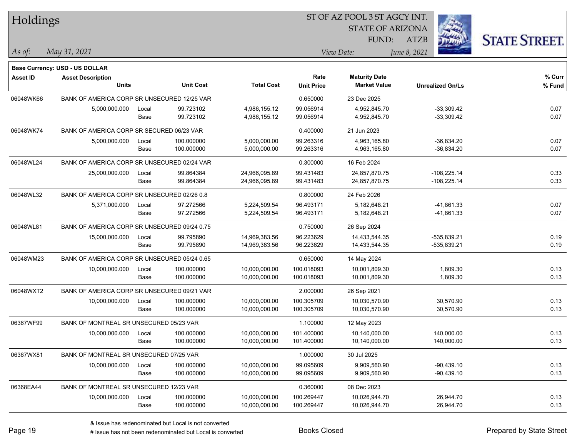| Holdings        |                                              |       |                  |                   |                   | ST OF AZ POOL 3 ST AGCY INT. |              |                         |                      |
|-----------------|----------------------------------------------|-------|------------------|-------------------|-------------------|------------------------------|--------------|-------------------------|----------------------|
|                 |                                              |       |                  |                   |                   | <b>STATE OF ARIZONA</b>      |              |                         |                      |
|                 |                                              |       |                  |                   |                   | FUND:                        | <b>ATZB</b>  |                         | <b>STATE STREET.</b> |
| As of:          | May 31, 2021                                 |       |                  |                   |                   | View Date:                   | June 8, 2021 |                         |                      |
|                 | Base Currency: USD - US DOLLAR               |       |                  |                   |                   |                              |              |                         |                      |
| <b>Asset ID</b> | <b>Asset Description</b>                     |       |                  |                   | Rate              | <b>Maturity Date</b>         |              |                         | % Curr               |
|                 | <b>Units</b>                                 |       | <b>Unit Cost</b> | <b>Total Cost</b> | <b>Unit Price</b> | <b>Market Value</b>          |              | <b>Unrealized Gn/Ls</b> | % Fund               |
| 06048WK66       | BANK OF AMERICA CORP SR UNSECURED 12/25 VAR  |       |                  |                   | 0.650000          | 23 Dec 2025                  |              |                         |                      |
|                 | 5,000,000.000                                | Local | 99.723102        | 4,986,155.12      | 99.056914         | 4,952,845.70                 |              | $-33,309.42$            | 0.07                 |
|                 |                                              | Base  | 99.723102        | 4,986,155.12      | 99.056914         | 4,952,845.70                 |              | $-33,309.42$            | 0.07                 |
| 06048WK74       | BANK OF AMERICA CORP SR SECURED 06/23 VAR    |       |                  |                   | 0.400000          | 21 Jun 2023                  |              |                         |                      |
|                 | 5,000,000.000                                | Local | 100.000000       | 5,000,000.00      | 99.263316         | 4,963,165.80                 |              | $-36,834.20$            | 0.07                 |
|                 |                                              | Base  | 100.000000       | 5,000,000.00      | 99.263316         | 4,963,165.80                 |              | $-36,834.20$            | 0.07                 |
| 06048WL24       | BANK OF AMERICA CORP SR UNSECURED 02/24 VAR  |       |                  |                   | 0.300000          | 16 Feb 2024                  |              |                         |                      |
|                 | 25,000,000.000                               | Local | 99.864384        | 24,966,095.89     | 99.431483         | 24,857,870.75                |              | $-108,225.14$           | 0.33                 |
|                 |                                              | Base  | 99.864384        | 24,966,095.89     | 99.431483         | 24,857,870.75                |              | $-108,225.14$           | 0.33                 |
| 06048WL32       | BANK OF AMERICA CORP SR UNSECURED 02/26 0.8  |       |                  |                   | 0.800000          | 24 Feb 2026                  |              |                         |                      |
|                 | 5,371,000.000                                | Local | 97.272566        | 5,224,509.54      | 96.493171         | 5.182.648.21                 |              | -41,861.33              | 0.07                 |
|                 |                                              | Base  | 97.272566        | 5,224,509.54      | 96.493171         | 5,182,648.21                 |              | $-41,861.33$            | 0.07                 |
| 06048WL81       | BANK OF AMERICA CORP SR UNSECURED 09/24 0.75 |       |                  |                   | 0.750000          | 26 Sep 2024                  |              |                         |                      |
|                 | 15,000,000.000                               | Local | 99.795890        | 14,969,383.56     | 96.223629         | 14,433,544.35                |              | -535,839.21             | 0.19                 |
|                 |                                              | Base  | 99.795890        | 14,969,383.56     | 96.223629         | 14,433,544.35                |              | -535,839.21             | 0.19                 |
| 06048WM23       | BANK OF AMERICA CORP SR UNSECURED 05/24 0.65 |       |                  |                   | 0.650000          | 14 May 2024                  |              |                         |                      |
|                 | 10,000,000.000                               | Local | 100.000000       | 10,000,000.00     | 100.018093        | 10,001,809.30                |              | 1,809.30                | 0.13                 |
|                 |                                              | Base  | 100.000000       | 10,000,000.00     | 100.018093        | 10,001,809.30                |              | 1,809.30                | 0.13                 |
| 06048WXT2       | BANK OF AMERICA CORP SR UNSECURED 09/21 VAR  |       |                  |                   | 2.000000          | 26 Sep 2021                  |              |                         |                      |
|                 | 10,000,000.000                               | Local | 100.000000       | 10,000,000.00     | 100.305709        | 10,030,570.90                |              | 30,570.90               | 0.13                 |
|                 |                                              | Base  | 100.000000       | 10,000,000.00     | 100.305709        | 10,030,570.90                |              | 30,570.90               | 0.13                 |
| 06367WF99       | BANK OF MONTREAL SR UNSECURED 05/23 VAR      |       |                  |                   | 1.100000          | 12 May 2023                  |              |                         |                      |
|                 | 10,000,000.000                               | Local | 100.000000       | 10,000,000.00     | 101.400000        | 10,140,000.00                |              | 140,000.00              | 0.13                 |
|                 |                                              | Base  | 100.000000       | 10,000,000.00     | 101.400000        | 10,140,000.00                |              | 140,000.00              | 0.13                 |
| 06367WX81       | BANK OF MONTREAL SR UNSECURED 07/25 VAR      |       |                  |                   | 1.000000          | 30 Jul 2025                  |              |                         |                      |
|                 | 10,000,000.000                               | Local | 100.000000       | 10,000,000.00     | 99.095609         | 9,909,560.90                 |              | $-90,439.10$            | 0.13                 |
|                 |                                              | Base  | 100.000000       | 10,000,000.00     | 99.095609         | 9,909,560.90                 |              | $-90,439.10$            | 0.13                 |
| 06368EA44       | BANK OF MONTREAL SR UNSECURED 12/23 VAR      |       |                  |                   | 0.360000          | 08 Dec 2023                  |              |                         |                      |
|                 | 10,000,000.000                               | Local | 100.000000       | 10,000,000.00     | 100.269447        | 10,026,944.70                |              | 26,944.70               | 0.13                 |
|                 |                                              | Base  | 100.000000       | 10,000,000.00     | 100.269447        | 10,026,944.70                |              | 26,944.70               | 0.13                 |

# Issue has not been redenominated but Local is converted Books Closed Prepared by State Street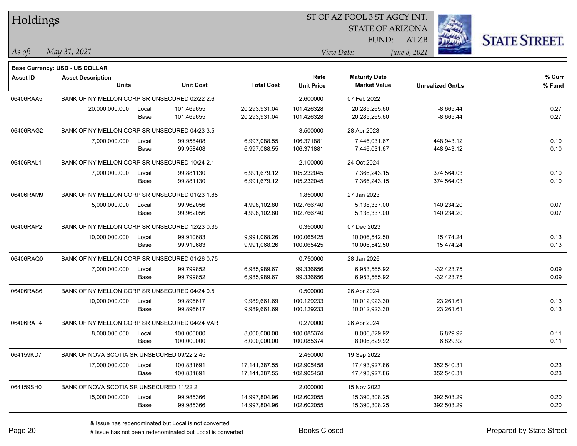| Holdings        |                                                |       |                  |                   | 51 OF AZ POOL 3 51 AGCY INT. |                         |                         |                      |  |  |  |
|-----------------|------------------------------------------------|-------|------------------|-------------------|------------------------------|-------------------------|-------------------------|----------------------|--|--|--|
|                 |                                                |       |                  |                   |                              | <b>STATE OF ARIZONA</b> | in.                     |                      |  |  |  |
|                 |                                                |       |                  |                   |                              | FUND:                   | ATZB                    | <b>STATE STREET.</b> |  |  |  |
| As of:          | May 31, 2021                                   |       |                  |                   |                              | View Date:              | June 8, 2021            |                      |  |  |  |
|                 |                                                |       |                  |                   |                              |                         |                         |                      |  |  |  |
|                 | <b>Base Currency: USD - US DOLLAR</b>          |       |                  |                   |                              |                         |                         |                      |  |  |  |
| <b>Asset ID</b> | <b>Asset Description</b>                       |       |                  |                   | Rate                         | <b>Maturity Date</b>    |                         | % Curr               |  |  |  |
|                 | <b>Units</b>                                   |       | <b>Unit Cost</b> | <b>Total Cost</b> | <b>Unit Price</b>            | <b>Market Value</b>     | <b>Unrealized Gn/Ls</b> | % Fund               |  |  |  |
| 06406RAA5       | BANK OF NY MELLON CORP SR UNSECURED 02/22 2.6  |       |                  |                   | 2.600000                     | 07 Feb 2022             |                         |                      |  |  |  |
|                 | 20,000,000.000                                 | Local | 101.469655       | 20,293,931.04     | 101.426328                   | 20,285,265.60           | $-8,665.44$             | 0.27                 |  |  |  |
|                 |                                                | Base  | 101.469655       | 20,293,931.04     | 101.426328                   | 20,285,265.60           | $-8,665.44$             | 0.27                 |  |  |  |
| 06406RAG2       | BANK OF NY MELLON CORP SR UNSECURED 04/23 3.5  |       |                  |                   | 3.500000                     | 28 Apr 2023             |                         |                      |  |  |  |
|                 | 7,000,000.000                                  | Local | 99.958408        | 6,997,088.55      | 106.371881                   | 7,446,031.67            | 448,943.12              | 0.10                 |  |  |  |
|                 |                                                | Base  | 99.958408        | 6,997,088.55      | 106.371881                   | 7,446,031.67            | 448,943.12              | 0.10                 |  |  |  |
| 06406RAL1       | BANK OF NY MELLON CORP SR UNSECURED 10/24 2.1  |       |                  |                   | 2.100000                     | 24 Oct 2024             |                         |                      |  |  |  |
|                 | 7,000,000.000                                  | Local | 99.881130        | 6,991,679.12      | 105.232045                   | 7,366,243.15            | 374,564.03              | 0.10                 |  |  |  |
|                 |                                                | Base  | 99.881130        | 6,991,679.12      | 105.232045                   | 7,366,243.15            | 374,564.03              | 0.10                 |  |  |  |
| 06406RAM9       | BANK OF NY MELLON CORP SR UNSECURED 01/23 1.85 |       |                  |                   | 1.850000                     | 27 Jan 2023             |                         |                      |  |  |  |
|                 | 5,000,000.000                                  | Local | 99.962056        | 4,998,102.80      | 102.766740                   | 5,138,337.00            | 140,234.20              | 0.07                 |  |  |  |
|                 |                                                | Base  | 99.962056        | 4,998,102.80      | 102.766740                   | 5,138,337.00            | 140,234.20              | 0.07                 |  |  |  |
| 06406RAP2       | BANK OF NY MELLON CORP SR UNSECURED 12/23 0.35 |       |                  |                   | 0.350000                     | 07 Dec 2023             |                         |                      |  |  |  |
|                 | 10,000,000.000                                 | Local | 99.910683        | 9,991,068.26      | 100.065425                   | 10,006,542.50           | 15,474.24               | 0.13                 |  |  |  |
|                 |                                                | Base  | 99.910683        | 9,991,068.26      | 100.065425                   | 10,006,542.50           | 15,474.24               | 0.13                 |  |  |  |
| 06406RAQ0       | BANK OF NY MELLON CORP SR UNSECURED 01/26 0.75 |       |                  |                   | 0.750000                     | 28 Jan 2026             |                         |                      |  |  |  |
|                 | 7,000,000.000                                  | Local | 99.799852        | 6,985,989.67      | 99.336656                    | 6,953,565.92            | $-32,423.75$            | 0.09                 |  |  |  |
|                 |                                                | Base  | 99.799852        | 6,985,989.67      | 99.336656                    | 6,953,565.92            | $-32,423.75$            | 0.09                 |  |  |  |
| 06406RAS6       | BANK OF NY MELLON CORP SR UNSECURED 04/24 0.5  |       |                  |                   | 0.500000                     | 26 Apr 2024             |                         |                      |  |  |  |
|                 | 10,000,000.000                                 | Local | 99.896617        | 9,989,661.69      | 100.129233                   | 10,012,923.30           | 23,261.61               | 0.13                 |  |  |  |
|                 |                                                | Base  | 99.896617        | 9,989,661.69      | 100.129233                   | 10,012,923.30           | 23,261.61               | 0.13                 |  |  |  |
| 06406RAT4       | BANK OF NY MELLON CORP SR UNSECURED 04/24 VAR  |       |                  |                   | 0.270000                     | 26 Apr 2024             |                         |                      |  |  |  |
|                 | 8,000,000.000                                  | Local | 100.000000       | 8,000,000.00      | 100.085374                   | 8,006,829.92            | 6,829.92                | 0.11                 |  |  |  |
|                 |                                                | Base  | 100.000000       | 8,000,000.00      | 100.085374                   | 8,006,829.92            | 6,829.92                | 0.11                 |  |  |  |
| 064159KD7       | BANK OF NOVA SCOTIA SR UNSECURED 09/22 2.45    |       |                  |                   | 2.450000                     | 19 Sep 2022             |                         |                      |  |  |  |
|                 | 17,000,000.000                                 | Local | 100.831691       | 17, 141, 387.55   | 102.905458                   | 17,493,927.86           | 352,540.31              | 0.23                 |  |  |  |
|                 |                                                | Base  | 100.831691       | 17, 141, 387.55   | 102.905458                   | 17,493,927.86           | 352,540.31              | 0.23                 |  |  |  |
| 064159SH0       | BANK OF NOVA SCOTIA SR UNSECURED 11/22 2       |       |                  |                   | 2.000000                     | 15 Nov 2022             |                         |                      |  |  |  |
|                 | 15,000,000.000                                 | Local | 99.985366        | 14,997,804.96     | 102.602055                   | 15,390,308.25           | 392,503.29              | 0.20                 |  |  |  |
|                 |                                                | Base  | 99.985366        | 14,997,804.96     | 102.602055                   | 15,390,308.25           | 392,503.29              | 0.20                 |  |  |  |
|                 |                                                |       |                  |                   |                              |                         |                         |                      |  |  |  |

ST OF A Z POOL 2 ST ACCV INT

# Issue has not been redenominated but Local is converted Books Closed Prepared by State Street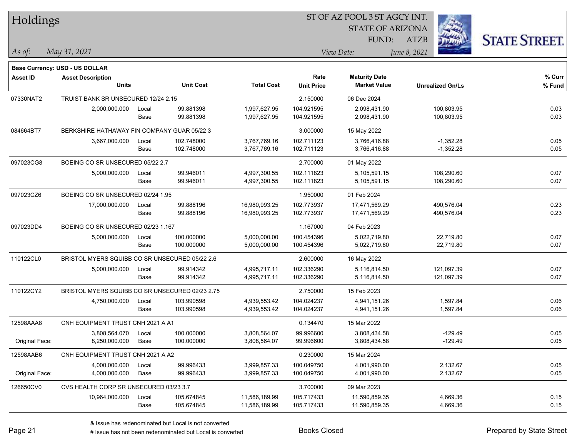| Holdings        |                                                 |       |                  |                   | ST OF AZ POOL 3 ST AGCY INT. |                         |                         |                      |  |
|-----------------|-------------------------------------------------|-------|------------------|-------------------|------------------------------|-------------------------|-------------------------|----------------------|--|
|                 |                                                 |       |                  |                   |                              | <b>STATE OF ARIZONA</b> |                         |                      |  |
|                 |                                                 |       |                  |                   |                              | FUND:                   | <b>ATZB</b>             | <b>STATE STREET.</b> |  |
| As of:          | May 31, 2021                                    |       |                  |                   |                              | View Date:              | June 8, 2021            |                      |  |
|                 | Base Currency: USD - US DOLLAR                  |       |                  |                   |                              |                         |                         |                      |  |
| <b>Asset ID</b> | <b>Asset Description</b>                        |       |                  |                   | Rate                         | <b>Maturity Date</b>    |                         | % Curr               |  |
|                 | <b>Units</b>                                    |       | <b>Unit Cost</b> | <b>Total Cost</b> | <b>Unit Price</b>            | <b>Market Value</b>     | <b>Unrealized Gn/Ls</b> | % Fund               |  |
| 07330NAT2       | TRUIST BANK SR UNSECURED 12/24 2.15             |       |                  |                   | 2.150000                     | 06 Dec 2024             |                         |                      |  |
|                 | 2,000,000.000                                   | Local | 99.881398        | 1,997,627.95      | 104.921595                   | 2,098,431.90            | 100,803.95              | 0.03                 |  |
|                 |                                                 | Base  | 99.881398        | 1,997,627.95      | 104.921595                   | 2,098,431.90            | 100,803.95              | 0.03                 |  |
| 084664BT7       | BERKSHIRE HATHAWAY FIN COMPANY GUAR 05/22 3     |       |                  |                   | 3.000000                     | 15 May 2022             |                         |                      |  |
|                 | 3,667,000.000                                   | Local | 102.748000       | 3,767,769.16      | 102.711123                   | 3,766,416.88            | $-1,352.28$             | 0.05                 |  |
|                 |                                                 | Base  | 102.748000       | 3,767,769.16      | 102.711123                   | 3,766,416.88            | $-1,352.28$             | 0.05                 |  |
| 097023CG8       | BOEING CO SR UNSECURED 05/22 2.7                |       |                  |                   | 2.700000                     | 01 May 2022             |                         |                      |  |
|                 | 5,000,000.000                                   | Local | 99.946011        | 4,997,300.55      | 102.111823                   | 5,105,591.15            | 108,290.60              | 0.07                 |  |
|                 |                                                 | Base  | 99.946011        | 4,997,300.55      | 102.111823                   | 5,105,591.15            | 108,290.60              | 0.07                 |  |
| 097023CZ6       | BOEING CO SR UNSECURED 02/24 1.95               |       |                  |                   | 1.950000                     | 01 Feb 2024             |                         |                      |  |
|                 | 17,000,000.000                                  | Local | 99.888196        | 16,980,993.25     | 102.773937                   | 17,471,569.29           | 490,576.04              | 0.23                 |  |
|                 |                                                 | Base  | 99.888196        | 16,980,993.25     | 102.773937                   | 17,471,569.29           | 490,576.04              | 0.23                 |  |
| 097023DD4       | BOEING CO SR UNSECURED 02/23 1.167              |       |                  |                   | 1.167000                     | 04 Feb 2023             |                         |                      |  |
|                 | 5,000,000.000                                   | Local | 100.000000       | 5,000,000.00      | 100.454396                   | 5,022,719.80            | 22,719.80               | 0.07                 |  |
|                 |                                                 | Base  | 100.000000       | 5,000,000.00      | 100.454396                   | 5,022,719.80            | 22,719.80               | 0.07                 |  |
| 110122CL0       | BRISTOL MYERS SQUIBB CO SR UNSECURED 05/22 2.6  |       |                  |                   | 2.600000                     | 16 May 2022             |                         |                      |  |
|                 | 5,000,000.000                                   | Local | 99.914342        | 4,995,717.11      | 102.336290                   | 5,116,814.50            | 121,097.39              | 0.07                 |  |
|                 |                                                 | Base  | 99.914342        | 4,995,717.11      | 102.336290                   | 5,116,814.50            | 121,097.39              | 0.07                 |  |
| 110122CY2       | BRISTOL MYERS SQUIBB CO SR UNSECURED 02/23 2.75 |       |                  |                   | 2.750000                     | 15 Feb 2023             |                         |                      |  |
|                 | 4,750,000.000                                   | Local | 103.990598       | 4,939,553.42      | 104.024237                   | 4,941,151.26            | 1,597.84                | 0.06                 |  |
|                 |                                                 | Base  | 103.990598       | 4,939,553.42      | 104.024237                   | 4,941,151.26            | 1,597.84                | 0.06                 |  |
| 12598AAA8       | CNH EQUIPMENT TRUST CNH 2021 A A1               |       |                  |                   | 0.134470                     | 15 Mar 2022             |                         |                      |  |
|                 | 3,808,564.070                                   | Local | 100.000000       | 3,808,564.07      | 99.996600                    | 3,808,434.58            | -129.49                 | 0.05                 |  |
| Original Face:  | 8,250,000.000                                   | Base  | 100.000000       | 3,808,564.07      | 99.996600                    | 3,808,434.58            | $-129.49$               | 0.05                 |  |
| 12598AAB6       | CNH EQUIPMENT TRUST CNH 2021 A A2               |       |                  |                   | 0.230000                     | 15 Mar 2024             |                         |                      |  |
|                 | 4,000,000.000                                   | Local | 99.996433        | 3,999,857.33      | 100.049750                   | 4,001,990.00            | 2,132.67                | 0.05                 |  |
| Original Face:  | 4,000,000.000                                   | Base  | 99.996433        | 3,999,857.33      | 100.049750                   | 4,001,990.00            | 2,132.67                | 0.05                 |  |
| 126650CV0       | CVS HEALTH CORP SR UNSECURED 03/23 3.7          |       |                  |                   | 3.700000                     | 09 Mar 2023             |                         |                      |  |
|                 | 10,964,000.000                                  | Local | 105.674845       | 11,586,189.99     | 105.717433                   | 11,590,859.35           | 4,669.36                | 0.15                 |  |
|                 |                                                 | Base  | 105.674845       | 11,586,189.99     | 105.717433                   | 11,590,859.35           | 4,669.36                | 0.15                 |  |

# Issue has not been redenominated but Local is converted Books Closed Prepared by State Street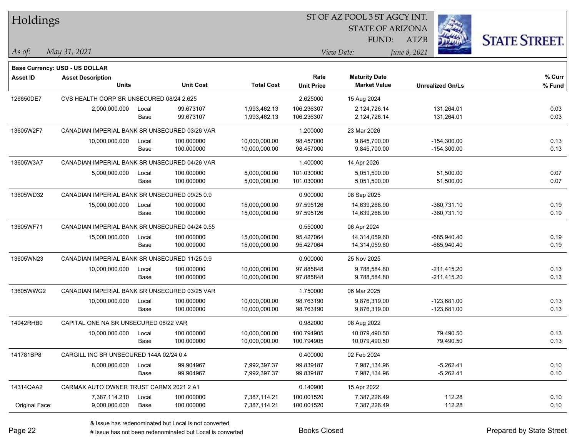| Holdings        |                                                |       |                  |                   |                   | ST OF AZ POOL 3 ST AGCY INT. |                         |                      |
|-----------------|------------------------------------------------|-------|------------------|-------------------|-------------------|------------------------------|-------------------------|----------------------|
|                 |                                                |       |                  |                   |                   | <b>STATE OF ARIZONA</b>      |                         |                      |
|                 |                                                |       |                  |                   |                   | FUND:                        | <b>ATZB</b>             | <b>STATE STREET.</b> |
| As of:          | May 31, 2021                                   |       |                  |                   |                   | View Date:                   | June 8, 2021            |                      |
|                 | <b>Base Currency: USD - US DOLLAR</b>          |       |                  |                   |                   |                              |                         |                      |
| <b>Asset ID</b> | <b>Asset Description</b>                       |       |                  |                   | Rate              | <b>Maturity Date</b>         |                         | % Curr               |
|                 | <b>Units</b>                                   |       | <b>Unit Cost</b> | <b>Total Cost</b> | <b>Unit Price</b> | <b>Market Value</b>          | <b>Unrealized Gn/Ls</b> | % Fund               |
| 126650DE7       | CVS HEALTH CORP SR UNSECURED 08/24 2.625       |       |                  |                   | 2.625000          | 15 Aug 2024                  |                         |                      |
|                 | 2,000,000.000                                  | Local | 99.673107        | 1,993,462.13      | 106.236307        | 2,124,726.14                 | 131,264.01              | 0.03                 |
|                 |                                                | Base  | 99.673107        | 1,993,462.13      | 106.236307        | 2,124,726.14                 | 131,264.01              | 0.03                 |
| 13605W2F7       | CANADIAN IMPERIAL BANK SR UNSECURED 03/26 VAR  |       |                  |                   | 1.200000          | 23 Mar 2026                  |                         |                      |
|                 | 10,000,000.000                                 | Local | 100.000000       | 10,000,000.00     | 98.457000         | 9,845,700.00                 | $-154,300.00$           | 0.13                 |
|                 |                                                | Base  | 100.000000       | 10,000,000.00     | 98.457000         | 9,845,700.00                 | $-154,300.00$           | 0.13                 |
| 13605W3A7       | CANADIAN IMPERIAL BANK SR UNSECURED 04/26 VAR  |       |                  |                   | 1.400000          | 14 Apr 2026                  |                         |                      |
|                 | 5,000,000.000                                  | Local | 100.000000       | 5,000,000.00      | 101.030000        | 5,051,500.00                 | 51,500.00               | 0.07                 |
|                 |                                                | Base  | 100.000000       | 5,000,000.00      | 101.030000        | 5,051,500.00                 | 51,500.00               | 0.07                 |
| 13605WD32       | CANADIAN IMPERIAL BANK SR UNSECURED 09/25 0.9  |       |                  |                   | 0.900000          | 08 Sep 2025                  |                         |                      |
|                 | 15,000,000.000                                 | Local | 100.000000       | 15,000,000.00     | 97.595126         | 14,639,268.90                | $-360,731.10$           | 0.19                 |
|                 |                                                | Base  | 100.000000       | 15,000,000.00     | 97.595126         | 14,639,268.90                | $-360,731.10$           | 0.19                 |
| 13605WF71       | CANADIAN IMPERIAL BANK SR UNSECURED 04/24 0.55 |       |                  |                   | 0.550000          | 06 Apr 2024                  |                         |                      |
|                 | 15,000,000.000                                 | Local | 100.000000       | 15,000,000.00     | 95.427064         | 14,314,059.60                | $-685,940.40$           | 0.19                 |
|                 |                                                | Base  | 100.000000       | 15,000,000.00     | 95.427064         | 14,314,059.60                | $-685,940.40$           | 0.19                 |
| 13605WN23       | CANADIAN IMPERIAL BANK SR UNSECURED 11/25 0.9  |       |                  |                   | 0.900000          | 25 Nov 2025                  |                         |                      |
|                 | 10,000,000.000                                 | Local | 100.000000       | 10,000,000.00     | 97.885848         | 9,788,584.80                 | $-211,415.20$           | 0.13                 |
|                 |                                                | Base  | 100.000000       | 10,000,000.00     | 97.885848         | 9,788,584.80                 | $-211,415.20$           | 0.13                 |
| 13605WWG2       | CANADIAN IMPERIAL BANK SR UNSECURED 03/25 VAR  |       |                  |                   | 1.750000          | 06 Mar 2025                  |                         |                      |
|                 | 10,000,000.000                                 | Local | 100.000000       | 10,000,000.00     | 98.763190         | 9,876,319.00                 | $-123,681.00$           | 0.13                 |
|                 |                                                | Base  | 100.000000       | 10,000,000.00     | 98.763190         | 9,876,319.00                 | $-123,681.00$           | 0.13                 |
| 14042RHB0       | CAPITAL ONE NA SR UNSECURED 08/22 VAR          |       |                  |                   | 0.982000          | 08 Aug 2022                  |                         |                      |
|                 | 10,000,000.000                                 | Local | 100.000000       | 10,000,000.00     | 100.794905        | 10,079,490.50                | 79,490.50               | 0.13                 |
|                 |                                                | Base  | 100.000000       | 10,000,000.00     | 100.794905        | 10,079,490.50                | 79,490.50               | 0.13                 |
| 141781BP8       | CARGILL INC SR UNSECURED 144A 02/24 0.4        |       |                  |                   | 0.400000          | 02 Feb 2024                  |                         |                      |
|                 | 8,000,000.000                                  | Local | 99.904967        | 7,992,397.37      | 99.839187         | 7,987,134.96                 | $-5,262.41$             | 0.10                 |
|                 |                                                | Base  | 99.904967        | 7,992,397.37      | 99.839187         | 7,987,134.96                 | $-5,262.41$             | 0.10                 |
| 14314QAA2       | CARMAX AUTO OWNER TRUST CARMX 2021 2 A1        |       |                  |                   | 0.140900          | 15 Apr 2022                  |                         |                      |
|                 | 7,387,114.210                                  | Local | 100.000000       | 7,387,114.21      | 100.001520        | 7,387,226.49                 | 112.28                  | 0.10                 |
| Original Face:  | 9,000,000.000                                  | Base  | 100.000000       | 7,387,114.21      | 100.001520        | 7,387,226.49                 | 112.28                  | 0.10                 |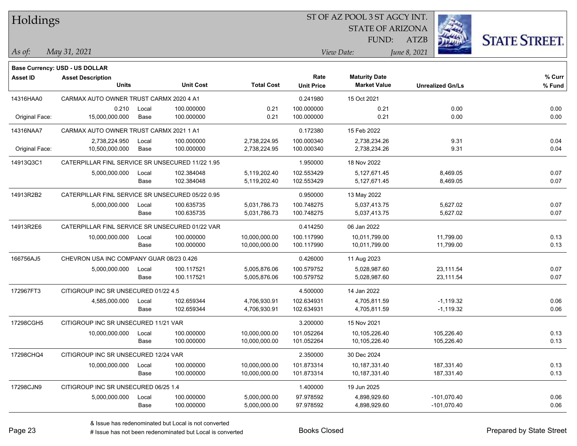| Holdings        |                                                  |       |                  |                   |                   | ST OF AZ POOL 3 ST AGCY INT. |              |                         |                      |
|-----------------|--------------------------------------------------|-------|------------------|-------------------|-------------------|------------------------------|--------------|-------------------------|----------------------|
|                 |                                                  |       |                  |                   |                   | <b>STATE OF ARIZONA</b>      |              |                         |                      |
|                 |                                                  |       |                  |                   |                   | FUND:                        | <b>ATZB</b>  |                         | <b>STATE STREET.</b> |
| $\vert$ As of:  | May 31, 2021                                     |       |                  |                   |                   | View Date:                   | June 8, 2021 |                         |                      |
|                 | <b>Base Currency: USD - US DOLLAR</b>            |       |                  |                   |                   |                              |              |                         |                      |
| <b>Asset ID</b> | <b>Asset Description</b>                         |       |                  |                   | Rate              | <b>Maturity Date</b>         |              |                         | $%$ Curr             |
|                 | <b>Units</b>                                     |       | <b>Unit Cost</b> | <b>Total Cost</b> | <b>Unit Price</b> | <b>Market Value</b>          |              | <b>Unrealized Gn/Ls</b> | % Fund               |
| 14316HAA0       | CARMAX AUTO OWNER TRUST CARMX 2020 4 A1          |       |                  |                   | 0.241980          | 15 Oct 2021                  |              |                         |                      |
|                 | 0.210                                            | Local | 100.000000       | 0.21              | 100.000000        | 0.21                         |              | 0.00                    | 0.00                 |
| Original Face:  | 15,000,000.000                                   | Base  | 100.000000       | 0.21              | 100.000000        | 0.21                         |              | 0.00                    | 0.00                 |
| 14316NAA7       | CARMAX AUTO OWNER TRUST CARMX 2021 1 A1          |       |                  |                   | 0.172380          | 15 Feb 2022                  |              |                         |                      |
|                 | 2,738,224.950                                    | Local | 100.000000       | 2,738,224.95      | 100.000340        | 2,738,234.26                 |              | 9.31                    | 0.04                 |
| Original Face:  | 10,500,000.000                                   | Base  | 100.000000       | 2,738,224.95      | 100.000340        | 2,738,234.26                 |              | 9.31                    | 0.04                 |
| 14913Q3C1       | CATERPILLAR FINL SERVICE SR UNSECURED 11/22 1.95 |       |                  |                   | 1.950000          | 18 Nov 2022                  |              |                         |                      |
|                 | 5,000,000.000                                    | Local | 102.384048       | 5,119,202.40      | 102.553429        | 5,127,671.45                 |              | 8,469.05                | 0.07                 |
|                 |                                                  | Base  | 102.384048       | 5,119,202.40      | 102.553429        | 5,127,671.45                 |              | 8,469.05                | 0.07                 |
| 14913R2B2       | CATERPILLAR FINL SERVICE SR UNSECURED 05/22 0.95 |       |                  |                   | 0.950000          | 13 May 2022                  |              |                         |                      |
|                 | 5,000,000.000                                    | Local | 100.635735       | 5,031,786.73      | 100.748275        | 5,037,413.75                 |              | 5,627.02                | 0.07                 |
|                 |                                                  | Base  | 100.635735       | 5,031,786.73      | 100.748275        | 5,037,413.75                 |              | 5,627.02                | 0.07                 |
| 14913R2E6       | CATERPILLAR FINL SERVICE SR UNSECURED 01/22 VAR  |       |                  |                   | 0.414250          | 06 Jan 2022                  |              |                         |                      |
|                 | 10,000,000.000                                   | Local | 100.000000       | 10,000,000.00     | 100.117990        | 10,011,799.00                |              | 11,799.00               | 0.13                 |
|                 |                                                  | Base  | 100.000000       | 10,000,000.00     | 100.117990        | 10,011,799.00                |              | 11,799.00               | 0.13                 |
| 166756AJ5       | CHEVRON USA INC COMPANY GUAR 08/23 0.426         |       |                  |                   | 0.426000          | 11 Aug 2023                  |              |                         |                      |
|                 | 5,000,000.000                                    | Local | 100.117521       | 5,005,876.06      | 100.579752        | 5,028,987.60                 |              | 23,111.54               | 0.07                 |
|                 |                                                  | Base  | 100.117521       | 5,005,876.06      | 100.579752        | 5,028,987.60                 |              | 23,111.54               | 0.07                 |
| 172967FT3       | CITIGROUP INC SR UNSECURED 01/22 4.5             |       |                  |                   | 4.500000          | 14 Jan 2022                  |              |                         |                      |
|                 | 4,585,000.000                                    | Local | 102.659344       | 4,706,930.91      | 102.634931        | 4,705,811.59                 |              | $-1,119.32$             | 0.06                 |
|                 |                                                  | Base  | 102.659344       | 4,706,930.91      | 102.634931        | 4,705,811.59                 |              | $-1,119.32$             | 0.06                 |
| 17298CGH5       | CITIGROUP INC SR UNSECURED 11/21 VAR             |       |                  |                   | 3.200000          | 15 Nov 2021                  |              |                         |                      |
|                 | 10,000,000.000                                   | Local | 100.000000       | 10,000,000.00     | 101.052264        | 10,105,226.40                |              | 105,226.40              | 0.13                 |
|                 |                                                  | Base  | 100.000000       | 10,000,000.00     | 101.052264        | 10,105,226.40                |              | 105,226.40              | 0.13                 |
| 17298CHQ4       | CITIGROUP INC SR UNSECURED 12/24 VAR             |       |                  |                   | 2.350000          | 30 Dec 2024                  |              |                         |                      |
|                 | 10,000,000.000                                   | Local | 100.000000       | 10,000,000.00     | 101.873314        | 10,187,331.40                |              | 187,331.40              | 0.13                 |
|                 |                                                  | Base  | 100.000000       | 10,000,000.00     | 101.873314        | 10,187,331.40                |              | 187,331.40              | 0.13                 |
| 17298CJN9       | CITIGROUP INC SR UNSECURED 06/25 1.4             |       |                  |                   | 1.400000          | 19 Jun 2025                  |              |                         |                      |
|                 | 5,000,000.000                                    | Local | 100.000000       | 5,000,000.00      | 97.978592         | 4,898,929.60                 |              | $-101,070.40$           | 0.06                 |
|                 |                                                  | Base  | 100.000000       | 5,000,000.00      | 97.978592         | 4,898,929.60                 |              | $-101,070.40$           | 0.06                 |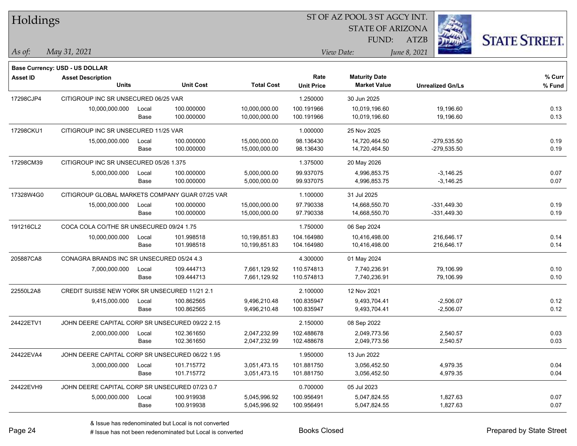| Holdings        |                                                            |       |                  |                   | ST OF AZ POOL 3 ST AGCY INT. |                         |                         |                      |
|-----------------|------------------------------------------------------------|-------|------------------|-------------------|------------------------------|-------------------------|-------------------------|----------------------|
|                 |                                                            |       |                  |                   |                              | <b>STATE OF ARIZONA</b> |                         |                      |
|                 |                                                            |       |                  |                   |                              | FUND:                   | <b>ATZB</b>             | <b>STATE STREET.</b> |
| As of:          | May 31, 2021                                               |       |                  |                   |                              | View Date:              | June 8, 2021            |                      |
|                 |                                                            |       |                  |                   |                              |                         |                         |                      |
| <b>Asset ID</b> | Base Currency: USD - US DOLLAR<br><b>Asset Description</b> |       |                  |                   | Rate                         | <b>Maturity Date</b>    |                         | % Curr               |
|                 | <b>Units</b>                                               |       | <b>Unit Cost</b> | <b>Total Cost</b> | <b>Unit Price</b>            | <b>Market Value</b>     | <b>Unrealized Gn/Ls</b> | % Fund               |
| 17298CJP4       | CITIGROUP INC SR UNSECURED 06/25 VAR                       |       |                  |                   | 1.250000                     | 30 Jun 2025             |                         |                      |
|                 | 10,000,000.000                                             | Local | 100.000000       | 10,000,000.00     | 100.191966                   | 10,019,196.60           | 19,196.60               | 0.13                 |
|                 |                                                            | Base  | 100.000000       | 10,000,000.00     | 100.191966                   | 10,019,196.60           | 19,196.60               | 0.13                 |
| 17298CKU1       | CITIGROUP INC SR UNSECURED 11/25 VAR                       |       |                  |                   | 1.000000                     | 25 Nov 2025             |                         |                      |
|                 | 15,000,000.000                                             | Local | 100.000000       | 15,000,000.00     | 98.136430                    | 14,720,464.50           | $-279,535.50$           | 0.19                 |
|                 |                                                            | Base  | 100.000000       | 15,000,000.00     | 98.136430                    | 14,720,464.50           | $-279,535.50$           | 0.19                 |
| 17298CM39       | CITIGROUP INC SR UNSECURED 05/26 1.375                     |       |                  |                   | 1.375000                     | 20 May 2026             |                         |                      |
|                 | 5,000,000.000                                              | Local | 100.000000       | 5,000,000.00      | 99.937075                    | 4,996,853.75            | $-3,146.25$             | 0.07                 |
|                 |                                                            | Base  | 100.000000       | 5,000,000.00      | 99.937075                    | 4,996,853.75            | $-3,146.25$             | 0.07                 |
| 17328W4G0       | CITIGROUP GLOBAL MARKETS COMPANY GUAR 07/25 VAR            |       |                  |                   | 1.100000                     | 31 Jul 2025             |                         |                      |
|                 | 15,000,000.000                                             | Local | 100.000000       | 15,000,000.00     | 97.790338                    | 14,668,550.70           | $-331,449.30$           | 0.19                 |
|                 |                                                            | Base  | 100.000000       | 15,000,000.00     | 97.790338                    | 14,668,550.70           | $-331,449.30$           | 0.19                 |
| 191216CL2       | COCA COLA CO/THE SR UNSECURED 09/24 1.75                   |       |                  |                   | 1.750000                     | 06 Sep 2024             |                         |                      |
|                 | 10,000,000.000                                             | Local | 101.998518       | 10,199,851.83     | 104.164980                   | 10,416,498.00           | 216,646.17              | 0.14                 |
|                 |                                                            | Base  | 101.998518       | 10,199,851.83     | 104.164980                   | 10,416,498.00           | 216,646.17              | 0.14                 |
| 205887CA8       | CONAGRA BRANDS INC SR UNSECURED 05/24 4.3                  |       |                  |                   | 4.300000                     | 01 May 2024             |                         |                      |
|                 | 7,000,000.000                                              | Local | 109.444713       | 7,661,129.92      | 110.574813                   | 7,740,236.91            | 79,106.99               | 0.10                 |
|                 |                                                            | Base  | 109.444713       | 7,661,129.92      | 110.574813                   | 7,740,236.91            | 79,106.99               | 0.10                 |
| 22550L2A8       | CREDIT SUISSE NEW YORK SR UNSECURED 11/21 2.1              |       |                  |                   | 2.100000                     | 12 Nov 2021             |                         |                      |
|                 | 9,415,000.000                                              | Local | 100.862565       | 9,496,210.48      | 100.835947                   | 9,493,704.41            | $-2,506.07$             | 0.12                 |
|                 |                                                            | Base  | 100.862565       | 9,496,210.48      | 100.835947                   | 9,493,704.41            | $-2,506.07$             | 0.12                 |
| 24422ETV1       | JOHN DEERE CAPITAL CORP SR UNSECURED 09/22 2.15            |       |                  |                   | 2.150000                     | 08 Sep 2022             |                         |                      |
|                 | 2,000,000.000                                              | Local | 102.361650       | 2,047,232.99      | 102.488678                   | 2,049,773.56            | 2,540.57                | 0.03                 |
|                 |                                                            | Base  | 102.361650       | 2,047,232.99      | 102.488678                   | 2,049,773.56            | 2,540.57                | 0.03                 |
| 24422EVA4       | JOHN DEERE CAPITAL CORP SR UNSECURED 06/22 1.95            |       |                  |                   | 1.950000                     | 13 Jun 2022             |                         |                      |
|                 | 3,000,000.000                                              | Local | 101.715772       | 3,051,473.15      | 101.881750                   | 3,056,452.50            | 4,979.35                | 0.04                 |
|                 |                                                            | Base  | 101.715772       | 3,051,473.15      | 101.881750                   | 3,056,452.50            | 4,979.35                | 0.04                 |
| 24422EVH9       | JOHN DEERE CAPITAL CORP SR UNSECURED 07/23 0.7             |       |                  |                   | 0.700000                     | 05 Jul 2023             |                         |                      |
|                 | 5,000,000.000                                              | Local | 100.919938       | 5,045,996.92      | 100.956491                   | 5,047,824.55            | 1,827.63                | 0.07                 |
|                 |                                                            | Base  | 100.919938       | 5,045,996.92      | 100.956491                   | 5,047,824.55            | 1,827.63                | 0.07                 |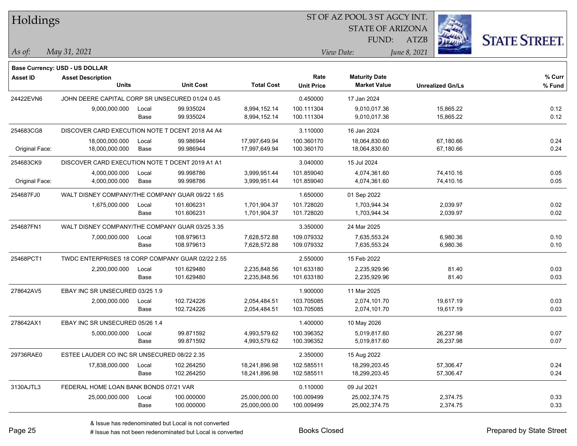| Holdings        |                                                  |       |                  |                   |                   | ST OF AZ POOL 3 ST AGCY INT. |                         |          |                      |
|-----------------|--------------------------------------------------|-------|------------------|-------------------|-------------------|------------------------------|-------------------------|----------|----------------------|
|                 |                                                  |       |                  |                   |                   | <b>STATE OF ARIZONA</b>      |                         |          |                      |
|                 |                                                  |       |                  |                   |                   | FUND:                        | <b>ATZB</b>             |          | <b>STATE STREET.</b> |
| $ $ As of:      | May 31, 2021                                     |       |                  |                   | View Date:        |                              | June 8, 2021            |          |                      |
|                 | <b>Base Currency: USD - US DOLLAR</b>            |       |                  |                   |                   |                              |                         |          |                      |
| <b>Asset ID</b> | <b>Asset Description</b>                         |       |                  |                   | Rate              | <b>Maturity Date</b>         |                         |          | $%$ Curr             |
|                 | <b>Units</b>                                     |       | <b>Unit Cost</b> | <b>Total Cost</b> | <b>Unit Price</b> | <b>Market Value</b>          | <b>Unrealized Gn/Ls</b> |          | % Fund               |
| 24422EVN6       | JOHN DEERE CAPITAL CORP SR UNSECURED 01/24 0.45  |       |                  |                   | 0.450000          | 17 Jan 2024                  |                         |          |                      |
|                 | 9,000,000.000                                    | Local | 99.935024        | 8,994,152.14      | 100.111304        | 9,010,017.36                 | 15,865.22               |          | 0.12                 |
|                 |                                                  | Base  | 99.935024        | 8,994,152.14      | 100.111304        | 9,010,017.36                 | 15,865.22               |          | 0.12                 |
| 254683CG8       | DISCOVER CARD EXECUTION NOTE T DCENT 2018 A4 A4  |       |                  |                   | 3.110000          | 16 Jan 2024                  |                         |          |                      |
|                 | 18,000,000.000                                   | Local | 99.986944        | 17,997,649.94     | 100.360170        | 18,064,830.60                | 67,180.66               |          | 0.24                 |
| Original Face:  | 18,000,000.000                                   | Base  | 99.986944        | 17,997,649.94     | 100.360170        | 18,064,830.60                | 67,180.66               |          | 0.24                 |
| 254683CK9       | DISCOVER CARD EXECUTION NOTE T DCENT 2019 A1 A1  |       |                  |                   | 3.040000          | 15 Jul 2024                  |                         |          |                      |
|                 | 4,000,000.000                                    | Local | 99.998786        | 3,999,951.44      | 101.859040        | 4,074,361.60                 | 74,410.16               |          | 0.05                 |
| Original Face:  | 4,000,000.000                                    | Base  | 99.998786        | 3,999,951.44      | 101.859040        | 4,074,361.60                 | 74,410.16               |          | 0.05                 |
| 254687FJ0       | WALT DISNEY COMPANY/THE COMPANY GUAR 09/22 1.65  |       |                  |                   | 1.650000          | 01 Sep 2022                  |                         |          |                      |
|                 | 1,675,000.000                                    | Local | 101.606231       | 1,701,904.37      | 101.728020        | 1,703,944.34                 |                         | 2,039.97 | 0.02                 |
|                 |                                                  | Base  | 101.606231       | 1,701,904.37      | 101.728020        | 1,703,944.34                 |                         | 2,039.97 | 0.02                 |
| 254687FN1       | WALT DISNEY COMPANY/THE COMPANY GUAR 03/25 3.35  |       |                  |                   | 3.350000          | 24 Mar 2025                  |                         |          |                      |
|                 | 7,000,000.000                                    | Local | 108.979613       | 7,628,572.88      | 109.079332        | 7,635,553.24                 |                         | 6,980.36 | 0.10                 |
|                 |                                                  | Base  | 108.979613       | 7,628,572.88      | 109.079332        | 7,635,553.24                 |                         | 6,980.36 | 0.10                 |
| 25468PCT1       | TWDC ENTERPRISES 18 CORP COMPANY GUAR 02/22 2.55 |       |                  |                   | 2.550000          | 15 Feb 2022                  |                         |          |                      |
|                 | 2,200,000.000                                    | Local | 101.629480       | 2,235,848.56      | 101.633180        | 2,235,929.96                 |                         | 81.40    | 0.03                 |
|                 |                                                  | Base  | 101.629480       | 2,235,848.56      | 101.633180        | 2,235,929.96                 |                         | 81.40    | 0.03                 |
| 278642AV5       | EBAY INC SR UNSECURED 03/25 1.9                  |       |                  |                   | 1.900000          | 11 Mar 2025                  |                         |          |                      |
|                 | 2,000,000.000                                    | Local | 102.724226       | 2,054,484.51      | 103.705085        | 2,074,101.70                 | 19,617.19               |          | 0.03                 |
|                 |                                                  | Base  | 102.724226       | 2,054,484.51      | 103.705085        | 2,074,101.70                 | 19,617.19               |          | 0.03                 |
| 278642AX1       | EBAY INC SR UNSECURED 05/26 1.4                  |       |                  |                   | 1.400000          | 10 May 2026                  |                         |          |                      |
|                 | 5,000,000.000                                    | Local | 99.871592        | 4,993,579.62      | 100.396352        | 5,019,817.60                 | 26,237.98               |          | 0.07                 |
|                 |                                                  | Base  | 99.871592        | 4,993,579.62      | 100.396352        | 5,019,817.60                 | 26,237.98               |          | 0.07                 |
| 29736RAE0       | ESTEE LAUDER CO INC SR UNSECURED 08/22 2.35      |       |                  |                   | 2.350000          | 15 Aug 2022                  |                         |          |                      |
|                 | 17,838,000.000                                   | Local | 102.264250       | 18,241,896.98     | 102.585511        | 18,299,203.45                | 57,306.47               |          | 0.24                 |
|                 |                                                  | Base  | 102.264250       | 18,241,896.98     | 102.585511        | 18,299,203.45                | 57,306.47               |          | 0.24                 |
| 3130AJTL3       | FEDERAL HOME LOAN BANK BONDS 07/21 VAR           |       |                  |                   | 0.110000          | 09 Jul 2021                  |                         |          |                      |
|                 | 25,000,000.000                                   | Local | 100.000000       | 25,000,000.00     | 100.009499        | 25,002,374.75                |                         | 2,374.75 | 0.33                 |
|                 |                                                  | Base  | 100.000000       | 25,000,000.00     | 100.009499        | 25,002,374.75                |                         | 2,374.75 | 0.33                 |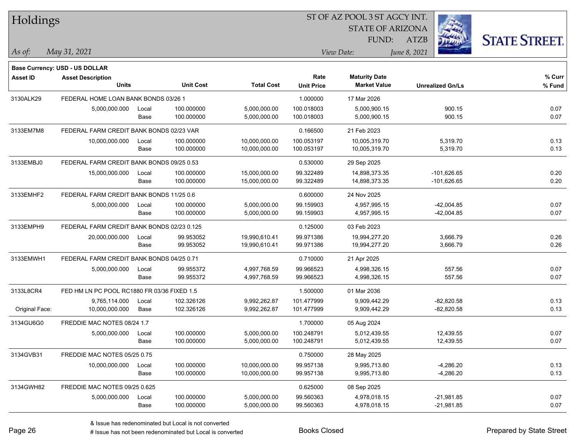| Holdings        |                                             |       |                  | ST OF AZ POOL 3 ST AGCY INT. |                   |                         |              |                         |                      |  |
|-----------------|---------------------------------------------|-------|------------------|------------------------------|-------------------|-------------------------|--------------|-------------------------|----------------------|--|
|                 |                                             |       |                  |                              |                   | <b>STATE OF ARIZONA</b> |              |                         |                      |  |
|                 |                                             |       |                  |                              |                   | FUND:                   | <b>ATZB</b>  |                         | <b>STATE STREET.</b> |  |
| As of:          | May 31, 2021                                |       |                  |                              |                   | View Date:              | June 8, 2021 |                         |                      |  |
|                 | <b>Base Currency: USD - US DOLLAR</b>       |       |                  |                              |                   |                         |              |                         |                      |  |
| <b>Asset ID</b> | <b>Asset Description</b>                    |       |                  |                              | Rate              | <b>Maturity Date</b>    |              |                         | % Curr               |  |
|                 | <b>Units</b>                                |       | <b>Unit Cost</b> | <b>Total Cost</b>            | <b>Unit Price</b> | <b>Market Value</b>     |              | <b>Unrealized Gn/Ls</b> | % Fund               |  |
| 3130ALK29       | FEDERAL HOME LOAN BANK BONDS 03/26 1        |       |                  |                              | 1.000000          | 17 Mar 2026             |              |                         |                      |  |
|                 | 5,000,000.000                               | Local | 100.000000       | 5,000,000.00                 | 100.018003        | 5,000,900.15            |              | 900.15                  | 0.07                 |  |
|                 |                                             | Base  | 100.000000       | 5,000,000.00                 | 100.018003        | 5,000,900.15            |              | 900.15                  | 0.07                 |  |
| 3133EM7M8       | FEDERAL FARM CREDIT BANK BONDS 02/23 VAR    |       |                  |                              | 0.166500          | 21 Feb 2023             |              |                         |                      |  |
|                 | 10,000,000.000                              | Local | 100.000000       | 10,000,000.00                | 100.053197        | 10,005,319.70           |              | 5,319.70                | 0.13                 |  |
|                 |                                             | Base  | 100.000000       | 10,000,000.00                | 100.053197        | 10,005,319.70           |              | 5,319.70                | 0.13                 |  |
| 3133EMBJ0       | FEDERAL FARM CREDIT BANK BONDS 09/25 0.53   |       |                  |                              | 0.530000          | 29 Sep 2025             |              |                         |                      |  |
|                 | 15,000,000.000                              | Local | 100.000000       | 15,000,000.00                | 99.322489         | 14,898,373.35           |              | -101,626.65             | 0.20                 |  |
|                 |                                             | Base  | 100.000000       | 15,000,000.00                | 99.322489         | 14,898,373.35           |              | $-101,626.65$           | 0.20                 |  |
| 3133EMHF2       | FEDERAL FARM CREDIT BANK BONDS 11/25 0.6    |       |                  |                              | 0.600000          | 24 Nov 2025             |              |                         |                      |  |
|                 | 5,000,000.000                               | Local | 100.000000       | 5,000,000.00                 | 99.159903         | 4,957,995.15            |              | $-42,004.85$            | 0.07                 |  |
|                 |                                             | Base  | 100.000000       | 5,000,000.00                 | 99.159903         | 4,957,995.15            |              | $-42,004.85$            | 0.07                 |  |
| 3133EMPH9       | FEDERAL FARM CREDIT BANK BONDS 02/23 0.125  |       |                  |                              | 0.125000          | 03 Feb 2023             |              |                         |                      |  |
|                 | 20,000,000.000                              | Local | 99.953052        | 19,990,610.41                | 99.971386         | 19,994,277.20           |              | 3,666.79                | 0.26                 |  |
|                 |                                             | Base  | 99.953052        | 19,990,610.41                | 99.971386         | 19,994,277.20           |              | 3,666.79                | 0.26                 |  |
| 3133EMWH1       | FEDERAL FARM CREDIT BANK BONDS 04/25 0.71   |       |                  |                              | 0.710000          | 21 Apr 2025             |              |                         |                      |  |
|                 | 5,000,000.000                               | Local | 99.955372        | 4,997,768.59                 | 99.966523         | 4,998,326.15            |              | 557.56                  | 0.07                 |  |
|                 |                                             | Base  | 99.955372        | 4,997,768.59                 | 99.966523         | 4,998,326.15            |              | 557.56                  | 0.07                 |  |
| 3133L8CR4       | FED HM LN PC POOL RC1880 FR 03/36 FIXED 1.5 |       |                  |                              | 1.500000          | 01 Mar 2036             |              |                         |                      |  |
|                 | 9,765,114.000                               | Local | 102.326126       | 9,992,262.87                 | 101.477999        | 9,909,442.29            |              | $-82,820.58$            | 0.13                 |  |
| Original Face:  | 10,000,000.000                              | Base  | 102.326126       | 9,992,262.87                 | 101.477999        | 9,909,442.29            |              | $-82,820.58$            | 0.13                 |  |
| 3134GU6G0       | FREDDIE MAC NOTES 08/24 1.7                 |       |                  |                              | 1.700000          | 05 Aug 2024             |              |                         |                      |  |
|                 | 5,000,000.000                               | Local | 100.000000       | 5,000,000.00                 | 100.248791        | 5.012.439.55            |              | 12,439.55               | 0.07                 |  |
|                 |                                             | Base  | 100.000000       | 5,000,000.00                 | 100.248791        | 5,012,439.55            |              | 12,439.55               | 0.07                 |  |
| 3134GVB31       | FREDDIE MAC NOTES 05/25 0.75                |       |                  |                              | 0.750000          | 28 May 2025             |              |                         |                      |  |
|                 | 10,000,000.000                              | Local | 100.000000       | 10,000,000.00                | 99.957138         | 9,995,713.80            |              | $-4,286.20$             | 0.13                 |  |
|                 |                                             | Base  | 100.000000       | 10,000,000.00                | 99.957138         | 9,995,713.80            |              | $-4,286.20$             | 0.13                 |  |
| 3134GWH82       | FREDDIE MAC NOTES 09/25 0.625               |       |                  |                              | 0.625000          | 08 Sep 2025             |              |                         |                      |  |
|                 | 5,000,000.000                               | Local | 100.000000       | 5,000,000.00                 | 99.560363         | 4,978,018.15            |              | $-21,981.85$            | 0.07                 |  |
|                 |                                             | Base  | 100.000000       | 5,000,000.00                 | 99.560363         | 4,978,018.15            |              | $-21,981.85$            | 0.07                 |  |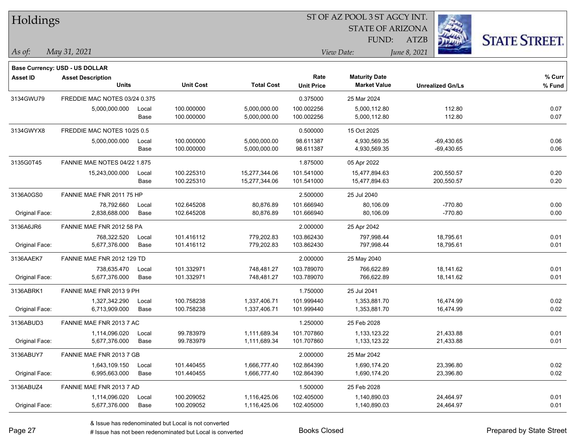| Holdings        |                                     |       |                  |                   |                     |                         |              |                         |        |
|-----------------|-------------------------------------|-------|------------------|-------------------|---------------------|-------------------------|--------------|-------------------------|--------|
|                 |                                     |       |                  |                   |                     | <b>STATE OF ARIZONA</b> |              |                         |        |
|                 |                                     |       |                  |                   | FUND:<br>View Date: |                         | <b>ATZB</b>  | <b>STATE STREET.</b>    |        |
| As of:          | May 31, 2021                        |       |                  |                   |                     |                         | June 8, 2021 |                         |        |
|                 | Base Currency: USD - US DOLLAR      |       |                  |                   |                     |                         |              |                         |        |
| <b>Asset ID</b> | <b>Asset Description</b>            |       |                  |                   | Rate                | <b>Maturity Date</b>    |              |                         | % Curr |
|                 | <b>Units</b>                        |       | <b>Unit Cost</b> | <b>Total Cost</b> | <b>Unit Price</b>   | <b>Market Value</b>     |              | <b>Unrealized Gn/Ls</b> | % Fund |
| 3134GWU79       | FREDDIE MAC NOTES 03/24 0.375       |       |                  |                   | 0.375000            | 25 Mar 2024             |              |                         |        |
|                 | 5,000,000.000                       | Local | 100.000000       | 5,000,000.00      | 100.002256          | 5,000,112.80            |              | 112.80                  | 0.07   |
|                 |                                     | Base  | 100.000000       | 5,000,000.00      | 100.002256          | 5,000,112.80            |              | 112.80                  | 0.07   |
| 3134GWYX8       | FREDDIE MAC NOTES 10/25 0.5         |       |                  |                   | 0.500000            | 15 Oct 2025             |              |                         |        |
|                 | 5,000,000.000                       | Local | 100.000000       | 5,000,000.00      | 98.611387           | 4,930,569.35            |              | $-69,430.65$            | 0.06   |
|                 |                                     | Base  | 100.000000       | 5,000,000.00      | 98.611387           | 4,930,569.35            |              | $-69,430.65$            | 0.06   |
| 3135G0T45       | <b>FANNIE MAE NOTES 04/22 1.875</b> |       |                  |                   | 1.875000            | 05 Apr 2022             |              |                         |        |
|                 | 15,243,000.000                      | Local | 100.225310       | 15,277,344.06     | 101.541000          | 15,477,894.63           |              | 200,550.57              | 0.20   |
|                 |                                     | Base  | 100.225310       | 15,277,344.06     | 101.541000          | 15,477,894.63           |              | 200,550.57              | 0.20   |
| 3136A0GS0       | FANNIE MAE FNR 2011 75 HP           |       |                  |                   | 2.500000            | 25 Jul 2040             |              |                         |        |
|                 | 78,792.660                          | Local | 102.645208       | 80,876.89         | 101.666940          | 80,106.09               |              | $-770.80$               | 0.00   |
| Original Face:  | 2,838,688.000                       | Base  | 102.645208       | 80,876.89         | 101.666940          | 80,106.09               |              | $-770.80$               | 0.00   |
| 3136A6JR6       | FANNIE MAE FNR 2012 58 PA           |       |                  |                   | 2.000000            | 25 Apr 2042             |              |                         |        |
|                 | 768,322.520                         | Local | 101.416112       | 779,202.83        | 103.862430          | 797,998.44              |              | 18,795.61               | 0.01   |
| Original Face:  | 5,677,376.000                       | Base  | 101.416112       | 779,202.83        | 103.862430          | 797,998.44              |              | 18,795.61               | 0.01   |
| 3136AAEK7       | FANNIE MAE FNR 2012 129 TD          |       |                  |                   | 2.000000            | 25 May 2040             |              |                         |        |
|                 | 738,635.470                         | Local | 101.332971       | 748,481.27        | 103.789070          | 766,622.89              |              | 18,141.62               | 0.01   |
| Original Face:  | 5,677,376.000                       | Base  | 101.332971       | 748,481.27        | 103.789070          | 766,622.89              |              | 18,141.62               | 0.01   |
| 3136ABRK1       | FANNIE MAE FNR 2013 9 PH            |       |                  |                   | 1.750000            | 25 Jul 2041             |              |                         |        |
|                 | 1,327,342.290                       | Local | 100.758238       | 1,337,406.71      | 101.999440          | 1,353,881.70            |              | 16,474.99               | 0.02   |
| Original Face:  | 6,713,909.000                       | Base  | 100.758238       | 1,337,406.71      | 101.999440          | 1,353,881.70            |              | 16,474.99               | 0.02   |
| 3136ABUD3       | FANNIE MAE FNR 2013 7 AC            |       |                  |                   | 1.250000            | 25 Feb 2028             |              |                         |        |
|                 | 1,114,096.020                       | Local | 99.783979        | 1,111,689.34      | 101.707860          | 1,133,123.22            |              | 21,433.88               | 0.01   |
| Original Face:  | 5,677,376.000                       | Base  | 99.783979        | 1,111,689.34      | 101.707860          | 1,133,123.22            |              | 21,433.88               | 0.01   |
| 3136ABUY7       | FANNIE MAE FNR 2013 7 GB            |       |                  |                   | 2.000000            | 25 Mar 2042             |              |                         |        |
|                 | 1,643,109.150                       | Local | 101.440455       | 1,666,777.40      | 102.864390          | 1,690,174.20            |              | 23,396.80               | 0.02   |
| Original Face:  | 6,995,663.000                       | Base  | 101.440455       | 1,666,777.40      | 102.864390          | 1,690,174.20            |              | 23,396.80               | 0.02   |
| 3136ABUZ4       | FANNIE MAE FNR 2013 7 AD            |       |                  |                   | 1.500000            | 25 Feb 2028             |              |                         |        |
|                 | 1,114,096.020                       | Local | 100.209052       | 1,116,425.06      | 102.405000          | 1,140,890.03            |              | 24,464.97               | 0.01   |
| Original Face:  | 5,677,376.000                       | Base  | 100.209052       | 1,116,425.06      | 102.405000          | 1,140,890.03            |              | 24,464.97               | 0.01   |

 $\overline{\phantom{0}}$ 

 $\overline{\phantom{a}}$ 

 $\overline{\phantom{0}}$ 

 $\overline{\phantom{a}}$ 

 $\overline{\phantom{0}}$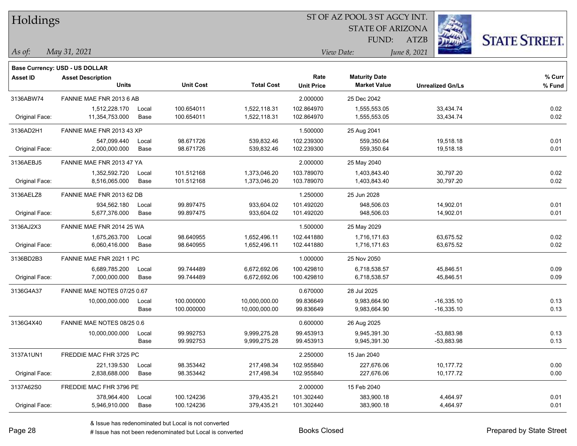| Holdings        |                                |       |                  |                   | ST OF AZ POOL 3 ST AGCY INT. |                         |                         |                      |
|-----------------|--------------------------------|-------|------------------|-------------------|------------------------------|-------------------------|-------------------------|----------------------|
|                 |                                |       |                  |                   |                              | <b>STATE OF ARIZONA</b> |                         |                      |
|                 |                                |       |                  |                   |                              | FUND:                   | <b>ATZB</b>             | <b>STATE STREET.</b> |
| As of:          | May 31, 2021                   |       |                  |                   |                              | View Date:              | June 8, 2021            |                      |
|                 | Base Currency: USD - US DOLLAR |       |                  |                   |                              |                         |                         |                      |
| <b>Asset ID</b> | <b>Asset Description</b>       |       |                  |                   | Rate                         | <b>Maturity Date</b>    |                         | % Curr               |
|                 | <b>Units</b>                   |       | <b>Unit Cost</b> | <b>Total Cost</b> | <b>Unit Price</b>            | <b>Market Value</b>     | <b>Unrealized Gn/Ls</b> | % Fund               |
| 3136ABW74       | FANNIE MAE FNR 2013 6 AB       |       |                  |                   | 2.000000                     | 25 Dec 2042             |                         |                      |
|                 | 1,512,228.170                  | Local | 100.654011       | 1,522,118.31      | 102.864970                   | 1,555,553.05            | 33,434.74               | 0.02                 |
| Original Face:  | 11,354,753.000                 | Base  | 100.654011       | 1,522,118.31      | 102.864970                   | 1,555,553.05            | 33,434.74               | 0.02                 |
| 3136AD2H1       | FANNIE MAE FNR 2013 43 XP      |       |                  |                   | 1.500000                     | 25 Aug 2041             |                         |                      |
|                 | 547,099.440                    | Local | 98.671726        | 539,832.46        | 102.239300                   | 559,350.64              | 19,518.18               | 0.01                 |
| Original Face:  | 2,000,000.000                  | Base  | 98.671726        | 539,832.46        | 102.239300                   | 559,350.64              | 19,518.18               | 0.01                 |
| 3136AEBJ5       | FANNIE MAE FNR 2013 47 YA      |       |                  |                   | 2.000000                     | 25 May 2040             |                         |                      |
|                 | 1,352,592.720                  | Local | 101.512168       | 1,373,046.20      | 103.789070                   | 1,403,843.40            | 30,797.20               | 0.02                 |
| Original Face:  | 8,516,065.000                  | Base  | 101.512168       | 1,373,046.20      | 103.789070                   | 1,403,843.40            | 30,797.20               | 0.02                 |
| 3136AELZ8       | FANNIE MAE FNR 2013 62 DB      |       |                  |                   | 1.250000                     | 25 Jun 2028             |                         |                      |
|                 | 934,562.180                    | Local | 99.897475        | 933,604.02        | 101.492020                   | 948,506.03              | 14,902.01               | 0.01                 |
| Original Face:  | 5,677,376.000                  | Base  | 99.897475        | 933,604.02        | 101.492020                   | 948,506.03              | 14,902.01               | 0.01                 |
| 3136AJ2X3       | FANNIE MAE FNR 2014 25 WA      |       |                  |                   | 1.500000                     | 25 May 2029             |                         |                      |
|                 | 1,675,263.700                  | Local | 98.640955        | 1,652,496.11      | 102.441880                   | 1,716,171.63            | 63,675.52               | 0.02                 |
| Original Face:  | 6,060,416.000                  | Base  | 98.640955        | 1,652,496.11      | 102.441880                   | 1,716,171.63            | 63,675.52               | 0.02                 |
| 3136BD2B3       | FANNIE MAE FNR 2021 1 PC       |       |                  |                   | 1.000000                     | 25 Nov 2050             |                         |                      |
|                 | 6,689,785.200                  | Local | 99.744489        | 6,672,692.06      | 100.429810                   | 6,718,538.57            | 45,846.51               | 0.09                 |
| Original Face:  | 7,000,000.000                  | Base  | 99.744489        | 6,672,692.06      | 100.429810                   | 6,718,538.57            | 45,846.51               | 0.09                 |
| 3136G4A37       | FANNIE MAE NOTES 07/25 0.67    |       |                  |                   | 0.670000                     | 28 Jul 2025             |                         |                      |
|                 | 10,000,000.000                 | Local | 100.000000       | 10,000,000.00     | 99.836649                    | 9,983,664.90            | $-16,335.10$            | 0.13                 |
|                 |                                | Base  | 100.000000       | 10,000,000.00     | 99.836649                    | 9,983,664.90            | $-16,335.10$            | 0.13                 |
| 3136G4X40       | FANNIE MAE NOTES 08/25 0.6     |       |                  |                   | 0.600000                     | 26 Aug 2025             |                         |                      |
|                 | 10,000,000.000                 | Local | 99.992753        | 9,999,275.28      | 99.453913                    | 9,945,391.30            | $-53,883.98$            | 0.13                 |
|                 |                                | Base  | 99.992753        | 9,999,275.28      | 99.453913                    | 9,945,391.30            | -53,883.98              | 0.13                 |
| 3137A1UN1       | FREDDIE MAC FHR 3725 PC        |       |                  |                   | 2.250000                     | 15 Jan 2040             |                         |                      |
|                 | 221,139.530                    | Local | 98.353442        | 217,498.34        | 102.955840                   | 227,676.06              | 10,177.72               | 0.00                 |
| Original Face:  | 2,838,688.000                  | Base  | 98.353442        | 217,498.34        | 102.955840                   | 227,676.06              | 10,177.72               | 0.00                 |
| 3137A62S0       | FREDDIE MAC FHR 3796 PE        |       |                  |                   | 2.000000                     | 15 Feb 2040             |                         |                      |
|                 | 378,964.400                    | Local | 100.124236       | 379,435.21        | 101.302440                   | 383,900.18              | 4,464.97                | 0.01                 |
| Original Face:  | 5,946,910.000                  | Base  | 100.124236       | 379,435.21        | 101.302440                   | 383,900.18              | 4,464.97                | 0.01                 |

 $\overline{\phantom{0}}$ 

 $\overline{\phantom{a}}$ 

 $\overline{\phantom{0}}$ 

 $\overline{\phantom{0}}$ 

 $\overline{\phantom{0}}$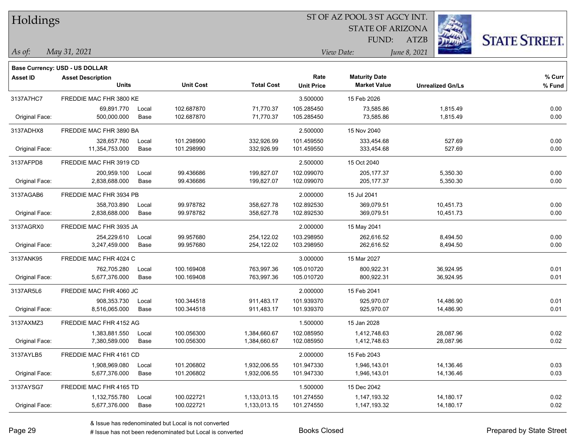| Holdings       |                                       |       |                  |                   | ST OF AZ POOL 3 ST AGCY INT. |                         |                         |                      |  |  |  |
|----------------|---------------------------------------|-------|------------------|-------------------|------------------------------|-------------------------|-------------------------|----------------------|--|--|--|
|                |                                       |       |                  |                   |                              | <b>STATE OF ARIZONA</b> | i.                      |                      |  |  |  |
|                |                                       |       |                  |                   |                              | FUND:                   | 遜<br>ATZB               | <b>STATE STREET.</b> |  |  |  |
| As of:         | May 31, 2021                          |       |                  |                   | June 8, 2021<br>View Date:   |                         |                         |                      |  |  |  |
|                | <b>Base Currency: USD - US DOLLAR</b> |       |                  |                   |                              |                         |                         |                      |  |  |  |
| Asset ID       | <b>Asset Description</b>              |       |                  |                   | Rate                         | <b>Maturity Date</b>    |                         | % Curr               |  |  |  |
|                | <b>Units</b>                          |       | <b>Unit Cost</b> | <b>Total Cost</b> | <b>Unit Price</b>            | <b>Market Value</b>     | <b>Unrealized Gn/Ls</b> | % Fund               |  |  |  |
| 3137A7HC7      | FREDDIE MAC FHR 3800 KE               |       |                  |                   | 3.500000                     | 15 Feb 2026             |                         |                      |  |  |  |
|                | 69,891.770                            | Local | 102.687870       | 71,770.37         | 105.285450                   | 73,585.86               | 1,815.49                | 0.00                 |  |  |  |
| Original Face: | 500,000.000                           | Base  | 102.687870       | 71,770.37         | 105.285450                   | 73,585.86               | 1,815.49                | 0.00                 |  |  |  |
| 3137ADHX8      | FREDDIE MAC FHR 3890 BA               |       |                  |                   | 2.500000                     | 15 Nov 2040             |                         |                      |  |  |  |
|                | 328,657.760                           | Local | 101.298990       | 332,926.99        | 101.459550                   | 333,454.68              | 527.69                  | 0.00                 |  |  |  |
| Original Face: | 11,354,753.000                        | Base  | 101.298990       | 332,926.99        | 101.459550                   | 333,454.68              | 527.69                  | 0.00                 |  |  |  |
| 3137AFPD8      | FREDDIE MAC FHR 3919 CD               |       |                  |                   | 2.500000                     | 15 Oct 2040             |                         |                      |  |  |  |
|                | 200,959.100                           | Local | 99.436686        | 199,827.07        | 102.099070                   | 205, 177.37             | 5,350.30                | 0.00                 |  |  |  |
| Original Face: | 2,838,688.000                         | Base  | 99.436686        | 199,827.07        | 102.099070                   | 205, 177.37             | 5,350.30                | 0.00                 |  |  |  |
| 3137AGAB6      | FREDDIE MAC FHR 3934 PB               |       |                  |                   | 2.000000                     | 15 Jul 2041             |                         |                      |  |  |  |
|                | 358,703.890                           | Local | 99.978782        | 358,627.78        | 102.892530                   | 369,079.51              | 10,451.73               | 0.00                 |  |  |  |
| Original Face: | 2,838,688.000                         | Base  | 99.978782        | 358,627.78        | 102.892530                   | 369,079.51              | 10,451.73               | 0.00                 |  |  |  |
| 3137AGRX0      | FREDDIE MAC FHR 3935 JA               |       |                  |                   | 2.000000                     | 15 May 2041             |                         |                      |  |  |  |
|                | 254,229.610                           | Local | 99.957680        | 254,122.02        | 103.298950                   | 262,616.52              | 8,494.50                | 0.00                 |  |  |  |
| Original Face: | 3,247,459.000                         | Base  | 99.957680        | 254,122.02        | 103.298950                   | 262,616.52              | 8,494.50                | 0.00                 |  |  |  |
| 3137ANK95      | FREDDIE MAC FHR 4024 C                |       |                  |                   | 3.000000                     | 15 Mar 2027             |                         |                      |  |  |  |
|                | 762,705.280                           | Local | 100.169408       | 763,997.36        | 105.010720                   | 800,922.31              | 36,924.95               | 0.01                 |  |  |  |
| Original Face: | 5,677,376.000                         | Base  | 100.169408       | 763,997.36        | 105.010720                   | 800,922.31              | 36,924.95               | 0.01                 |  |  |  |
| 3137AR5L6      | FREDDIE MAC FHR 4060 JC               |       |                  |                   | 2.000000                     | 15 Feb 2041             |                         |                      |  |  |  |
|                | 908,353.730                           | Local | 100.344518       | 911,483.17        | 101.939370                   | 925,970.07              | 14,486.90               | 0.01                 |  |  |  |
| Original Face: | 8,516,065.000                         | Base  | 100.344518       | 911,483.17        | 101.939370                   | 925,970.07              | 14,486.90               | 0.01                 |  |  |  |
| 3137AXMZ3      | FREDDIE MAC FHR 4152 AG               |       |                  |                   | 1.500000                     | 15 Jan 2028             |                         |                      |  |  |  |
|                | 1,383,881.550                         | Local | 100.056300       | 1,384,660.67      | 102.085950                   | 1,412,748.63            | 28,087.96               | 0.02                 |  |  |  |
| Original Face: | 7,380,589.000                         | Base  | 100.056300       | 1,384,660.67      | 102.085950                   | 1,412,748.63            | 28,087.96               | 0.02                 |  |  |  |
| 3137AYLB5      | FREDDIE MAC FHR 4161 CD               |       |                  |                   | 2.000000                     | 15 Feb 2043             |                         |                      |  |  |  |
|                | 1,908,969.080                         | Local | 101.206802       | 1,932,006.55      | 101.947330                   | 1,946,143.01            | 14,136.46               | 0.03                 |  |  |  |
| Original Face: | 5,677,376.000                         | Base  | 101.206802       | 1,932,006.55      | 101.947330                   | 1,946,143.01            | 14,136.46               | 0.03                 |  |  |  |
| 3137AYSG7      | FREDDIE MAC FHR 4165 TD               |       |                  |                   | 1.500000                     | 15 Dec 2042             |                         |                      |  |  |  |
|                | 1,132,755.780                         | Local | 100.022721       | 1,133,013.15      | 101.274550                   | 1,147,193.32            | 14,180.17               | 0.02                 |  |  |  |
| Original Face: | 5,677,376.000                         | Base  | 100.022721       | 1,133,013.15      | 101.274550                   | 1,147,193.32            | 14,180.17               | 0.02                 |  |  |  |

 $\overline{\phantom{0}}$ 

ST OF AZ POOL 3 ST AGCY INT.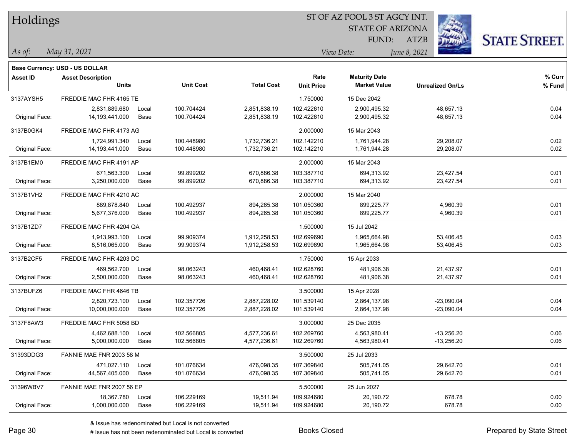| Holdings        |                                       |       |                  |                   |                   |                         |                         |                      |
|-----------------|---------------------------------------|-------|------------------|-------------------|-------------------|-------------------------|-------------------------|----------------------|
|                 |                                       |       |                  |                   |                   | <b>STATE OF ARIZONA</b> |                         |                      |
|                 |                                       |       |                  |                   |                   | FUND:                   | <b>ATZB</b>             | <b>STATE STREET.</b> |
| As of:          | May 31, 2021                          |       |                  |                   |                   | View Date:              | June 8, 2021            |                      |
|                 | <b>Base Currency: USD - US DOLLAR</b> |       |                  |                   |                   |                         |                         |                      |
| <b>Asset ID</b> | <b>Asset Description</b>              |       |                  |                   | Rate              | <b>Maturity Date</b>    |                         | $%$ Curr             |
|                 | <b>Units</b>                          |       | <b>Unit Cost</b> | <b>Total Cost</b> | <b>Unit Price</b> | <b>Market Value</b>     | <b>Unrealized Gn/Ls</b> | % Fund               |
| 3137AYSH5       | FREDDIE MAC FHR 4165 TE               |       |                  |                   | 1.750000          | 15 Dec 2042             |                         |                      |
|                 | 2,831,889.680                         | Local | 100.704424       | 2,851,838.19      | 102.422610        | 2,900,495.32            | 48,657.13               | 0.04                 |
| Original Face:  | 14,193,441.000                        | Base  | 100.704424       | 2,851,838.19      | 102.422610        | 2,900,495.32            | 48,657.13               | 0.04                 |
| 3137B0GK4       | FREDDIE MAC FHR 4173 AG               |       |                  |                   | 2.000000          | 15 Mar 2043             |                         |                      |
|                 | 1,724,991.340                         | Local | 100.448980       | 1,732,736.21      | 102.142210        | 1,761,944.28            | 29,208.07               | 0.02                 |
| Original Face:  | 14, 193, 441.000                      | Base  | 100.448980       | 1,732,736.21      | 102.142210        | 1,761,944.28            | 29,208.07               | 0.02                 |
| 3137B1EM0       | FREDDIE MAC FHR 4191 AP               |       |                  |                   | 2.000000          | 15 Mar 2043             |                         |                      |
|                 | 671,563.300                           | Local | 99.899202        | 670,886.38        | 103.387710        | 694,313.92              | 23,427.54               | 0.01                 |
| Original Face:  | 3,250,000.000                         | Base  | 99.899202        | 670,886.38        | 103.387710        | 694,313.92              | 23,427.54               | 0.01                 |
| 3137B1VH2       | FREDDIE MAC FHR 4210 AC               |       |                  |                   | 2.000000          | 15 Mar 2040             |                         |                      |
|                 | 889,878.840                           | Local | 100.492937       | 894,265.38        | 101.050360        | 899,225.77              | 4,960.39                | 0.01                 |
| Original Face:  | 5.677.376.000                         | Base  | 100.492937       | 894,265.38        | 101.050360        | 899,225.77              | 4,960.39                | 0.01                 |
| 3137B1ZD7       | FREDDIE MAC FHR 4204 QA               |       |                  |                   | 1.500000          | 15 Jul 2042             |                         |                      |
|                 | 1,913,993.100                         | Local | 99.909374        | 1,912,258.53      | 102.699690        | 1,965,664.98            | 53,406.45               | 0.03                 |
| Original Face:  | 8,516,065.000                         | Base  | 99.909374        | 1,912,258.53      | 102.699690        | 1,965,664.98            | 53,406.45               | 0.03                 |
| 3137B2CF5       | FREDDIE MAC FHR 4203 DC               |       |                  |                   | 1.750000          | 15 Apr 2033             |                         |                      |
|                 | 469,562.700                           | Local | 98.063243        | 460,468.41        | 102.628760        | 481,906.38              | 21,437.97               | 0.01                 |
| Original Face:  | 2,500,000.000                         | Base  | 98.063243        | 460,468.41        | 102.628760        | 481,906.38              | 21,437.97               | 0.01                 |
| 3137BUFZ6       | FREDDIE MAC FHR 4646 TB               |       |                  |                   | 3.500000          | 15 Apr 2028             |                         |                      |
|                 | 2,820,723.100                         | Local | 102.357726       | 2,887,228.02      | 101.539140        | 2,864,137.98            | $-23,090.04$            | 0.04                 |
| Original Face:  | 10,000,000.000                        | Base  | 102.357726       | 2,887,228.02      | 101.539140        | 2,864,137.98            | $-23,090.04$            | 0.04                 |
| 3137F8AW3       | FREDDIE MAC FHR 5058 BD               |       |                  |                   | 3.000000          | 25 Dec 2035             |                         |                      |
|                 | 4,462,688.100                         | Local | 102.566805       | 4,577,236.61      | 102.269760        | 4,563,980.41            | $-13,256.20$            | 0.06                 |
| Original Face:  | 5,000,000.000                         | Base  | 102.566805       | 4,577,236.61      | 102.269760        | 4,563,980.41            | $-13,256.20$            | 0.06                 |
| 31393DDG3       | FANNIE MAE FNR 2003 58 M              |       |                  |                   | 3.500000          | 25 Jul 2033             |                         |                      |
|                 | 471,027.110                           | Local | 101.076634       | 476,098.35        | 107.369840        | 505,741.05              | 29,642.70               | 0.01                 |
| Original Face:  | 44,567,405.000                        | Base  | 101.076634       | 476,098.35        | 107.369840        | 505,741.05              | 29,642.70               | 0.01                 |
| 31396WBV7       | FANNIE MAE FNR 2007 56 EP             |       |                  |                   | 5.500000          | 25 Jun 2027             |                         |                      |
|                 | 18,367.780                            | Local | 106.229169       | 19,511.94         | 109.924680        | 20,190.72               | 678.78                  | 0.00                 |
| Original Face:  | 1,000,000.000                         | Base  | 106.229169       | 19,511.94         | 109.924680        | 20,190.72               | 678.78                  | 0.00                 |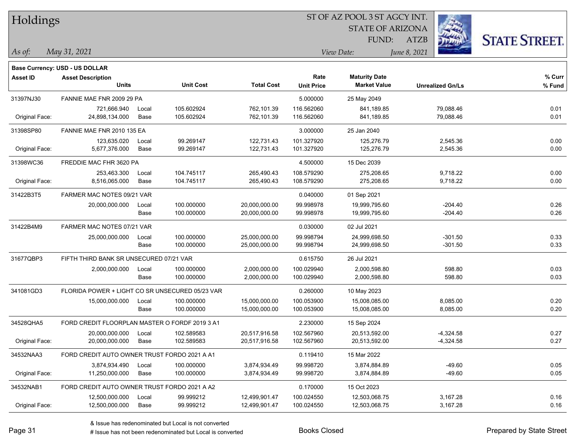| Holdings        |                                                 |       |                  |                   |                   | ST OF AZ POOL 3 ST AGCY INT. |                         |                      |
|-----------------|-------------------------------------------------|-------|------------------|-------------------|-------------------|------------------------------|-------------------------|----------------------|
|                 |                                                 |       |                  |                   |                   | <b>STATE OF ARIZONA</b>      |                         |                      |
|                 |                                                 |       |                  |                   |                   | FUND:                        | <b>ATZB</b>             | <b>STATE STREET.</b> |
| $\vert$ As of:  | May 31, 2021                                    |       |                  |                   |                   | View Date:                   | June 8, 2021            |                      |
|                 | <b>Base Currency: USD - US DOLLAR</b>           |       |                  |                   |                   |                              |                         |                      |
| <b>Asset ID</b> | <b>Asset Description</b>                        |       |                  |                   | Rate              | <b>Maturity Date</b>         |                         | % Curr               |
|                 | <b>Units</b>                                    |       | <b>Unit Cost</b> | <b>Total Cost</b> | <b>Unit Price</b> | <b>Market Value</b>          | <b>Unrealized Gn/Ls</b> | % Fund               |
| 31397NJ30       | FANNIE MAE FNR 2009 29 PA                       |       |                  |                   | 5.000000          | 25 May 2049                  |                         |                      |
|                 | 721,666.940                                     | Local | 105.602924       | 762,101.39        | 116.562060        | 841,189.85                   | 79,088.46               | 0.01                 |
| Original Face:  | 24,898,134.000                                  | Base  | 105.602924       | 762,101.39        | 116.562060        | 841,189.85                   | 79,088.46               | 0.01                 |
| 31398SP80       | FANNIE MAE FNR 2010 135 EA                      |       |                  |                   | 3.000000          | 25 Jan 2040                  |                         |                      |
|                 | 123,635.020                                     | Local | 99.269147        | 122,731.43        | 101.327920        | 125,276.79                   | 2,545.36                | 0.00                 |
| Original Face:  | 5,677,376.000                                   | Base  | 99.269147        | 122,731.43        | 101.327920        | 125,276.79                   | 2,545.36                | 0.00                 |
| 31398WC36       | FREDDIE MAC FHR 3620 PA                         |       |                  |                   | 4.500000          | 15 Dec 2039                  |                         |                      |
|                 | 253,463.300                                     | Local | 104.745117       | 265,490.43        | 108.579290        | 275,208.65                   | 9,718.22                | 0.00                 |
| Original Face:  | 8,516,065.000                                   | Base  | 104.745117       | 265,490.43        | 108.579290        | 275,208.65                   | 9,718.22                | 0.00                 |
| 31422B3T5       | FARMER MAC NOTES 09/21 VAR                      |       |                  |                   | 0.040000          | 01 Sep 2021                  |                         |                      |
|                 | 20,000,000.000                                  | Local | 100.000000       | 20,000,000.00     | 99.998978         | 19,999,795.60                | $-204.40$               | 0.26                 |
|                 |                                                 | Base  | 100.000000       | 20,000,000.00     | 99.998978         | 19,999,795.60                | $-204.40$               | 0.26                 |
| 31422B4M9       | FARMER MAC NOTES 07/21 VAR                      |       |                  |                   | 0.030000          | 02 Jul 2021                  |                         |                      |
|                 | 25,000,000.000                                  | Local | 100.000000       | 25,000,000.00     | 99.998794         | 24,999,698.50                | $-301.50$               | 0.33                 |
|                 |                                                 | Base  | 100.000000       | 25,000,000.00     | 99.998794         | 24,999,698.50                | $-301.50$               | 0.33                 |
| 31677QBP3       | FIFTH THIRD BANK SR UNSECURED 07/21 VAR         |       |                  |                   | 0.615750          | 26 Jul 2021                  |                         |                      |
|                 | 2,000,000.000                                   | Local | 100.000000       | 2,000,000.00      | 100.029940        | 2,000,598.80                 | 598.80                  | 0.03                 |
|                 |                                                 | Base  | 100.000000       | 2,000,000.00      | 100.029940        | 2,000,598.80                 | 598.80                  | 0.03                 |
| 341081GD3       | FLORIDA POWER + LIGHT CO SR UNSECURED 05/23 VAR |       |                  |                   | 0.260000          | 10 May 2023                  |                         |                      |
|                 | 15,000,000.000                                  | Local | 100.000000       | 15,000,000.00     | 100.053900        | 15,008,085.00                | 8,085.00                | 0.20                 |
|                 |                                                 | Base  | 100.000000       | 15,000,000.00     | 100.053900        | 15,008,085.00                | 8,085.00                | 0.20                 |
| 34528QHA5       | FORD CREDIT FLOORPLAN MASTER O FORDF 2019 3 A1  |       |                  |                   | 2.230000          | 15 Sep 2024                  |                         |                      |
|                 | 20,000,000.000                                  | Local | 102.589583       | 20,517,916.58     | 102.567960        | 20,513,592.00                | $-4,324.58$             | 0.27                 |
| Original Face:  | 20,000,000.000                                  | Base  | 102.589583       | 20,517,916.58     | 102.567960        | 20,513,592.00                | $-4,324.58$             | 0.27                 |
| 34532NAA3       | FORD CREDIT AUTO OWNER TRUST FORDO 2021 A A1    |       |                  |                   | 0.119410          | 15 Mar 2022                  |                         |                      |
|                 | 3,874,934.490                                   | Local | 100.000000       | 3,874,934.49      | 99.998720         | 3,874,884.89                 | $-49.60$                | 0.05                 |
| Original Face:  | 11,250,000.000                                  | Base  | 100.000000       | 3,874,934.49      | 99.998720         | 3,874,884.89                 | $-49.60$                | 0.05                 |
| 34532NAB1       | FORD CREDIT AUTO OWNER TRUST FORDO 2021 A A2    |       |                  |                   | 0.170000          | 15 Oct 2023                  |                         |                      |
|                 | 12,500,000.000                                  | Local | 99.999212        | 12,499,901.47     | 100.024550        | 12,503,068.75                | 3,167.28                | 0.16                 |
| Original Face:  | 12,500,000.000                                  | Base  | 99.999212        | 12,499,901.47     | 100.024550        | 12,503,068.75                | 3,167.28                | 0.16                 |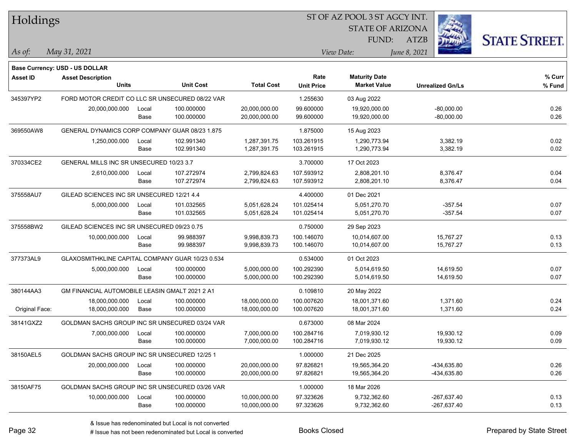| <b>Holdings</b> |                                                  |       |                  |                   | 51 OF AZ POOL 3 51 AGCY INT. |                         |                         |                      |  |  |
|-----------------|--------------------------------------------------|-------|------------------|-------------------|------------------------------|-------------------------|-------------------------|----------------------|--|--|
|                 |                                                  |       |                  |                   |                              | <b>STATE OF ARIZONA</b> | i.                      |                      |  |  |
|                 |                                                  |       |                  |                   |                              | FUND:                   | ATZB                    | <b>STATE STREET.</b> |  |  |
| As of:          | May 31, 2021                                     |       |                  |                   |                              | View Date:              | June 8, 2021            |                      |  |  |
|                 | <b>Base Currency: USD - US DOLLAR</b>            |       |                  |                   |                              |                         |                         |                      |  |  |
| <b>Asset ID</b> | <b>Asset Description</b>                         |       |                  |                   | Rate                         | <b>Maturity Date</b>    |                         | % Curr               |  |  |
|                 | <b>Units</b>                                     |       | <b>Unit Cost</b> | <b>Total Cost</b> | <b>Unit Price</b>            | <b>Market Value</b>     | <b>Unrealized Gn/Ls</b> | % Fund               |  |  |
| 345397YP2       | FORD MOTOR CREDIT CO LLC SR UNSECURED 08/22 VAR  |       |                  |                   | 1.255630                     | 03 Aug 2022             |                         |                      |  |  |
|                 | 20,000,000.000                                   | Local | 100.000000       | 20,000,000.00     | 99.600000                    | 19,920,000.00           | $-80,000.00$            | 0.26                 |  |  |
|                 |                                                  | Base  | 100.000000       | 20,000,000.00     | 99.600000                    | 19,920,000.00           | $-80,000.00$            | 0.26                 |  |  |
| 369550AW8       | GENERAL DYNAMICS CORP COMPANY GUAR 08/23 1.875   |       |                  |                   | 1.875000                     | 15 Aug 2023             |                         |                      |  |  |
|                 | 1,250,000.000                                    | Local | 102.991340       | 1,287,391.75      | 103.261915                   | 1,290,773.94            | 3,382.19                | 0.02                 |  |  |
|                 |                                                  | Base  | 102.991340       | 1,287,391.75      | 103.261915                   | 1,290,773.94            | 3,382.19                | 0.02                 |  |  |
| 370334CE2       | GENERAL MILLS INC SR UNSECURED 10/23 3.7         |       |                  |                   | 3.700000                     | 17 Oct 2023             |                         |                      |  |  |
|                 | 2,610,000.000                                    | Local | 107.272974       | 2,799,824.63      | 107.593912                   | 2,808,201.10            | 8,376.47                | 0.04                 |  |  |
|                 |                                                  | Base  | 107.272974       | 2,799,824.63      | 107.593912                   | 2,808,201.10            | 8,376.47                | 0.04                 |  |  |
| 375558AU7       | GILEAD SCIENCES INC SR UNSECURED 12/21 4.4       |       |                  |                   | 4.400000                     | 01 Dec 2021             |                         |                      |  |  |
|                 | 5,000,000.000                                    | Local | 101.032565       | 5,051,628.24      | 101.025414                   | 5,051,270.70            | $-357.54$               | 0.07                 |  |  |
|                 |                                                  | Base  | 101.032565       | 5,051,628.24      | 101.025414                   | 5,051,270.70            | $-357.54$               | 0.07                 |  |  |
| 375558BW2       | GILEAD SCIENCES INC SR UNSECURED 09/23 0.75      |       |                  |                   | 0.750000                     | 29 Sep 2023             |                         |                      |  |  |
|                 | 10,000,000.000                                   | Local | 99.988397        | 9,998,839.73      | 100.146070                   | 10,014,607.00           | 15,767.27               | 0.13                 |  |  |
|                 |                                                  | Base  | 99.988397        | 9,998,839.73      | 100.146070                   | 10,014,607.00           | 15,767.27               | 0.13                 |  |  |
| 377373AL9       | GLAXOSMITHKLINE CAPITAL COMPANY GUAR 10/23 0.534 |       |                  |                   | 0.534000                     | 01 Oct 2023             |                         |                      |  |  |
|                 | 5,000,000.000                                    | Local | 100.000000       | 5,000,000.00      | 100.292390                   | 5,014,619.50            | 14,619.50               | 0.07                 |  |  |
|                 |                                                  | Base  | 100.000000       | 5,000,000.00      | 100.292390                   | 5,014,619.50            | 14,619.50               | 0.07                 |  |  |
| 380144AA3       | GM FINANCIAL AUTOMOBILE LEASIN GMALT 2021 2 A1   |       |                  |                   | 0.109810                     | 20 May 2022             |                         |                      |  |  |
|                 | 18,000,000.000                                   | Local | 100.000000       | 18,000,000.00     | 100.007620                   | 18,001,371.60           | 1,371.60                | 0.24                 |  |  |
| Original Face:  | 18,000,000.000                                   | Base  | 100.000000       | 18,000,000.00     | 100.007620                   | 18,001,371.60           | 1,371.60                | 0.24                 |  |  |
| 38141GXZ2       | GOLDMAN SACHS GROUP INC SR UNSECURED 03/24 VAR   |       |                  |                   | 0.673000                     | 08 Mar 2024             |                         |                      |  |  |
|                 | 7,000,000.000                                    | Local | 100.000000       | 7,000,000.00      | 100.284716                   | 7,019,930.12            | 19,930.12               | 0.09                 |  |  |
|                 |                                                  | Base  | 100.000000       | 7,000,000.00      | 100.284716                   | 7,019,930.12            | 19,930.12               | 0.09                 |  |  |
| 38150AEL5       | GOLDMAN SACHS GROUP INC SR UNSECURED 12/25 1     |       |                  |                   | 1.000000                     | 21 Dec 2025             |                         |                      |  |  |
|                 | 20,000,000.000                                   | Local | 100.000000       | 20,000,000.00     | 97.826821                    | 19,565,364.20           | -434,635.80             | 0.26                 |  |  |
|                 |                                                  | Base  | 100.000000       | 20,000,000.00     | 97.826821                    | 19,565,364.20           | -434,635.80             | 0.26                 |  |  |
| 38150AF75       | GOLDMAN SACHS GROUP INC SR UNSECURED 03/26 VAR   |       |                  |                   | 1.000000                     | 18 Mar 2026             |                         |                      |  |  |
|                 | 10,000,000.000                                   | Local | 100.000000       | 10,000,000.00     | 97.323626                    | 9,732,362.60            | $-267,637.40$           | 0.13                 |  |  |
|                 |                                                  | Base  | 100.000000       | 10,000,000.00     | 97.323626                    | 9,732,362.60            | $-267,637.40$           | 0.13                 |  |  |

 $\overline{\text{SUSP}}$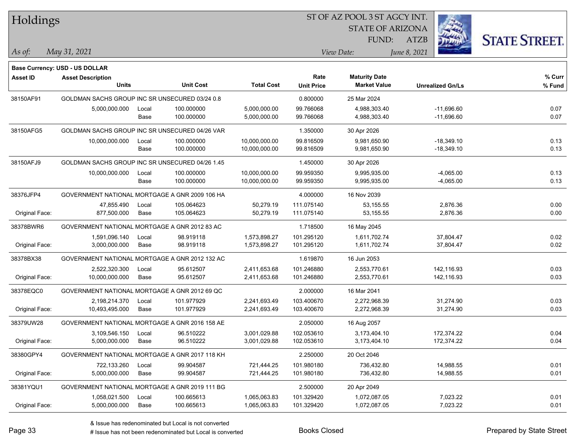| Holdings        |                                                 |               |                          |                              |                           | ST OF AZ POOL 3 ST AGCY INT.                |                              |                      |  |  |
|-----------------|-------------------------------------------------|---------------|--------------------------|------------------------------|---------------------------|---------------------------------------------|------------------------------|----------------------|--|--|
|                 |                                                 |               |                          |                              |                           | <b>STATE OF ARIZONA</b>                     |                              |                      |  |  |
|                 |                                                 |               |                          |                              |                           | FUND:                                       | <b>ATZB</b>                  | <b>STATE STREET.</b> |  |  |
| $\vert$ As of:  | May 31, 2021                                    |               |                          |                              |                           | View Date:                                  | June 8, 2021                 |                      |  |  |
|                 |                                                 |               |                          |                              |                           |                                             |                              |                      |  |  |
|                 | <b>Base Currency: USD - US DOLLAR</b>           |               |                          |                              |                           |                                             |                              |                      |  |  |
| <b>Asset ID</b> | <b>Asset Description</b><br><b>Units</b>        |               | <b>Unit Cost</b>         | <b>Total Cost</b>            | Rate<br><b>Unit Price</b> | <b>Maturity Date</b><br><b>Market Value</b> | <b>Unrealized Gn/Ls</b>      | % Curr<br>% Fund     |  |  |
|                 |                                                 |               |                          |                              |                           |                                             |                              |                      |  |  |
| 38150AF91       | GOLDMAN SACHS GROUP INC SR UNSECURED 03/24 0.8  |               |                          |                              | 0.800000                  | 25 Mar 2024                                 |                              |                      |  |  |
|                 | 5,000,000.000                                   | Local<br>Base | 100.000000<br>100.000000 | 5,000,000.00<br>5,000,000.00 | 99.766068<br>99.766068    | 4,988,303.40<br>4,988,303.40                | $-11,696.60$<br>$-11,696.60$ | 0.07<br>0.07         |  |  |
|                 |                                                 |               |                          |                              |                           |                                             |                              |                      |  |  |
| 38150AFG5       | GOLDMAN SACHS GROUP INC SR UNSECURED 04/26 VAR  |               |                          |                              | 1.350000                  | 30 Apr 2026                                 |                              |                      |  |  |
|                 | 10,000,000.000                                  | Local         | 100.000000               | 10,000,000.00                | 99.816509                 | 9,981,650.90                                | $-18,349.10$                 | 0.13                 |  |  |
|                 |                                                 | Base          | 100.000000               | 10,000,000.00                | 99.816509                 | 9,981,650.90                                | $-18,349.10$                 | 0.13                 |  |  |
| 38150AFJ9       | GOLDMAN SACHS GROUP INC SR UNSECURED 04/26 1.45 |               |                          |                              | 1.450000                  | 30 Apr 2026                                 |                              |                      |  |  |
|                 | 10,000,000.000                                  | Local         | 100.000000               | 10,000,000.00                | 99.959350                 | 9,995,935.00                                | $-4,065.00$                  | 0.13                 |  |  |
|                 |                                                 | Base          | 100.000000               | 10,000,000.00                | 99.959350                 | 9,995,935.00                                | $-4,065.00$                  | 0.13                 |  |  |
| 38376JFP4       | GOVERNMENT NATIONAL MORTGAGE A GNR 2009 106 HA  |               |                          |                              | 4.000000                  | 16 Nov 2039                                 |                              |                      |  |  |
|                 | 47,855.490                                      | Local         | 105.064623               | 50,279.19                    | 111.075140                | 53,155.55                                   | 2,876.36                     | 0.00                 |  |  |
| Original Face:  | 877,500.000                                     | Base          | 105.064623               | 50,279.19                    | 111.075140                | 53,155.55                                   | 2,876.36                     | 0.00                 |  |  |
| 38378BWR6       | GOVERNMENT NATIONAL MORTGAGE A GNR 2012 83 AC   |               |                          |                              | 1.718500                  | 16 May 2045                                 |                              |                      |  |  |
|                 | 1,591,096.140                                   | Local         | 98.919118                | 1,573,898.27                 | 101.295120                | 1,611,702.74                                | 37,804.47                    | 0.02                 |  |  |
| Original Face:  | 3,000,000.000                                   | Base          | 98.919118                | 1,573,898.27                 | 101.295120                | 1,611,702.74                                | 37,804.47                    | 0.02                 |  |  |
| 38378BX38       | GOVERNMENT NATIONAL MORTGAGE A GNR 2012 132 AC  |               |                          |                              | 1.619870                  | 16 Jun 2053                                 |                              |                      |  |  |
|                 | 2,522,320.300                                   | Local         | 95.612507                | 2,411,653.68                 | 101.246880                | 2,553,770.61                                | 142,116.93                   | 0.03                 |  |  |
| Original Face:  | 10,000,000.000                                  | Base          | 95.612507                | 2,411,653.68                 | 101.246880                | 2,553,770.61                                | 142,116.93                   | 0.03                 |  |  |
| 38378EQC0       | GOVERNMENT NATIONAL MORTGAGE A GNR 2012 69 QC   |               |                          |                              | 2.000000                  | 16 Mar 2041                                 |                              |                      |  |  |
|                 | 2,198,214.370                                   | Local         | 101.977929               | 2,241,693.49                 | 103.400670                | 2,272,968.39                                | 31,274.90                    | 0.03                 |  |  |
| Original Face:  | 10,493,495.000                                  | Base          | 101.977929               | 2,241,693.49                 | 103.400670                | 2,272,968.39                                | 31,274.90                    | 0.03                 |  |  |
| 38379UW28       | GOVERNMENT NATIONAL MORTGAGE A GNR 2016 158 AE  |               |                          |                              | 2.050000                  | 16 Aug 2057                                 |                              |                      |  |  |
|                 | 3,109,546.150                                   | Local         | 96.510222                | 3.001.029.88                 | 102.053610                | 3,173,404.10                                | 172,374.22                   | 0.04                 |  |  |
| Original Face:  | 5,000,000.000                                   | Base          | 96.510222                | 3,001,029.88                 | 102.053610                | 3,173,404.10                                | 172,374.22                   | 0.04                 |  |  |
| 38380GPY4       | GOVERNMENT NATIONAL MORTGAGE A GNR 2017 118 KH  |               |                          |                              | 2.250000                  | 20 Oct 2046                                 |                              |                      |  |  |
|                 | 722,133.260                                     | Local         | 99.904587                | 721,444.25                   | 101.980180                | 736,432.80                                  | 14,988.55                    | 0.01                 |  |  |
| Original Face:  | 5,000,000.000                                   | Base          | 99.904587                | 721,444.25                   | 101.980180                | 736,432.80                                  | 14,988.55                    | 0.01                 |  |  |
| 38381YQU1       | GOVERNMENT NATIONAL MORTGAGE A GNR 2019 111 BG  |               |                          |                              | 2.500000                  | 20 Apr 2049                                 |                              |                      |  |  |
|                 | 1,058,021.500                                   | Local         | 100.665613               | 1,065,063.83                 | 101.329420                | 1,072,087.05                                | 7,023.22                     | 0.01                 |  |  |
| Original Face:  | 5,000,000.000                                   | Base          | 100.665613               | 1,065,063.83                 | 101.329420                | 1,072,087.05                                | 7,023.22                     | 0.01                 |  |  |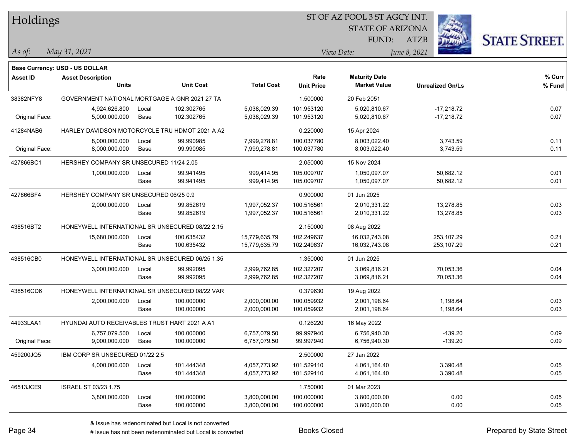| Holdings        |                                                            |       |                  |                   |                   | ST OF AZ POOL 3 ST AGCY INT. |                         |                      |
|-----------------|------------------------------------------------------------|-------|------------------|-------------------|-------------------|------------------------------|-------------------------|----------------------|
|                 |                                                            |       |                  |                   |                   | <b>STATE OF ARIZONA</b>      |                         |                      |
|                 |                                                            |       |                  |                   |                   | FUND:                        | <b>ATZB</b>             | <b>STATE STREET.</b> |
| As of:          | May 31, 2021                                               |       |                  |                   |                   | View Date:                   | June 8, 2021            |                      |
|                 |                                                            |       |                  |                   |                   |                              |                         |                      |
| <b>Asset ID</b> | Base Currency: USD - US DOLLAR<br><b>Asset Description</b> |       |                  |                   | Rate              | <b>Maturity Date</b>         |                         | % Curr               |
|                 | <b>Units</b>                                               |       | <b>Unit Cost</b> | <b>Total Cost</b> | <b>Unit Price</b> | <b>Market Value</b>          | <b>Unrealized Gn/Ls</b> | % Fund               |
| 38382NFY8       | GOVERNMENT NATIONAL MORTGAGE A GNR 2021 27 TA              |       |                  |                   | 1.500000          | 20 Feb 2051                  |                         |                      |
|                 | 4,924,626.800                                              | Local | 102.302765       | 5,038,029.39      | 101.953120        | 5,020,810.67                 | $-17,218.72$            | 0.07                 |
| Original Face:  | 5,000,000.000                                              | Base  | 102.302765       | 5,038,029.39      | 101.953120        | 5,020,810.67                 | $-17,218.72$            | 0.07                 |
| 41284NAB6       | HARLEY DAVIDSON MOTORCYCLE TRU HDMOT 2021 A A2             |       |                  |                   | 0.220000          | 15 Apr 2024                  |                         |                      |
|                 | 8,000,000.000                                              | Local | 99.990985        | 7,999,278.81      | 100.037780        | 8,003,022.40                 | 3,743.59                | 0.11                 |
| Original Face:  | 8,000,000.000                                              | Base  | 99.990985        | 7,999,278.81      | 100.037780        | 8,003,022.40                 | 3,743.59                | 0.11                 |
| 427866BC1       | HERSHEY COMPANY SR UNSECURED 11/24 2.05                    |       |                  |                   | 2.050000          | 15 Nov 2024                  |                         |                      |
|                 | 1,000,000.000                                              | Local | 99.941495        | 999,414.95        | 105.009707        | 1,050,097.07                 | 50,682.12               | 0.01                 |
|                 |                                                            | Base  | 99.941495        | 999,414.95        | 105.009707        | 1,050,097.07                 | 50,682.12               | 0.01                 |
| 427866BF4       | HERSHEY COMPANY SR UNSECURED 06/25 0.9                     |       |                  |                   | 0.900000          | 01 Jun 2025                  |                         |                      |
|                 | 2,000,000.000                                              | Local | 99.852619        | 1,997,052.37      | 100.516561        | 2,010,331.22                 | 13,278.85               | 0.03                 |
|                 |                                                            | Base  | 99.852619        | 1,997,052.37      | 100.516561        | 2,010,331.22                 | 13,278.85               | 0.03                 |
| 438516BT2       | HONEYWELL INTERNATIONAL SR UNSECURED 08/22 2.15            |       |                  |                   | 2.150000          | 08 Aug 2022                  |                         |                      |
|                 | 15,680,000.000                                             | Local | 100.635432       | 15,779,635.79     | 102.249637        | 16,032,743.08                | 253,107.29              | 0.21                 |
|                 |                                                            | Base  | 100.635432       | 15,779,635.79     | 102.249637        | 16,032,743.08                | 253,107.29              | 0.21                 |
| 438516CB0       | HONEYWELL INTERNATIONAL SR UNSECURED 06/25 1.35            |       |                  |                   | 1.350000          | 01 Jun 2025                  |                         |                      |
|                 | 3,000,000.000                                              | Local | 99.992095        | 2,999,762.85      | 102.327207        | 3,069,816.21                 | 70,053.36               | 0.04                 |
|                 |                                                            | Base  | 99.992095        | 2,999,762.85      | 102.327207        | 3,069,816.21                 | 70,053.36               | 0.04                 |
| 438516CD6       | HONEYWELL INTERNATIONAL SR UNSECURED 08/22 VAR             |       |                  |                   | 0.379630          | 19 Aug 2022                  |                         |                      |
|                 | 2,000,000.000                                              | Local | 100.000000       | 2,000,000.00      | 100.059932        | 2,001,198.64                 | 1,198.64                | 0.03                 |
|                 |                                                            | Base  | 100.000000       | 2,000,000.00      | 100.059932        | 2,001,198.64                 | 1,198.64                | 0.03                 |
| 44933LAA1       | <b>HYUNDAI AUTO RECEIVABLES TRUST HART 2021 A A1</b>       |       |                  |                   | 0.126220          | 16 May 2022                  |                         |                      |
|                 | 6,757,079.500 Local                                        |       | 100.000000       | 6,757,079.50      | 99.997940         | 6,756,940.30                 | $-139.20$               | 0.09                 |
| Original Face:  | 9,000,000.000                                              | Base  | 100.000000       | 6,757,079.50      | 99.997940         | 6,756,940.30                 | $-139.20$               | 0.09                 |
| 459200JQ5       | IBM CORP SR UNSECURED 01/22 2.5                            |       |                  |                   | 2.500000          | 27 Jan 2022                  |                         |                      |
|                 | 4,000,000.000                                              | Local | 101.444348       | 4,057,773.92      | 101.529110        | 4,061,164.40                 | 3,390.48                | 0.05                 |
|                 |                                                            | Base  | 101.444348       | 4,057,773.92      | 101.529110        | 4,061,164.40                 | 3,390.48                | 0.05                 |
| 46513JCE9       | ISRAEL ST 03/23 1.75                                       |       |                  |                   | 1.750000          | 01 Mar 2023                  |                         |                      |
|                 | 3,800,000.000                                              | Local | 100.000000       | 3,800,000.00      | 100.000000        | 3,800,000.00                 | 0.00                    | 0.05                 |
|                 |                                                            | Base  | 100.000000       | 3,800,000.00      | 100.000000        | 3,800,000.00                 | 0.00                    | 0.05                 |

## Holdings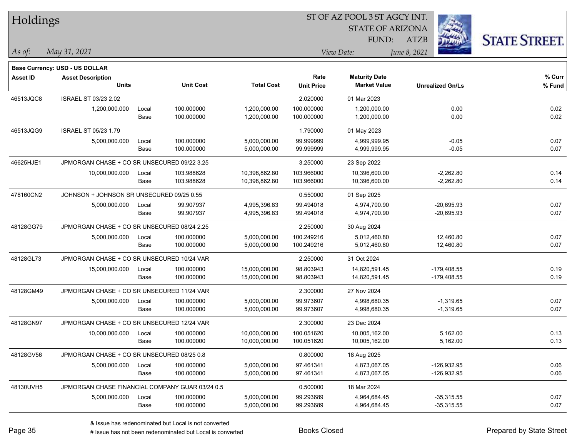| Holdings        |                                                 |       |                  |                   |                   |                         |                         |                      |
|-----------------|-------------------------------------------------|-------|------------------|-------------------|-------------------|-------------------------|-------------------------|----------------------|
|                 |                                                 |       |                  |                   |                   | <b>STATE OF ARIZONA</b> |                         |                      |
|                 |                                                 |       |                  |                   |                   | FUND:                   | <b>ATZB</b>             | <b>STATE STREET.</b> |
| As of:          | May 31, 2021                                    |       |                  |                   |                   | View Date:              | June 8, 2021            |                      |
|                 | Base Currency: USD - US DOLLAR                  |       |                  |                   |                   |                         |                         |                      |
| <b>Asset ID</b> | <b>Asset Description</b>                        |       |                  |                   | Rate              | <b>Maturity Date</b>    |                         | % Curr               |
|                 | <b>Units</b>                                    |       | <b>Unit Cost</b> | <b>Total Cost</b> | <b>Unit Price</b> | <b>Market Value</b>     | <b>Unrealized Gn/Ls</b> | % Fund               |
| 46513JQC8       | <b>ISRAEL ST 03/23 2.02</b>                     |       |                  |                   | 2.020000          | 01 Mar 2023             |                         |                      |
|                 | 1,200,000.000                                   | Local | 100.000000       | 1,200,000.00      | 100.000000        | 1,200,000.00            | 0.00                    | 0.02                 |
|                 |                                                 | Base  | 100.000000       | 1,200,000.00      | 100.000000        | 1,200,000.00            | 0.00                    | 0.02                 |
| 46513JQG9       | <b>ISRAEL ST 05/23 1.79</b>                     |       |                  |                   | 1.790000          | 01 May 2023             |                         |                      |
|                 | 5,000,000.000                                   | Local | 100.000000       | 5,000,000.00      | 99.999999         | 4,999,999.95            | $-0.05$                 | 0.07                 |
|                 |                                                 | Base  | 100.000000       | 5,000,000.00      | 99.999999         | 4,999,999.95            | $-0.05$                 | 0.07                 |
| 46625HJE1       | JPMORGAN CHASE + CO SR UNSECURED 09/22 3.25     |       |                  |                   | 3.250000          | 23 Sep 2022             |                         |                      |
|                 | 10,000,000.000                                  | Local | 103.988628       | 10,398,862.80     | 103.966000        | 10,396,600.00           | $-2,262.80$             | 0.14                 |
|                 |                                                 | Base  | 103.988628       | 10,398,862.80     | 103.966000        | 10,396,600.00           | $-2,262.80$             | 0.14                 |
| 478160CN2       | JOHNSON + JOHNSON SR UNSECURED 09/25 0.55       |       |                  |                   | 0.550000          | 01 Sep 2025             |                         |                      |
|                 | 5,000,000.000                                   | Local | 99.907937        | 4,995,396.83      | 99.494018         | 4,974,700.90            | $-20,695.93$            | 0.07                 |
|                 |                                                 | Base  | 99.907937        | 4,995,396.83      | 99.494018         | 4,974,700.90            | $-20,695.93$            | 0.07                 |
| 48128GG79       | JPMORGAN CHASE + CO SR UNSECURED 08/24 2.25     |       |                  |                   | 2.250000          | 30 Aug 2024             |                         |                      |
|                 | 5,000,000.000                                   | Local | 100.000000       | 5,000,000.00      | 100.249216        | 5,012,460.80            | 12,460.80               | 0.07                 |
|                 |                                                 | Base  | 100.000000       | 5,000,000.00      | 100.249216        | 5,012,460.80            | 12,460.80               | 0.07                 |
| 48128GL73       | JPMORGAN CHASE + CO SR UNSECURED 10/24 VAR      |       |                  |                   | 2.250000          | 31 Oct 2024             |                         |                      |
|                 | 15,000,000.000                                  | Local | 100.000000       | 15,000,000.00     | 98.803943         | 14,820,591.45           | $-179,408.55$           | 0.19                 |
|                 |                                                 | Base  | 100.000000       | 15,000,000.00     | 98.803943         | 14,820,591.45           | -179,408.55             | 0.19                 |
| 48128GM49       | JPMORGAN CHASE + CO SR UNSECURED 11/24 VAR      |       |                  |                   | 2.300000          | 27 Nov 2024             |                         |                      |
|                 | 5,000,000.000                                   | Local | 100.000000       | 5,000,000.00      | 99.973607         | 4,998,680.35            | $-1,319.65$             | 0.07                 |
|                 |                                                 | Base  | 100.000000       | 5,000,000.00      | 99.973607         | 4,998,680.35            | $-1,319.65$             | 0.07                 |
| 48128GN97       | JPMORGAN CHASE + CO SR UNSECURED 12/24 VAR      |       |                  |                   | 2.300000          | 23 Dec 2024             |                         |                      |
|                 | 10,000,000.000                                  | Local | 100.000000       | 10,000,000.00     | 100.051620        | 10,005,162.00           | 5,162.00                | 0.13                 |
|                 |                                                 | Base  | 100.000000       | 10,000,000.00     | 100.051620        | 10,005,162.00           | 5,162.00                | 0.13                 |
| 48128GV56       | JPMORGAN CHASE + CO SR UNSECURED 08/25 0.8      |       |                  |                   | 0.800000          | 18 Aug 2025             |                         |                      |
|                 | 5,000,000.000                                   | Local | 100.000000       | 5,000,000.00      | 97.461341         | 4,873,067.05            | $-126,932.95$           | 0.06                 |
|                 |                                                 | Base  | 100.000000       | 5,000,000.00      | 97.461341         | 4,873,067.05            | $-126,932.95$           | 0.06                 |
| 48130UVH5       | JPMORGAN CHASE FINANCIAL COMPANY GUAR 03/24 0.5 |       |                  |                   | 0.500000          | 18 Mar 2024             |                         |                      |
|                 | 5,000,000.000                                   | Local | 100.000000       | 5,000,000.00      | 99.293689         | 4,964,684.45            | $-35,315.55$            | 0.07                 |
|                 |                                                 | Base  | 100.000000       | 5,000,000.00      | 99.293689         | 4,964,684.45            | $-35,315.55$            | 0.07                 |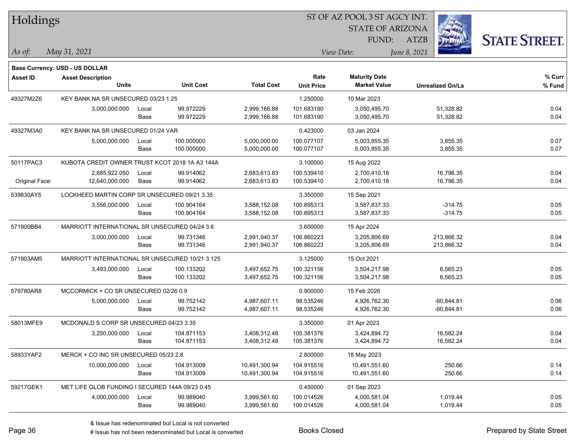| Holdings        |                                                 |       |                  |                   | ST OF AZ POOL 3 ST AGCY INT. |                         |                         |                      |
|-----------------|-------------------------------------------------|-------|------------------|-------------------|------------------------------|-------------------------|-------------------------|----------------------|
|                 |                                                 |       |                  |                   |                              | <b>STATE OF ARIZONA</b> |                         |                      |
|                 |                                                 |       |                  |                   |                              | FUND:                   | <b>ATZB</b>             | <b>STATE STREET.</b> |
| As of:          | May 31, 2021                                    |       |                  |                   |                              | View Date:              | June 8, 2021            |                      |
|                 | <b>Base Currency: USD - US DOLLAR</b>           |       |                  |                   |                              |                         |                         |                      |
| <b>Asset ID</b> | <b>Asset Description</b>                        |       |                  |                   | Rate                         | <b>Maturity Date</b>    |                         | % Curr               |
|                 | <b>Units</b>                                    |       | <b>Unit Cost</b> | <b>Total Cost</b> | <b>Unit Price</b>            | <b>Market Value</b>     | <b>Unrealized Gn/Ls</b> | % Fund               |
| 49327M2Z6       | KEY BANK NA SR UNSECURED 03/23 1.25             |       |                  |                   | 1.250000                     | 10 Mar 2023             |                         |                      |
|                 | 3,000,000.000                                   | Local | 99.972229        | 2,999,166.88      | 101.683190                   | 3,050,495.70            | 51,328.82               | 0.04                 |
|                 |                                                 | Base  | 99.972229        | 2,999,166.88      | 101.683190                   | 3,050,495.70            | 51,328.82               | 0.04                 |
| 49327M3A0       | KEY BANK NA SR UNSECURED 01/24 VAR              |       |                  |                   | 0.423000                     | 03 Jan 2024             |                         |                      |
|                 | 5,000,000.000                                   | Local | 100.000000       | 5,000,000.00      | 100.077107                   | 5,003,855.35            | 3,855.35                | 0.07                 |
|                 |                                                 | Base  | 100.000000       | 5,000,000.00      | 100.077107                   | 5,003,855.35            | 3,855.35                | 0.07                 |
| 50117PAC3       | KUBOTA CREDIT OWNER TRUST KCOT 2018 1A A3 144A  |       |                  |                   | 3.100000                     | 15 Aug 2022             |                         |                      |
|                 | 2,685,922.050                                   | Local | 99.914062        | 2,683,613.83      | 100.539410                   | 2,700,410.18            | 16,796.35               | 0.04                 |
| Original Face:  | 12,640,000.000                                  | Base  | 99.914062        | 2,683,613.83      | 100.539410                   | 2,700,410.18            | 16,796.35               | 0.04                 |
| 539830AY5       | LOCKHEED MARTIN CORP SR UNSECURED 09/21 3.35    |       |                  |                   | 3.350000                     | 15 Sep 2021             |                         |                      |
|                 | 3,556,000.000                                   | Local | 100.904164       | 3,588,152.08      | 100.895313                   | 3,587,837.33            | $-314.75$               | 0.05                 |
|                 |                                                 | Base  | 100.904164       | 3,588,152.08      | 100.895313                   | 3,587,837.33            | $-314.75$               | 0.05                 |
| 571900BB4       | MARRIOTT INTERNATIONAL SR UNSECURED 04/24 3.6   |       |                  |                   | 3.600000                     | 15 Apr 2024             |                         |                      |
|                 | 3,000,000.000                                   | Local | 99.731346        | 2,991,940.37      | 106.860223                   | 3,205,806.69            | 213,866.32              | 0.04                 |
|                 |                                                 | Base  | 99.731346        | 2,991,940.37      | 106.860223                   | 3,205,806.69            | 213,866.32              | 0.04                 |
| 571903AM5       | MARRIOTT INTERNATIONAL SR UNSECURED 10/21 3.125 |       |                  |                   | 3.125000                     | 15 Oct 2021             |                         |                      |
|                 | 3,493,000.000                                   | Local | 100.133202       | 3,497,652.75      | 100.321156                   | 3,504,217.98            | 6,565.23                | 0.05                 |
|                 |                                                 | Base  | 100.133202       | 3,497,652.75      | 100.321156                   | 3,504,217.98            | 6,565.23                | 0.05                 |
| 579780AR8       | MCCORMICK + CO SR UNSECURED 02/26 0.9           |       |                  |                   | 0.900000                     | 15 Feb 2026             |                         |                      |
|                 | 5,000,000.000                                   | Local | 99.752142        | 4,987,607.11      | 98.535246                    | 4,926,762.30            | $-60,844.81$            | 0.06                 |
|                 |                                                 | Base  | 99.752142        | 4,987,607.11      | 98.535246                    | 4,926,762.30            | $-60,844.81$            | 0.06                 |
| 58013MFE9       | MCDONALD S CORP SR UNSECURED 04/23 3.35         |       |                  |                   | 3.350000                     | 01 Apr 2023             |                         |                      |
|                 | 3,250,000.000                                   | Local | 104.871153       | 3,408,312.48      | 105.381376                   | 3,424,894.72            | 16,582.24               | 0.04                 |
|                 |                                                 | Base  | 104.871153       | 3,408,312.48      | 105.381376                   | 3,424,894.72            | 16,582.24               | 0.04                 |
| 58933YAF2       | MERCK + CO INC SR UNSECURED 05/23 2.8           |       |                  |                   | 2.800000                     | 18 May 2023             |                         |                      |
|                 | 10,000,000.000                                  | Local | 104.913009       | 10,491,300.94     | 104.915516                   | 10,491,551.60           | 250.66                  | 0.14                 |
|                 |                                                 | Base  | 104.913009       | 10,491,300.94     | 104.915516                   | 10,491,551.60           | 250.66                  | 0.14                 |
| 59217GEK1       | MET LIFE GLOB FUNDING I SECURED 144A 09/23 0.45 |       |                  |                   | 0.450000                     | 01 Sep 2023             |                         |                      |
|                 | 4,000,000.000                                   | Local | 99.989040        | 3,999,561.60      | 100.014526                   | 4,000,581.04            | 1,019.44                | 0.05                 |
|                 |                                                 | Base  | 99.989040        | 3,999,561.60      | 100.014526                   | 4,000,581.04            | 1,019.44                | 0.05                 |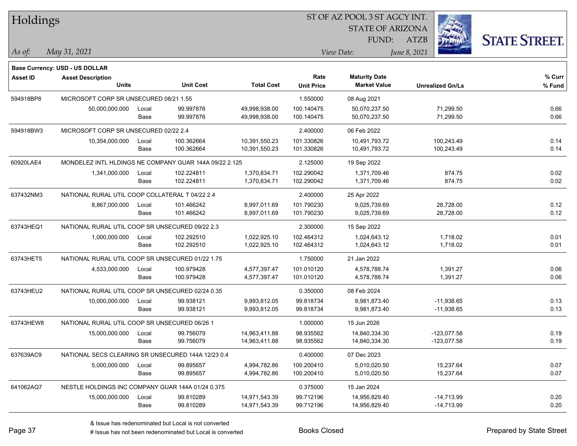| Holdings        |                                                    |       |                                                        |                   | ST OF AZ POOL 3 ST AGCY INT. |                         |                         |                      |
|-----------------|----------------------------------------------------|-------|--------------------------------------------------------|-------------------|------------------------------|-------------------------|-------------------------|----------------------|
|                 |                                                    |       |                                                        |                   |                              | <b>STATE OF ARIZONA</b> |                         |                      |
|                 |                                                    |       |                                                        |                   |                              | FUND:                   | <b>ATZB</b>             | <b>STATE STREET.</b> |
| As of:          | May 31, 2021                                       |       |                                                        |                   |                              | View Date:              | June 8, 2021            |                      |
|                 | <b>Base Currency: USD - US DOLLAR</b>              |       |                                                        |                   |                              |                         |                         |                      |
| <b>Asset ID</b> | <b>Asset Description</b>                           |       |                                                        |                   | Rate                         | <b>Maturity Date</b>    |                         | % Curr               |
|                 | <b>Units</b>                                       |       | <b>Unit Cost</b>                                       | <b>Total Cost</b> | <b>Unit Price</b>            | <b>Market Value</b>     | <b>Unrealized Gn/Ls</b> | % Fund               |
| 594918BP8       | MICROSOFT CORP SR UNSECURED 08/21 1.55             |       |                                                        |                   | 1.550000                     | 08 Aug 2021             |                         |                      |
|                 | 50,000,000.000                                     | Local | 99.997876                                              | 49,998,938.00     | 100.140475                   | 50,070,237.50           | 71,299.50               | 0.66                 |
|                 |                                                    | Base  | 99.997876                                              | 49,998,938.00     | 100.140475                   | 50,070,237.50           | 71,299.50               | 0.66                 |
| 594918BW3       | MICROSOFT CORP SR UNSECURED 02/22 2.4              |       |                                                        |                   | 2.400000                     | 06 Feb 2022             |                         |                      |
|                 | 10,354,000.000                                     | Local | 100.362664                                             | 10,391,550.23     | 101.330826                   | 10,491,793.72           | 100,243.49              | 0.14                 |
|                 |                                                    | Base  | 100.362664                                             | 10,391,550.23     | 101.330826                   | 10,491,793.72           | 100,243.49              | 0.14                 |
| 60920LAE4       |                                                    |       | MONDELEZ INTL HLDINGS NE COMPANY GUAR 144A 09/22 2.125 |                   | 2.125000                     | 19 Sep 2022             |                         |                      |
|                 | 1,341,000.000                                      | Local | 102.224811                                             | 1,370,834.71      | 102.290042                   | 1,371,709.46            | 874.75                  | 0.02                 |
|                 |                                                    | Base  | 102.224811                                             | 1,370,834.71      | 102.290042                   | 1,371,709.46            | 874.75                  | 0.02                 |
| 637432NM3       | NATIONAL RURAL UTIL COOP COLLATERAL T 04/22 2.4    |       |                                                        |                   | 2.400000                     | 25 Apr 2022             |                         |                      |
|                 | 8,867,000.000                                      | Local | 101.466242                                             | 8,997,011.69      | 101.790230                   | 9,025,739.69            | 28,728.00               | 0.12                 |
|                 |                                                    | Base  | 101.466242                                             | 8,997,011.69      | 101.790230                   | 9,025,739.69            | 28,728.00               | 0.12                 |
| 63743HEQ1       | NATIONAL RURAL UTIL COOP SR UNSECURED 09/22 2.3    |       |                                                        |                   | 2.300000                     | 15 Sep 2022             |                         |                      |
|                 | 1,000,000.000                                      | Local | 102.292510                                             | 1,022,925.10      | 102.464312                   | 1,024,643.12            | 1,718.02                | 0.01                 |
|                 |                                                    | Base  | 102.292510                                             | 1,022,925.10      | 102.464312                   | 1,024,643.12            | 1,718.02                | 0.01                 |
| 63743HET5       | NATIONAL RURAL UTIL COOP SR UNSECURED 01/22 1.75   |       |                                                        |                   | 1.750000                     | 21 Jan 2022             |                         |                      |
|                 | 4,533,000.000                                      | Local | 100.979428                                             | 4,577,397.47      | 101.010120                   | 4,578,788.74            | 1,391.27                | 0.06                 |
|                 |                                                    | Base  | 100.979428                                             | 4,577,397.47      | 101.010120                   | 4,578,788.74            | 1,391.27                | 0.06                 |
| 63743HEU2       | NATIONAL RURAL UTIL COOP SR UNSECURED 02/24 0.35   |       |                                                        |                   | 0.350000                     | 08 Feb 2024             |                         |                      |
|                 | 10,000,000.000                                     | Local | 99.938121                                              | 9,993,812.05      | 99.818734                    | 9,981,873.40            | $-11,938.65$            | 0.13                 |
|                 |                                                    | Base  | 99.938121                                              | 9,993,812.05      | 99.818734                    | 9,981,873.40            | $-11,938.65$            | 0.13                 |
| 63743HEW8       | NATIONAL RURAL UTIL COOP SR UNSECURED 06/26 1      |       |                                                        |                   | 1.000000                     | 15 Jun 2026             |                         |                      |
|                 | 15,000,000.000                                     | Local | 99.756079                                              | 14,963,411.88     | 98.935562                    | 14,840,334.30           | $-123,077.58$           | 0.19                 |
|                 |                                                    | Base  | 99.756079                                              | 14,963,411.88     | 98.935562                    | 14,840,334.30           | $-123,077.58$           | 0.19                 |
| 637639AC9       | NATIONAL SECS CLEARING SR UNSECURED 144A 12/23 0.4 |       |                                                        |                   | 0.400000                     | 07 Dec 2023             |                         |                      |
|                 | 5,000,000.000                                      | Local | 99.895657                                              | 4,994,782.86      | 100.200410                   | 5,010,020.50            | 15,237.64               | 0.07                 |
|                 |                                                    | Base  | 99.895657                                              | 4,994,782.86      | 100.200410                   | 5,010,020.50            | 15,237.64               | 0.07                 |
| 641062AQ7       | NESTLE HOLDINGS INC COMPANY GUAR 144A 01/24 0.375  |       |                                                        |                   | 0.375000                     | 15 Jan 2024             |                         |                      |
|                 | 15,000,000.000                                     | Local | 99.810289                                              | 14,971,543.39     | 99.712196                    | 14,956,829.40           | $-14,713.99$            | 0.20                 |
|                 |                                                    | Base  | 99.810289                                              | 14,971,543.39     | 99.712196                    | 14,956,829.40           | -14,713.99              | 0.20                 |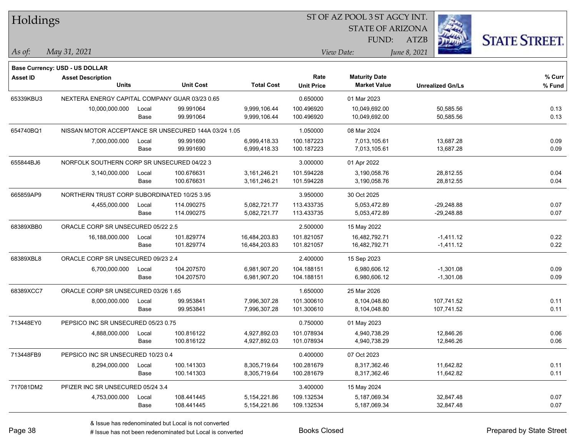| Holdings  |                                                      |       |                  |                   | 51 OF AZ POOL 3 51 AGCY INT. |                         |                         |                      |  |  |  |
|-----------|------------------------------------------------------|-------|------------------|-------------------|------------------------------|-------------------------|-------------------------|----------------------|--|--|--|
|           |                                                      |       |                  |                   |                              | <b>STATE OF ARIZONA</b> | Ź.                      |                      |  |  |  |
|           |                                                      |       |                  |                   |                              | FUND:                   | ATZB                    | <b>STATE STREET.</b> |  |  |  |
| As of:    | May 31, 2021                                         |       |                  |                   |                              | View Date:              | June 8, 2021            |                      |  |  |  |
|           |                                                      |       |                  |                   |                              |                         |                         |                      |  |  |  |
|           | <b>Base Currency: USD - US DOLLAR</b>                |       |                  |                   | Rate                         | <b>Maturity Date</b>    |                         | % Curr               |  |  |  |
| Asset ID  | <b>Asset Description</b><br><b>Units</b>             |       | <b>Unit Cost</b> | <b>Total Cost</b> | <b>Unit Price</b>            | <b>Market Value</b>     | <b>Unrealized Gn/Ls</b> | % Fund               |  |  |  |
| 65339KBU3 | NEXTERA ENERGY CAPITAL COMPANY GUAR 03/23 0.65       |       |                  |                   | 0.650000                     | 01 Mar 2023             |                         |                      |  |  |  |
|           | 10,000,000.000                                       | Local | 99.991064        | 9,999,106.44      | 100.496920                   | 10,049,692.00           | 50,585.56               | 0.13                 |  |  |  |
|           |                                                      | Base  | 99.991064        | 9,999,106.44      | 100.496920                   | 10,049,692.00           | 50,585.56               | 0.13                 |  |  |  |
| 654740BQ1 | NISSAN MOTOR ACCEPTANCE SR UNSECURED 144A 03/24 1.05 |       |                  |                   | 1.050000                     | 08 Mar 2024             |                         |                      |  |  |  |
|           | 7,000,000.000                                        | Local | 99.991690        | 6,999,418.33      | 100.187223                   | 7,013,105.61            | 13,687.28               | 0.09                 |  |  |  |
|           |                                                      | Base  | 99.991690        | 6,999,418.33      | 100.187223                   | 7,013,105.61            | 13,687.28               | 0.09                 |  |  |  |
| 655844BJ6 | NORFOLK SOUTHERN CORP SR UNSECURED 04/22 3           |       |                  |                   | 3.000000                     | 01 Apr 2022             |                         |                      |  |  |  |
|           | 3,140,000.000                                        | Local | 100.676631       | 3,161,246.21      | 101.594228                   | 3,190,058.76            | 28,812.55               | 0.04                 |  |  |  |
|           |                                                      | Base  | 100.676631       | 3,161,246.21      | 101.594228                   | 3,190,058.76            | 28,812.55               | 0.04                 |  |  |  |
| 665859AP9 | NORTHERN TRUST CORP SUBORDINATED 10/25 3.95          |       |                  |                   | 3.950000                     | 30 Oct 2025             |                         |                      |  |  |  |
|           | 4,455,000.000                                        | Local | 114.090275       | 5,082,721.77      | 113.433735                   | 5,053,472.89            | $-29,248.88$            | 0.07                 |  |  |  |
|           |                                                      | Base  | 114.090275       | 5,082,721.77      | 113.433735                   | 5,053,472.89            | $-29,248.88$            | 0.07                 |  |  |  |
| 68389XBB0 | ORACLE CORP SR UNSECURED 05/22 2.5                   |       |                  |                   | 2.500000                     | 15 May 2022             |                         |                      |  |  |  |
|           | 16,188,000.000                                       | Local | 101.829774       | 16,484,203.83     | 101.821057                   | 16,482,792.71           | $-1,411.12$             | 0.22                 |  |  |  |
|           |                                                      | Base  | 101.829774       | 16,484,203.83     | 101.821057                   | 16,482,792.71           | $-1,411.12$             | 0.22                 |  |  |  |
| 68389XBL8 | ORACLE CORP SR UNSECURED 09/23 2.4                   |       |                  |                   | 2.400000                     | 15 Sep 2023             |                         |                      |  |  |  |
|           | 6,700,000.000                                        | Local | 104.207570       | 6,981,907.20      | 104.188151                   | 6,980,606.12            | $-1,301.08$             | 0.09                 |  |  |  |
|           |                                                      | Base  | 104.207570       | 6,981,907.20      | 104.188151                   | 6,980,606.12            | $-1,301.08$             | 0.09                 |  |  |  |
| 68389XCC7 | ORACLE CORP SR UNSECURED 03/26 1.65                  |       |                  |                   | 1.650000                     | 25 Mar 2026             |                         |                      |  |  |  |
|           | 8,000,000.000                                        | Local | 99.953841        | 7,996,307.28      | 101.300610                   | 8,104,048.80            | 107,741.52              | 0.11                 |  |  |  |
|           |                                                      | Base  | 99.953841        | 7,996,307.28      | 101.300610                   | 8,104,048.80            | 107,741.52              | 0.11                 |  |  |  |
| 713448EY0 | PEPSICO INC SR UNSECURED 05/23 0.75                  |       |                  |                   | 0.750000                     | 01 May 2023             |                         |                      |  |  |  |
|           | 4,888,000.000                                        | Local | 100.816122       | 4,927,892.03      | 101.078934                   | 4,940,738.29            | 12,846.26               | 0.06                 |  |  |  |
|           |                                                      | Base  | 100.816122       | 4,927,892.03      | 101.078934                   | 4,940,738.29            | 12,846.26               | 0.06                 |  |  |  |
| 713448FB9 | PEPSICO INC SR UNSECURED 10/23 0.4                   |       |                  |                   | 0.400000                     | 07 Oct 2023             |                         |                      |  |  |  |
|           | 8,294,000.000                                        | Local | 100.141303       | 8,305,719.64      | 100.281679                   | 8,317,362.46            | 11,642.82               | 0.11                 |  |  |  |
|           |                                                      | Base  | 100.141303       | 8,305,719.64      | 100.281679                   | 8,317,362.46            | 11,642.82               | 0.11                 |  |  |  |
| 717081DM2 | PFIZER INC SR UNSECURED 05/24 3.4                    |       |                  |                   | 3.400000                     | 15 May 2024             |                         |                      |  |  |  |
|           | 4,753,000.000                                        | Local | 108.441445       | 5,154,221.86      | 109.132534                   | 5,187,069.34            | 32,847.48               | 0.07                 |  |  |  |
|           |                                                      | Base  | 108.441445       | 5,154,221.86      | 109.132534                   | 5,187,069.34            | 32,847.48               | 0.07                 |  |  |  |

ST OF A Z POOL 2 ST ACCV INT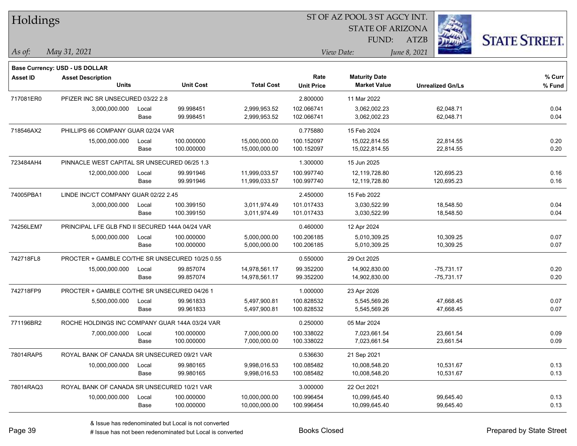| Holdings        |                                                 |       |                  |                   |                   |                         |                         |                      |
|-----------------|-------------------------------------------------|-------|------------------|-------------------|-------------------|-------------------------|-------------------------|----------------------|
|                 |                                                 |       |                  |                   |                   | <b>STATE OF ARIZONA</b> |                         |                      |
|                 |                                                 |       |                  |                   |                   | FUND:                   | <b>ATZB</b>             | <b>STATE STREET.</b> |
| $\vert$ As of:  | May 31, 2021                                    |       |                  |                   |                   | View Date:              | June 8, 2021            |                      |
|                 | <b>Base Currency: USD - US DOLLAR</b>           |       |                  |                   |                   |                         |                         |                      |
| <b>Asset ID</b> | <b>Asset Description</b>                        |       |                  |                   | Rate              | <b>Maturity Date</b>    |                         | % Curr               |
|                 | <b>Units</b>                                    |       | <b>Unit Cost</b> | <b>Total Cost</b> | <b>Unit Price</b> | <b>Market Value</b>     | <b>Unrealized Gn/Ls</b> | % Fund               |
| 717081ER0       | PFIZER INC SR UNSECURED 03/22 2.8               |       |                  |                   | 2.800000          | 11 Mar 2022             |                         |                      |
|                 | 3,000,000.000                                   | Local | 99.998451        | 2,999,953.52      | 102.066741        | 3,062,002.23            | 62,048.71               | 0.04                 |
|                 |                                                 | Base  | 99.998451        | 2,999,953.52      | 102.066741        | 3,062,002.23            | 62,048.71               | 0.04                 |
| 718546AX2       | PHILLIPS 66 COMPANY GUAR 02/24 VAR              |       |                  |                   | 0.775880          | 15 Feb 2024             |                         |                      |
|                 | 15,000,000.000                                  | Local | 100.000000       | 15,000,000.00     | 100.152097        | 15,022,814.55           | 22,814.55               | 0.20                 |
|                 |                                                 | Base  | 100.000000       | 15,000,000.00     | 100.152097        | 15,022,814.55           | 22,814.55               | 0.20                 |
| 723484AH4       | PINNACLE WEST CAPITAL SR UNSECURED 06/25 1.3    |       |                  |                   | 1.300000          | 15 Jun 2025             |                         |                      |
|                 | 12,000,000.000                                  | Local | 99.991946        | 11,999,033.57     | 100.997740        | 12,119,728.80           | 120,695.23              | 0.16                 |
|                 |                                                 | Base  | 99.991946        | 11,999,033.57     | 100.997740        | 12,119,728.80           | 120,695.23              | 0.16                 |
| 74005PBA1       | LINDE INC/CT COMPANY GUAR 02/22 2.45            |       |                  |                   | 2.450000          | 15 Feb 2022             |                         |                      |
|                 | 3,000,000.000                                   | Local | 100.399150       | 3,011,974.49      | 101.017433        | 3.030.522.99            | 18,548.50               | 0.04                 |
|                 |                                                 | Base  | 100.399150       | 3,011,974.49      | 101.017433        | 3,030,522.99            | 18,548.50               | 0.04                 |
| 74256LEM7       | PRINCIPAL LFE GLB FND II SECURED 144A 04/24 VAR |       |                  |                   | 0.460000          | 12 Apr 2024             |                         |                      |
|                 | 5,000,000.000                                   | Local | 100.000000       | 5,000,000.00      | 100.206185        | 5,010,309.25            | 10,309.25               | 0.07                 |
|                 |                                                 | Base  | 100.000000       | 5,000,000.00      | 100.206185        | 5,010,309.25            | 10,309.25               | 0.07                 |
| 742718FL8       | PROCTER + GAMBLE CO/THE SR UNSECURED 10/25 0.55 |       |                  |                   | 0.550000          | 29 Oct 2025             |                         |                      |
|                 | 15,000,000.000                                  | Local | 99.857074        | 14,978,561.17     | 99.352200         | 14,902,830.00           | $-75,731.17$            | 0.20                 |
|                 |                                                 | Base  | 99.857074        | 14,978,561.17     | 99.352200         | 14,902,830.00           | $-75,731.17$            | 0.20                 |
| 742718FP9       | PROCTER + GAMBLE CO/THE SR UNSECURED 04/26 1    |       |                  |                   | 1.000000          | 23 Apr 2026             |                         |                      |
|                 | 5,500,000.000                                   | Local | 99.961833        | 5,497,900.81      | 100.828532        | 5,545,569.26            | 47,668.45               | 0.07                 |
|                 |                                                 | Base  | 99.961833        | 5,497,900.81      | 100.828532        | 5,545,569.26            | 47,668.45               | 0.07                 |
| 771196BR2       | ROCHE HOLDINGS INC COMPANY GUAR 144A 03/24 VAR  |       |                  |                   | 0.250000          | 05 Mar 2024             |                         |                      |
|                 | 7,000,000.000                                   | Local | 100.000000       | 7,000,000.00      | 100.338022        | 7,023,661.54            | 23,661.54               | 0.09                 |
|                 |                                                 | Base  | 100.000000       | 7,000,000.00      | 100.338022        | 7,023,661.54            | 23,661.54               | 0.09                 |
| 78014RAP5       | ROYAL BANK OF CANADA SR UNSECURED 09/21 VAR     |       |                  |                   | 0.536630          | 21 Sep 2021             |                         |                      |
|                 | 10,000,000.000                                  | Local | 99.980165        | 9,998,016.53      | 100.085482        | 10,008,548.20           | 10,531.67               | 0.13                 |
|                 |                                                 | Base  | 99.980165        | 9,998,016.53      | 100.085482        | 10,008,548.20           | 10,531.67               | 0.13                 |
| 78014RAQ3       | ROYAL BANK OF CANADA SR UNSECURED 10/21 VAR     |       |                  |                   | 3.000000          | 22 Oct 2021             |                         |                      |
|                 | 10,000,000.000                                  | Local | 100.000000       | 10,000,000.00     | 100.996454        | 10,099,645.40           | 99,645.40               | 0.13                 |
|                 |                                                 | Base  | 100.000000       | 10,000,000.00     | 100.996454        | 10,099,645.40           | 99,645.40               | 0.13                 |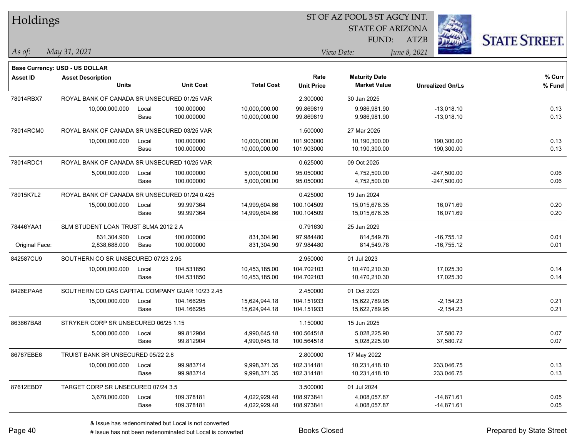| Holdings       |                                                 |       |                  |                   | 51 OF AZ POOL 3 51 AGCY INT. |                         |                         |                      |  |  |  |  |
|----------------|-------------------------------------------------|-------|------------------|-------------------|------------------------------|-------------------------|-------------------------|----------------------|--|--|--|--|
|                |                                                 |       |                  |                   |                              | <b>STATE OF ARIZONA</b> | i.                      |                      |  |  |  |  |
|                |                                                 |       |                  |                   |                              | FUND:                   | ATZB                    | <b>STATE STREET.</b> |  |  |  |  |
| As of:         | May 31, 2021                                    |       |                  |                   |                              | View Date:              | June 8, 2021            |                      |  |  |  |  |
|                |                                                 |       |                  |                   |                              |                         |                         |                      |  |  |  |  |
|                | <b>Base Currency: USD - US DOLLAR</b>           |       |                  |                   |                              |                         |                         |                      |  |  |  |  |
| Asset ID       | <b>Asset Description</b>                        |       |                  |                   | Rate                         | <b>Maturity Date</b>    |                         | % Curr               |  |  |  |  |
|                | <b>Units</b>                                    |       | <b>Unit Cost</b> | <b>Total Cost</b> | <b>Unit Price</b>            | <b>Market Value</b>     | <b>Unrealized Gn/Ls</b> | % Fund               |  |  |  |  |
| 78014RBX7      | ROYAL BANK OF CANADA SR UNSECURED 01/25 VAR     |       |                  |                   | 2.300000                     | 30 Jan 2025             |                         |                      |  |  |  |  |
|                | 10,000,000.000                                  | Local | 100.000000       | 10,000,000.00     | 99.869819                    | 9,986,981.90            | $-13,018.10$            | 0.13                 |  |  |  |  |
|                |                                                 | Base  | 100.000000       | 10,000,000.00     | 99.869819                    | 9,986,981.90            | $-13,018.10$            | 0.13                 |  |  |  |  |
| 78014RCM0      | ROYAL BANK OF CANADA SR UNSECURED 03/25 VAR     |       |                  |                   | 1.500000                     | 27 Mar 2025             |                         |                      |  |  |  |  |
|                | 10,000,000.000                                  | Local | 100.000000       | 10,000,000.00     | 101.903000                   | 10,190,300.00           | 190,300.00              | 0.13                 |  |  |  |  |
|                |                                                 | Base  | 100.000000       | 10,000,000.00     | 101.903000                   | 10,190,300.00           | 190,300.00              | 0.13                 |  |  |  |  |
| 78014RDC1      | ROYAL BANK OF CANADA SR UNSECURED 10/25 VAR     |       |                  |                   | 0.625000                     | 09 Oct 2025             |                         |                      |  |  |  |  |
|                | 5,000,000.000                                   | Local | 100.000000       | 5,000,000.00      | 95.050000                    | 4,752,500.00            | $-247,500.00$           | 0.06                 |  |  |  |  |
|                |                                                 | Base  | 100.000000       | 5,000,000.00      | 95.050000                    | 4,752,500.00            | $-247,500.00$           | 0.06                 |  |  |  |  |
| 78015K7L2      | ROYAL BANK OF CANADA SR UNSECURED 01/24 0.425   |       |                  |                   | 0.425000                     | 19 Jan 2024             |                         |                      |  |  |  |  |
|                | 15,000,000.000                                  | Local | 99.997364        | 14,999,604.66     | 100.104509                   | 15,015,676.35           | 16,071.69               | 0.20                 |  |  |  |  |
|                |                                                 | Base  | 99.997364        | 14,999,604.66     | 100.104509                   | 15,015,676.35           | 16,071.69               | 0.20                 |  |  |  |  |
| 78446YAA1      | SLM STUDENT LOAN TRUST SLMA 2012 2 A            |       |                  |                   | 0.791630                     | 25 Jan 2029             |                         |                      |  |  |  |  |
|                | 831,304.900                                     | Local | 100.000000       | 831,304.90        | 97.984480                    | 814,549.78              | $-16,755.12$            | 0.01                 |  |  |  |  |
| Original Face: | 2,838,688.000                                   | Base  | 100.000000       | 831,304.90        | 97.984480                    | 814,549.78              | $-16,755.12$            | 0.01                 |  |  |  |  |
| 842587CU9      | SOUTHERN CO SR UNSECURED 07/23 2.95             |       |                  |                   | 2.950000                     | 01 Jul 2023             |                         |                      |  |  |  |  |
|                | 10,000,000.000                                  | Local | 104.531850       | 10,453,185.00     | 104.702103                   | 10,470,210.30           | 17,025.30               | 0.14                 |  |  |  |  |
|                |                                                 | Base  | 104.531850       | 10,453,185.00     | 104.702103                   | 10,470,210.30           | 17,025.30               | 0.14                 |  |  |  |  |
| 8426EPAA6      | SOUTHERN CO GAS CAPITAL COMPANY GUAR 10/23 2.45 |       |                  |                   | 2.450000                     | 01 Oct 2023             |                         |                      |  |  |  |  |
|                | 15,000,000.000                                  | Local | 104.166295       | 15,624,944.18     | 104.151933                   | 15,622,789.95           | $-2,154.23$             | 0.21                 |  |  |  |  |
|                |                                                 | Base  | 104.166295       | 15,624,944.18     | 104.151933                   | 15,622,789.95           | $-2,154.23$             | 0.21                 |  |  |  |  |
| 863667BA8      | STRYKER CORP SR UNSECURED 06/25 1.15            |       |                  |                   | 1.150000                     | 15 Jun 2025             |                         |                      |  |  |  |  |
|                | 5,000,000.000                                   | Local | 99.812904        | 4,990,645.18      | 100.564518                   | 5,028,225.90            | 37,580.72               | 0.07                 |  |  |  |  |
|                |                                                 | Base  | 99.812904        | 4,990,645.18      | 100.564518                   | 5,028,225.90            | 37,580.72               | 0.07                 |  |  |  |  |
| 86787EBE6      | TRUIST BANK SR UNSECURED 05/22 2.8              |       |                  |                   | 2.800000                     | 17 May 2022             |                         |                      |  |  |  |  |
|                | 10,000,000.000                                  | Local | 99.983714        | 9,998,371.35      | 102.314181                   | 10,231,418.10           | 233,046.75              | 0.13                 |  |  |  |  |
|                |                                                 | Base  | 99.983714        | 9,998,371.35      | 102.314181                   | 10,231,418.10           | 233,046.75              | 0.13                 |  |  |  |  |
| 87612EBD7      | TARGET CORP SR UNSECURED 07/24 3.5              |       |                  |                   | 3.500000                     | 01 Jul 2024             |                         |                      |  |  |  |  |
|                | 3,678,000.000                                   | Local | 109.378181       | 4,022,929.48      | 108.973841                   | 4,008,057.87            | $-14,871.61$            | 0.05                 |  |  |  |  |
|                |                                                 | Base  | 109.378181       | 4,022,929.48      | 108.973841                   | 4,008,057.87            | $-14,871.61$            | 0.05                 |  |  |  |  |
|                |                                                 |       |                  |                   |                              |                         |                         |                      |  |  |  |  |

ST OF A Z POOL 2 ST ACCV INT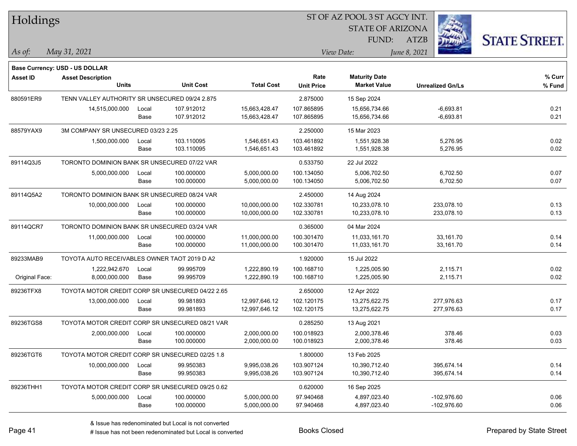| Holdings        |                                                  |       |                  |                   |                   | ST OF AZ POOL 3 ST AGCY INT. |                         |                      |
|-----------------|--------------------------------------------------|-------|------------------|-------------------|-------------------|------------------------------|-------------------------|----------------------|
|                 |                                                  |       |                  |                   |                   | <b>STATE OF ARIZONA</b>      |                         |                      |
|                 |                                                  |       |                  |                   |                   | <b>FUND:</b>                 | <b>ATZB</b>             | <b>STATE STREET.</b> |
| As of:          | May 31, 2021                                     |       |                  |                   |                   | View Date:                   | June 8, 2021            |                      |
|                 | <b>Base Currency: USD - US DOLLAR</b>            |       |                  |                   |                   |                              |                         |                      |
| <b>Asset ID</b> | <b>Asset Description</b>                         |       |                  |                   | Rate              | <b>Maturity Date</b>         |                         | % Curr               |
|                 | <b>Units</b>                                     |       | <b>Unit Cost</b> | <b>Total Cost</b> | <b>Unit Price</b> | <b>Market Value</b>          | <b>Unrealized Gn/Ls</b> | % Fund               |
| 880591ER9       | TENN VALLEY AUTHORITY SR UNSECURED 09/24 2.875   |       |                  |                   | 2.875000          | 15 Sep 2024                  |                         |                      |
|                 | 14,515,000.000                                   | Local | 107.912012       | 15,663,428.47     | 107.865895        | 15,656,734.66                | $-6,693.81$             | 0.21                 |
|                 |                                                  | Base  | 107.912012       | 15,663,428.47     | 107.865895        | 15,656,734.66                | $-6,693.81$             | 0.21                 |
| 88579YAX9       | 3M COMPANY SR UNSECURED 03/23 2.25               |       |                  |                   | 2.250000          | 15 Mar 2023                  |                         |                      |
|                 | 1,500,000.000                                    | Local | 103.110095       | 1,546,651.43      | 103.461892        | 1,551,928.38                 | 5,276.95                | 0.02                 |
|                 |                                                  | Base  | 103.110095       | 1,546,651.43      | 103.461892        | 1,551,928.38                 | 5,276.95                | 0.02                 |
| 89114Q3J5       | TORONTO DOMINION BANK SR UNSECURED 07/22 VAR     |       |                  |                   | 0.533750          | 22 Jul 2022                  |                         |                      |
|                 | 5,000,000.000                                    | Local | 100.000000       | 5,000,000.00      | 100.134050        | 5,006,702.50                 | 6,702.50                | 0.07                 |
|                 |                                                  | Base  | 100.000000       | 5,000,000.00      | 100.134050        | 5,006,702.50                 | 6,702.50                | 0.07                 |
| 89114Q5A2       | TORONTO DOMINION BANK SR UNSECURED 08/24 VAR     |       |                  |                   | 2.450000          | 14 Aug 2024                  |                         |                      |
|                 | 10,000,000.000                                   | Local | 100.000000       | 10,000,000.00     | 102.330781        | 10,233,078.10                | 233,078.10              | 0.13                 |
|                 |                                                  | Base  | 100.000000       | 10,000,000.00     | 102.330781        | 10,233,078.10                | 233,078.10              | 0.13                 |
| 89114QCR7       | TORONTO DOMINION BANK SR UNSECURED 03/24 VAR     |       |                  |                   | 0.365000          | 04 Mar 2024                  |                         |                      |
|                 | 11,000,000.000                                   | Local | 100.000000       | 11,000,000.00     | 100.301470        | 11,033,161.70                | 33,161.70               | 0.14                 |
|                 |                                                  | Base  | 100.000000       | 11,000,000.00     | 100.301470        | 11,033,161.70                | 33,161.70               | 0.14                 |
| 89233MAB9       | TOYOTA AUTO RECEIVABLES OWNER TAOT 2019 D A2     |       |                  |                   | 1.920000          | 15 Jul 2022                  |                         |                      |
|                 | 1,222,942.670                                    | Local | 99.995709        | 1,222,890.19      | 100.168710        | 1,225,005.90                 | 2,115.71                | 0.02                 |
| Original Face:  | 8,000,000.000                                    | Base  | 99.995709        | 1,222,890.19      | 100.168710        | 1,225,005.90                 | 2,115.71                | 0.02                 |
| 89236TFX8       | TOYOTA MOTOR CREDIT CORP SR UNSECURED 04/22 2.65 |       |                  |                   | 2.650000          | 12 Apr 2022                  |                         |                      |
|                 | 13,000,000.000                                   | Local | 99.981893        | 12,997,646.12     | 102.120175        | 13,275,622.75                | 277,976.63              | 0.17                 |
|                 |                                                  | Base  | 99.981893        | 12,997,646.12     | 102.120175        | 13,275,622.75                | 277,976.63              | 0.17                 |
| 89236TGS8       | TOYOTA MOTOR CREDIT CORP SR UNSECURED 08/21 VAR  |       |                  |                   | 0.285250          | 13 Aug 2021                  |                         |                      |
|                 | 2,000,000.000                                    | Local | 100.000000       | 2,000,000.00      | 100.018923        | 2,000,378.46                 | 378.46                  | 0.03                 |
|                 |                                                  | Base  | 100.000000       | 2,000,000.00      | 100.018923        | 2,000,378.46                 | 378.46                  | 0.03                 |
| 89236TGT6       | TOYOTA MOTOR CREDIT CORP SR UNSECURED 02/25 1.8  |       |                  |                   | 1.800000          | 13 Feb 2025                  |                         |                      |
|                 | 10,000,000.000                                   | Local | 99.950383        | 9,995,038.26      | 103.907124        | 10,390,712.40                | 395,674.14              | 0.14                 |
|                 |                                                  | Base  | 99.950383        | 9,995,038.26      | 103.907124        | 10,390,712.40                | 395,674.14              | 0.14                 |
| 89236THH1       | TOYOTA MOTOR CREDIT CORP SR UNSECURED 09/25 0.62 |       |                  |                   | 0.620000          | 16 Sep 2025                  |                         |                      |
|                 | 5,000,000.000                                    | Local | 100.000000       | 5,000,000.00      | 97.940468         | 4,897,023.40                 | $-102,976.60$           | 0.06                 |
|                 |                                                  | Base  | 100.000000       | 5,000,000.00      | 97.940468         | 4,897,023.40                 | $-102,976.60$           | 0.06                 |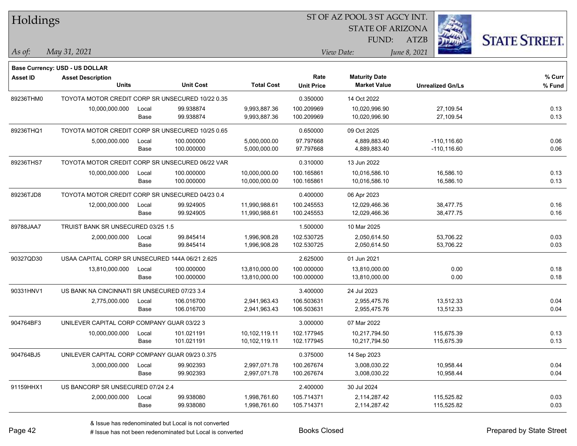| Holdings        |                                                  |       |                  |                   | 51 OF AZ POOL 3 51 AGCY INT. |                         |                         |                      |  |  |  |
|-----------------|--------------------------------------------------|-------|------------------|-------------------|------------------------------|-------------------------|-------------------------|----------------------|--|--|--|
|                 |                                                  |       |                  |                   |                              | <b>STATE OF ARIZONA</b> |                         |                      |  |  |  |
|                 |                                                  |       |                  |                   |                              | FUND:                   | <b>ATZB</b>             | <b>STATE STREET.</b> |  |  |  |
| $As$ of:        | May 31, 2021                                     |       |                  |                   |                              | View Date:              | June 8, 2021            |                      |  |  |  |
|                 |                                                  |       |                  |                   |                              |                         |                         |                      |  |  |  |
|                 | Base Currency: USD - US DOLLAR                   |       |                  |                   |                              |                         |                         |                      |  |  |  |
| <b>Asset ID</b> | <b>Asset Description</b>                         |       |                  |                   | Rate                         | <b>Maturity Date</b>    |                         | % Curr               |  |  |  |
|                 | <b>Units</b>                                     |       | <b>Unit Cost</b> | <b>Total Cost</b> | <b>Unit Price</b>            | <b>Market Value</b>     | <b>Unrealized Gn/Ls</b> | % Fund               |  |  |  |
| 89236THM0       | TOYOTA MOTOR CREDIT CORP SR UNSECURED 10/22 0.35 |       |                  |                   | 0.350000                     | 14 Oct 2022             |                         |                      |  |  |  |
|                 | 10,000,000.000                                   | Local | 99.938874        | 9,993,887.36      | 100.209969                   | 10,020,996.90           | 27,109.54               | 0.13                 |  |  |  |
|                 |                                                  | Base  | 99.938874        | 9,993,887.36      | 100.209969                   | 10,020,996.90           | 27,109.54               | 0.13                 |  |  |  |
| 89236THQ1       | TOYOTA MOTOR CREDIT CORP SR UNSECURED 10/25 0.65 |       |                  |                   | 0.650000                     | 09 Oct 2025             |                         |                      |  |  |  |
|                 | 5,000,000.000                                    | Local | 100.000000       | 5,000,000.00      | 97.797668                    | 4,889,883.40            | $-110, 116.60$          | 0.06                 |  |  |  |
|                 |                                                  | Base  | 100.000000       | 5,000,000.00      | 97.797668                    | 4,889,883.40            | $-110, 116.60$          | 0.06                 |  |  |  |
| 89236THS7       | TOYOTA MOTOR CREDIT CORP SR UNSECURED 06/22 VAR  |       |                  |                   | 0.310000                     | 13 Jun 2022             |                         |                      |  |  |  |
|                 | 10,000,000.000                                   | Local | 100.000000       | 10,000,000.00     | 100.165861                   | 10,016,586.10           | 16,586.10               | 0.13                 |  |  |  |
|                 |                                                  | Base  | 100.000000       | 10,000,000.00     | 100.165861                   | 10,016,586.10           | 16,586.10               | 0.13                 |  |  |  |
| 89236TJD8       | TOYOTA MOTOR CREDIT CORP SR UNSECURED 04/23 0.4  |       |                  |                   | 0.400000                     | 06 Apr 2023             |                         |                      |  |  |  |
|                 | 12,000,000.000                                   | Local | 99.924905        | 11,990,988.61     | 100.245553                   | 12,029,466.36           | 38,477.75               | 0.16                 |  |  |  |
|                 |                                                  | Base  | 99.924905        | 11,990,988.61     | 100.245553                   | 12,029,466.36           | 38,477.75               | 0.16                 |  |  |  |
| 89788JAA7       | TRUIST BANK SR UNSECURED 03/25 1.5               |       |                  |                   | 1.500000                     | 10 Mar 2025             |                         |                      |  |  |  |
|                 | 2,000,000.000                                    | Local | 99.845414        | 1,996,908.28      | 102.530725                   | 2,050,614.50            | 53,706.22               | 0.03                 |  |  |  |
|                 |                                                  | Base  | 99.845414        | 1,996,908.28      | 102.530725                   | 2,050,614.50            | 53,706.22               | 0.03                 |  |  |  |
| 90327QD30       | USAA CAPITAL CORP SR UNSECURED 144A 06/21 2.625  |       |                  |                   | 2.625000                     | 01 Jun 2021             |                         |                      |  |  |  |
|                 | 13,810,000.000                                   | Local | 100.000000       | 13,810,000.00     | 100.000000                   | 13,810,000.00           | 0.00                    | 0.18                 |  |  |  |
|                 |                                                  | Base  | 100.000000       | 13,810,000.00     | 100.000000                   | 13,810,000.00           | 0.00                    | 0.18                 |  |  |  |
| 90331HNV1       | US BANK NA CINCINNATI SR UNSECURED 07/23 3.4     |       |                  |                   | 3.400000                     | 24 Jul 2023             |                         |                      |  |  |  |
|                 | 2,775,000.000                                    | Local | 106.016700       | 2,941,963.43      | 106.503631                   | 2,955,475.76            | 13,512.33               | 0.04                 |  |  |  |
|                 |                                                  | Base  | 106.016700       | 2,941,963.43      | 106.503631                   | 2,955,475.76            | 13,512.33               | 0.04                 |  |  |  |
| 904764BF3       | UNILEVER CAPITAL CORP COMPANY GUAR 03/22 3       |       |                  |                   | 3.000000                     | 07 Mar 2022             |                         |                      |  |  |  |
|                 | 10,000,000.000                                   | Local | 101.021191       | 10,102,119.11     | 102.177945                   | 10,217,794.50           | 115,675.39              | 0.13                 |  |  |  |
|                 |                                                  | Base  | 101.021191       | 10,102,119.11     | 102.177945                   | 10.217.794.50           | 115,675.39              | 0.13                 |  |  |  |
| 904764BJ5       | UNILEVER CAPITAL CORP COMPANY GUAR 09/23 0.375   |       |                  |                   | 0.375000                     | 14 Sep 2023             |                         |                      |  |  |  |
|                 | 3,000,000.000                                    | Local | 99.902393        | 2,997,071.78      | 100.267674                   | 3,008,030.22            | 10,958.44               | 0.04                 |  |  |  |
|                 |                                                  | Base  | 99.902393        | 2,997,071.78      | 100.267674                   | 3,008,030.22            | 10,958.44               | 0.04                 |  |  |  |
| 91159HHX1       | US BANCORP SR UNSECURED 07/24 2.4                |       |                  |                   | 2.400000                     | 30 Jul 2024             |                         |                      |  |  |  |
|                 | 2,000,000.000                                    | Local | 99.938080        | 1,998,761.60      | 105.714371                   | 2,114,287.42            | 115,525.82              | 0.03                 |  |  |  |
|                 |                                                  | Base  | 99.938080        | 1,998,761.60      | 105.714371                   | 2,114,287.42            | 115,525.82              | 0.03                 |  |  |  |

 $STOTAT$   $17 DOOT$  3  $ST A GOX$  INT.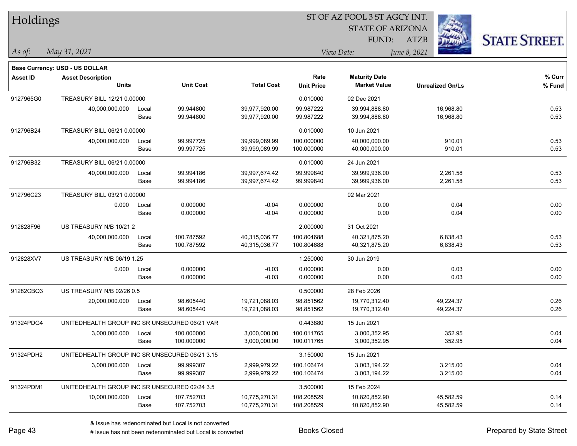| Holdings        |                                                |       |                  | ST OF AZ POOL 3 ST AGCY INT. |                   |                         |                         |                      |  |  |  |
|-----------------|------------------------------------------------|-------|------------------|------------------------------|-------------------|-------------------------|-------------------------|----------------------|--|--|--|
|                 |                                                |       |                  |                              |                   | <b>STATE OF ARIZONA</b> |                         |                      |  |  |  |
|                 |                                                |       |                  |                              |                   | FUND:                   | <b>ATZB</b>             | <b>STATE STREET.</b> |  |  |  |
| As of:          | May 31, 2021                                   |       |                  |                              |                   | View Date:              | June 8, 2021            |                      |  |  |  |
|                 | <b>Base Currency: USD - US DOLLAR</b>          |       |                  |                              |                   |                         |                         |                      |  |  |  |
| <b>Asset ID</b> | <b>Asset Description</b>                       |       |                  |                              | Rate              | <b>Maturity Date</b>    |                         | % Curr               |  |  |  |
|                 | <b>Units</b>                                   |       | <b>Unit Cost</b> | <b>Total Cost</b>            | <b>Unit Price</b> | <b>Market Value</b>     | <b>Unrealized Gn/Ls</b> | % Fund               |  |  |  |
| 9127965G0       | TREASURY BILL 12/21 0.00000                    |       |                  |                              | 0.010000          | 02 Dec 2021             |                         |                      |  |  |  |
|                 | 40,000,000.000                                 | Local | 99.944800        | 39,977,920.00                | 99.987222         | 39,994,888.80           | 16,968.80               | 0.53                 |  |  |  |
|                 |                                                | Base  | 99.944800        | 39,977,920.00                | 99.987222         | 39,994,888.80           | 16,968.80               | 0.53                 |  |  |  |
| 912796B24       | TREASURY BILL 06/21 0.00000                    |       |                  |                              | 0.010000          | 10 Jun 2021             |                         |                      |  |  |  |
|                 | 40,000,000.000                                 | Local | 99.997725        | 39,999,089.99                | 100.000000        | 40,000,000.00           | 910.01                  | 0.53                 |  |  |  |
|                 |                                                | Base  | 99.997725        | 39,999,089.99                | 100.000000        | 40,000,000.00           | 910.01                  | 0.53                 |  |  |  |
| 912796B32       | TREASURY BILL 06/21 0.00000                    |       |                  |                              | 0.010000          | 24 Jun 2021             |                         |                      |  |  |  |
|                 | 40,000,000.000                                 | Local | 99.994186        | 39,997,674.42                | 99.999840         | 39,999,936.00           | 2,261.58                | 0.53                 |  |  |  |
|                 |                                                | Base  | 99.994186        | 39,997,674.42                | 99.999840         | 39,999,936.00           | 2,261.58                | 0.53                 |  |  |  |
| 912796C23       | TREASURY BILL 03/21 0.00000                    |       |                  |                              |                   | 02 Mar 2021             |                         |                      |  |  |  |
|                 | 0.000                                          | Local | 0.000000         | $-0.04$                      | 0.000000          | 0.00                    | 0.04                    | 0.00                 |  |  |  |
|                 |                                                | Base  | 0.000000         | $-0.04$                      | 0.000000          | 0.00                    | 0.04                    | 0.00                 |  |  |  |
| 912828F96       | US TREASURY N/B 10/21 2                        |       |                  |                              | 2.000000          | 31 Oct 2021             |                         |                      |  |  |  |
|                 | 40,000,000.000                                 | Local | 100.787592       | 40,315,036.77                | 100.804688        | 40,321,875.20           | 6,838.43                | 0.53                 |  |  |  |
|                 |                                                | Base  | 100.787592       | 40,315,036.77                | 100.804688        | 40,321,875.20           | 6,838.43                | 0.53                 |  |  |  |
| 912828XV7       | US TREASURY N/B 06/19 1.25                     |       |                  |                              | 1.250000          | 30 Jun 2019             |                         |                      |  |  |  |
|                 | 0.000                                          | Local | 0.000000         | $-0.03$                      | 0.000000          | 0.00                    | 0.03                    | 0.00                 |  |  |  |
|                 |                                                | Base  | 0.000000         | $-0.03$                      | 0.000000          | 0.00                    | 0.03                    | 0.00                 |  |  |  |
| 91282CBQ3       | US TREASURY N/B 02/26 0.5                      |       |                  |                              | 0.500000          | 28 Feb 2026             |                         |                      |  |  |  |
|                 | 20,000,000.000                                 | Local | 98.605440        | 19,721,088.03                | 98.851562         | 19,770,312.40           | 49,224.37               | 0.26                 |  |  |  |
|                 |                                                | Base  | 98.605440        | 19,721,088.03                | 98.851562         | 19,770,312.40           | 49,224.37               | 0.26                 |  |  |  |
| 91324PDG4       | UNITEDHEALTH GROUP INC SR UNSECURED 06/21 VAR  |       |                  |                              | 0.443880          | 15 Jun 2021             |                         |                      |  |  |  |
|                 | 3,000,000.000                                  | Local | 100.000000       | 3,000,000.00                 | 100.011765        | 3,000,352.95            | 352.95                  | 0.04                 |  |  |  |
|                 |                                                | Base  | 100.000000       | 3,000,000.00                 | 100.011765        | 3,000,352.95            | 352.95                  | 0.04                 |  |  |  |
| 91324PDH2       | UNITEDHEALTH GROUP INC SR UNSECURED 06/21 3.15 |       |                  |                              | 3.150000          | 15 Jun 2021             |                         |                      |  |  |  |
|                 | 3,000,000.000                                  | Local | 99.999307        | 2,999,979.22                 | 100.106474        | 3,003,194.22            | 3,215.00                | 0.04                 |  |  |  |
|                 |                                                | Base  | 99.999307        | 2,999,979.22                 | 100.106474        | 3,003,194.22            | 3,215.00                | 0.04                 |  |  |  |
| 91324PDM1       | UNITEDHEALTH GROUP INC SR UNSECURED 02/24 3.5  |       |                  |                              | 3.500000          | 15 Feb 2024             |                         |                      |  |  |  |
|                 | 10,000,000.000                                 | Local | 107.752703       | 10,775,270.31                | 108.208529        | 10,820,852.90           | 45,582.59               | 0.14                 |  |  |  |
|                 |                                                | Base  | 107.752703       | 10,775,270.31                | 108.208529        | 10,820,852.90           | 45,582.59               | 0.14                 |  |  |  |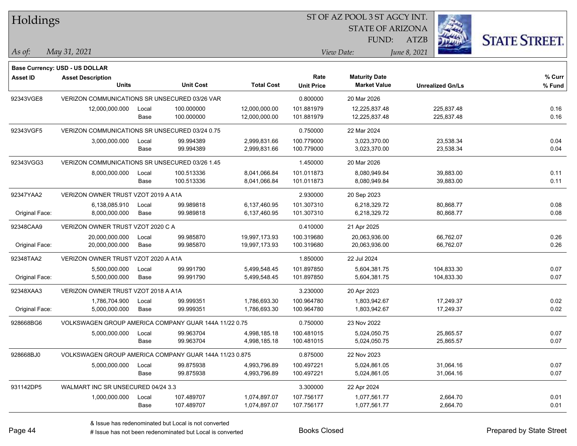| Holdings        |                                                        |       |                  |                   | ST OF AZ POOL 3 ST AGCY INT. |                         |                         |                      |
|-----------------|--------------------------------------------------------|-------|------------------|-------------------|------------------------------|-------------------------|-------------------------|----------------------|
|                 |                                                        |       |                  |                   |                              | <b>STATE OF ARIZONA</b> |                         |                      |
|                 |                                                        |       |                  |                   |                              | FUND:                   | <b>ATZB</b>             | <b>STATE STREET.</b> |
| $ $ As of:      | May 31, 2021                                           |       |                  |                   | View Date:                   |                         | June 8, 2021            |                      |
|                 | <b>Base Currency: USD - US DOLLAR</b>                  |       |                  |                   |                              |                         |                         |                      |
| <b>Asset ID</b> | <b>Asset Description</b>                               |       |                  |                   | Rate                         | <b>Maturity Date</b>    |                         | % Curr               |
|                 | <b>Units</b>                                           |       | <b>Unit Cost</b> | <b>Total Cost</b> | <b>Unit Price</b>            | <b>Market Value</b>     | <b>Unrealized Gn/Ls</b> | % Fund               |
| 92343VGE8       | VERIZON COMMUNICATIONS SR UNSECURED 03/26 VAR          |       |                  |                   | 0.800000                     | 20 Mar 2026             |                         |                      |
|                 | 12,000,000.000                                         | Local | 100.000000       | 12,000,000.00     | 101.881979                   | 12,225,837.48           | 225,837.48              | 0.16                 |
|                 |                                                        | Base  | 100.000000       | 12,000,000.00     | 101.881979                   | 12,225,837.48           | 225,837.48              | 0.16                 |
| 92343VGF5       | VERIZON COMMUNICATIONS SR UNSECURED 03/24 0.75         |       |                  |                   | 0.750000                     | 22 Mar 2024             |                         |                      |
|                 | 3,000,000.000                                          | Local | 99.994389        | 2,999,831.66      | 100.779000                   | 3,023,370.00            | 23,538.34               | 0.04                 |
|                 |                                                        | Base  | 99.994389        | 2,999,831.66      | 100.779000                   | 3,023,370.00            | 23,538.34               | 0.04                 |
| 92343VGG3       | VERIZON COMMUNICATIONS SR UNSECURED 03/26 1.45         |       |                  |                   | 1.450000                     | 20 Mar 2026             |                         |                      |
|                 | 8,000,000.000                                          | Local | 100.513336       | 8,041,066.84      | 101.011873                   | 8,080,949.84            | 39,883.00               | 0.11                 |
|                 |                                                        | Base  | 100.513336       | 8,041,066.84      | 101.011873                   | 8,080,949.84            | 39,883.00               | 0.11                 |
| 92347YAA2       | VERIZON OWNER TRUST VZOT 2019 A A1A                    |       |                  |                   | 2.930000                     | 20 Sep 2023             |                         |                      |
|                 | 6,138,085.910                                          | Local | 99.989818        | 6,137,460.95      | 101.307310                   | 6,218,329.72            | 80,868.77               | 0.08                 |
| Original Face:  | 8,000,000.000                                          | Base  | 99.989818        | 6,137,460.95      | 101.307310                   | 6,218,329.72            | 80,868.77               | 0.08                 |
| 92348CAA9       | VERIZON OWNER TRUST VZOT 2020 C A                      |       |                  |                   | 0.410000                     | 21 Apr 2025             |                         |                      |
|                 | 20,000,000.000                                         | Local | 99.985870        | 19,997,173.93     | 100.319680                   | 20,063,936.00           | 66,762.07               | 0.26                 |
| Original Face:  | 20,000,000.000                                         | Base  | 99.985870        | 19,997,173.93     | 100.319680                   | 20,063,936.00           | 66,762.07               | 0.26                 |
| 92348TAA2       | VERIZON OWNER TRUST VZOT 2020 A A1A                    |       |                  |                   | 1.850000                     | 22 Jul 2024             |                         |                      |
|                 | 5,500,000.000                                          | Local | 99.991790        | 5,499,548.45      | 101.897850                   | 5,604,381.75            | 104,833.30              | 0.07                 |
| Original Face:  | 5,500,000.000                                          | Base  | 99.991790        | 5,499,548.45      | 101.897850                   | 5,604,381.75            | 104,833.30              | 0.07                 |
| 92348XAA3       | VERIZON OWNER TRUST VZOT 2018 A A1A                    |       |                  |                   | 3.230000                     | 20 Apr 2023             |                         |                      |
|                 | 1,786,704.900                                          | Local | 99.999351        | 1,786,693.30      | 100.964780                   | 1,803,942.67            | 17,249.37               | 0.02                 |
| Original Face:  | 5,000,000.000                                          | Base  | 99.999351        | 1,786,693.30      | 100.964780                   | 1,803,942.67            | 17,249.37               | 0.02                 |
| 928668BG6       | VOLKSWAGEN GROUP AMERICA COMPANY GUAR 144A 11/22 0.75  |       |                  |                   | 0.750000                     | 23 Nov 2022             |                         |                      |
|                 | 5,000,000.000                                          | Local | 99.963704        | 4,998,185.18      | 100.481015                   | 5,024,050.75            | 25,865.57               | 0.07                 |
|                 |                                                        | Base  | 99.963704        | 4,998,185.18      | 100.481015                   | 5,024,050.75            | 25,865.57               | 0.07                 |
| 928668BJ0       | VOLKSWAGEN GROUP AMERICA COMPANY GUAR 144A 11/23 0.875 |       |                  |                   | 0.875000                     | 22 Nov 2023             |                         |                      |
|                 | 5,000,000.000                                          | Local | 99.875938        | 4,993,796.89      | 100.497221                   | 5,024,861.05            | 31,064.16               | 0.07                 |
|                 |                                                        | Base  | 99.875938        | 4,993,796.89      | 100.497221                   | 5,024,861.05            | 31,064.16               | 0.07                 |
| 931142DP5       | WALMART INC SR UNSECURED 04/24 3.3                     |       |                  |                   | 3.300000                     | 22 Apr 2024             |                         |                      |
|                 | 1,000,000.000                                          | Local | 107.489707       | 1,074,897.07      | 107.756177                   | 1,077,561.77            | 2,664.70                | 0.01                 |
|                 |                                                        | Base  | 107.489707       | 1,074,897.07      | 107.756177                   | 1,077,561.77            | 2,664.70                | 0.01                 |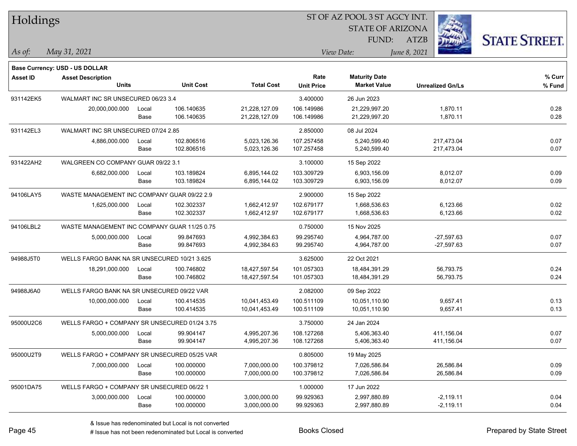| Holdings        |                                               |       |                  |                   |                   | ST OF AZ POOL 3 ST AGCY INT.                |                         |                      |
|-----------------|-----------------------------------------------|-------|------------------|-------------------|-------------------|---------------------------------------------|-------------------------|----------------------|
|                 |                                               |       |                  |                   |                   | <b>STATE OF ARIZONA</b>                     |                         |                      |
|                 |                                               |       |                  |                   |                   | FUND:                                       | <b>ATZB</b>             | <b>STATE STREET.</b> |
| $ As\;of:$      | May 31, 2021                                  |       |                  |                   |                   | View Date:                                  | June 8, 2021            |                      |
|                 |                                               |       |                  |                   |                   |                                             |                         |                      |
|                 | Base Currency: USD - US DOLLAR                |       |                  |                   | Rate              |                                             |                         | % Curr               |
| <b>Asset ID</b> | <b>Asset Description</b><br><b>Units</b>      |       | <b>Unit Cost</b> | <b>Total Cost</b> | <b>Unit Price</b> | <b>Maturity Date</b><br><b>Market Value</b> | <b>Unrealized Gn/Ls</b> | % Fund               |
| 931142EK5       | WALMART INC SR UNSECURED 06/23 3.4            |       |                  |                   | 3.400000          | 26 Jun 2023                                 |                         |                      |
|                 | 20,000,000.000                                | Local | 106.140635       | 21,228,127.09     | 106.149986        | 21,229,997.20                               | 1,870.11                | 0.28                 |
|                 |                                               | Base  | 106.140635       | 21,228,127.09     | 106.149986        | 21,229,997.20                               | 1,870.11                | 0.28                 |
| 931142EL3       | WALMART INC SR UNSECURED 07/24 2.85           |       |                  |                   | 2.850000          | 08 Jul 2024                                 |                         |                      |
|                 | 4,886,000.000                                 | Local | 102.806516       | 5,023,126.36      | 107.257458        | 5,240,599.40                                | 217,473.04              | 0.07                 |
|                 |                                               | Base  | 102.806516       | 5,023,126.36      | 107.257458        | 5,240,599.40                                | 217,473.04              | 0.07                 |
| 931422AH2       | WALGREEN CO COMPANY GUAR 09/22 3.1            |       |                  |                   | 3.100000          | 15 Sep 2022                                 |                         |                      |
|                 | 6,682,000.000                                 | Local | 103.189824       | 6,895,144.02      | 103.309729        | 6,903,156.09                                | 8,012.07                | 0.09                 |
|                 |                                               | Base  | 103.189824       | 6,895,144.02      | 103.309729        | 6,903,156.09                                | 8,012.07                | 0.09                 |
| 94106LAY5       | WASTE MANAGEMENT INC COMPANY GUAR 09/22 2.9   |       |                  |                   | 2.900000          | 15 Sep 2022                                 |                         |                      |
|                 | 1,625,000.000                                 | Local | 102.302337       | 1,662,412.97      | 102.679177        | 1.668.536.63                                | 6,123.66                | 0.02                 |
|                 |                                               | Base  | 102.302337       | 1,662,412.97      | 102.679177        | 1,668,536.63                                | 6,123.66                | 0.02                 |
| 94106LBL2       | WASTE MANAGEMENT INC COMPANY GUAR 11/25 0.75  |       |                  |                   | 0.750000          | 15 Nov 2025                                 |                         |                      |
|                 | 5,000,000.000                                 | Local | 99.847693        | 4,992,384.63      | 99.295740         | 4,964,787.00                                | $-27,597.63$            | 0.07                 |
|                 |                                               | Base  | 99.847693        | 4,992,384.63      | 99.295740         | 4,964,787.00                                | $-27,597.63$            | 0.07                 |
| 94988J5T0       | WELLS FARGO BANK NA SR UNSECURED 10/21 3.625  |       |                  |                   | 3.625000          | 22 Oct 2021                                 |                         |                      |
|                 | 18,291,000.000                                | Local | 100.746802       | 18,427,597.54     | 101.057303        | 18,484,391.29                               | 56,793.75               | 0.24                 |
|                 |                                               | Base  | 100.746802       | 18,427,597.54     | 101.057303        | 18,484,391.29                               | 56,793.75               | 0.24                 |
| 94988J6A0       | WELLS FARGO BANK NA SR UNSECURED 09/22 VAR    |       |                  |                   | 2.082000          | 09 Sep 2022                                 |                         |                      |
|                 | 10,000,000.000                                | Local | 100.414535       | 10,041,453.49     | 100.511109        | 10,051,110.90                               | 9,657.41                | 0.13                 |
|                 |                                               | Base  | 100.414535       | 10,041,453.49     | 100.511109        | 10,051,110.90                               | 9,657.41                | 0.13                 |
| 95000U2C6       | WELLS FARGO + COMPANY SR UNSECURED 01/24 3.75 |       |                  |                   | 3.750000          | 24 Jan 2024                                 |                         |                      |
|                 | 5,000,000.000                                 | Local | 99.904147        | 4,995,207.36      | 108.127268        | 5,406,363.40                                | 411,156.04              | 0.07                 |
|                 |                                               | Base  | 99.904147        | 4,995,207.36      | 108.127268        | 5,406,363.40                                | 411,156.04              | 0.07                 |
| 95000U2T9       | WELLS FARGO + COMPANY SR UNSECURED 05/25 VAR  |       |                  |                   | 0.805000          | 19 May 2025                                 |                         |                      |
|                 | 7,000,000.000                                 | Local | 100.000000       | 7,000,000.00      | 100.379812        | 7,026,586.84                                | 26,586.84               | 0.09                 |
|                 |                                               | Base  | 100.000000       | 7,000,000.00      | 100.379812        | 7,026,586.84                                | 26,586.84               | 0.09                 |
| 95001DA75       | WELLS FARGO + COMPANY SR UNSECURED 06/22 1    |       |                  |                   | 1.000000          | 17 Jun 2022                                 |                         |                      |
|                 | 3,000,000.000                                 | Local | 100.000000       | 3,000,000.00      | 99.929363         | 2,997,880.89                                | $-2,119.11$             | 0.04                 |
|                 |                                               | Base  | 100.000000       | 3,000,000.00      | 99.929363         | 2,997,880.89                                | $-2,119.11$             | 0.04                 |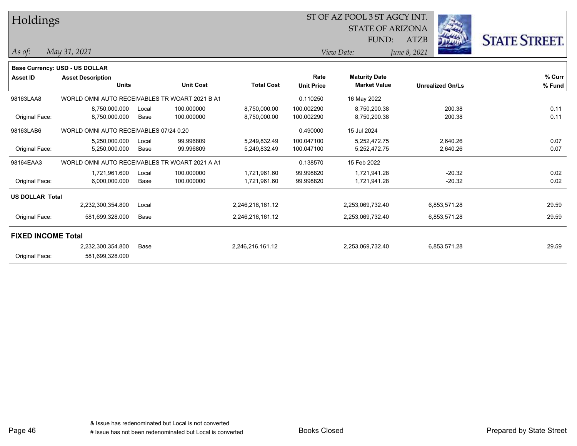| <b>STATE STREET.</b><br>FUND:<br><b>ATZB</b><br>May 31, 2021<br>As of:<br>View Date:<br>June 8, 2021<br><b>Base Currency: USD - US DOLLAR</b><br>% Curr<br>Rate<br><b>Maturity Date</b><br><b>Asset ID</b><br><b>Asset Description</b><br><b>Unit Cost</b><br><b>Total Cost</b><br><b>Market Value</b><br><b>Units</b><br><b>Unit Price</b><br>% Fund<br><b>Unrealized Gn/Ls</b><br>98163LAA8<br>WORLD OMNI AUTO RECEIVABLES TR WOART 2021 B A1<br>0.110250<br>16 May 2022<br>0.11<br>8,750,000.000<br>100.000000<br>8,750,000.00<br>100.002290<br>8,750,200.38<br>200.38<br>Local<br>200.38<br>0.11<br>Original Face:<br>8,750,000.000<br>Base<br>100.000000<br>8,750,000.00<br>100.002290<br>8,750,200.38<br>98163LAB6<br>WORLD OMNI AUTO RECEIVABLES 07/24 0.20<br>0.490000<br>15 Jul 2024<br>99.996809<br>100.047100<br>2,640.26<br>0.07<br>5,250,000.000<br>5,249,832.49<br>5.252.472.75<br>Local<br>0.07<br>Original Face:<br>99.996809<br>2,640.26<br>5,250,000.000<br>Base<br>5,249,832.49<br>100.047100<br>5,252,472.75<br>98164EAA3<br>WORLD OMNI AUTO RECEIVABLES TR WOART 2021 A A1<br>0.138570<br>15 Feb 2022<br>$-20.32$<br>0.02<br>1,721,961.600<br>100.000000<br>1,721,961.60<br>99.998820<br>1,721,941.28<br>Local<br>Original Face:<br>$-20.32$<br>0.02<br>6,000,000.000<br>Base<br>100.000000<br>1,721,961.60<br>99.998820<br>1,721,941.28<br><b>US DOLLAR Total</b><br>29.59<br>2,246,216,161.12<br>6,853,571.28<br>2,232,300,354.800<br>2,253,069,732.40<br>Local<br>Original Face:<br>29.59<br>581,699,328.000<br>Base<br>2,246,216,161.12<br>2,253,069,732.40<br>6,853,571.28<br><b>FIXED INCOME Total</b><br>2,232,300,354.800<br>Base<br>2,246,216,161.12<br>2,253,069,732.40<br>6,853,571.28<br>29.59 | Holdings       |                 |  |  | ST OF AZ POOL 3 ST AGCY INT.<br><b>STATE OF ARIZONA</b> |  |  |  |
|---------------------------------------------------------------------------------------------------------------------------------------------------------------------------------------------------------------------------------------------------------------------------------------------------------------------------------------------------------------------------------------------------------------------------------------------------------------------------------------------------------------------------------------------------------------------------------------------------------------------------------------------------------------------------------------------------------------------------------------------------------------------------------------------------------------------------------------------------------------------------------------------------------------------------------------------------------------------------------------------------------------------------------------------------------------------------------------------------------------------------------------------------------------------------------------------------------------------------------------------------------------------------------------------------------------------------------------------------------------------------------------------------------------------------------------------------------------------------------------------------------------------------------------------------------------------------------------------------------------------------------------------------------------------------------------------------------------------------------|----------------|-----------------|--|--|---------------------------------------------------------|--|--|--|
|                                                                                                                                                                                                                                                                                                                                                                                                                                                                                                                                                                                                                                                                                                                                                                                                                                                                                                                                                                                                                                                                                                                                                                                                                                                                                                                                                                                                                                                                                                                                                                                                                                                                                                                                 |                |                 |  |  |                                                         |  |  |  |
|                                                                                                                                                                                                                                                                                                                                                                                                                                                                                                                                                                                                                                                                                                                                                                                                                                                                                                                                                                                                                                                                                                                                                                                                                                                                                                                                                                                                                                                                                                                                                                                                                                                                                                                                 |                |                 |  |  |                                                         |  |  |  |
|                                                                                                                                                                                                                                                                                                                                                                                                                                                                                                                                                                                                                                                                                                                                                                                                                                                                                                                                                                                                                                                                                                                                                                                                                                                                                                                                                                                                                                                                                                                                                                                                                                                                                                                                 |                |                 |  |  |                                                         |  |  |  |
|                                                                                                                                                                                                                                                                                                                                                                                                                                                                                                                                                                                                                                                                                                                                                                                                                                                                                                                                                                                                                                                                                                                                                                                                                                                                                                                                                                                                                                                                                                                                                                                                                                                                                                                                 |                |                 |  |  |                                                         |  |  |  |
|                                                                                                                                                                                                                                                                                                                                                                                                                                                                                                                                                                                                                                                                                                                                                                                                                                                                                                                                                                                                                                                                                                                                                                                                                                                                                                                                                                                                                                                                                                                                                                                                                                                                                                                                 |                |                 |  |  |                                                         |  |  |  |
|                                                                                                                                                                                                                                                                                                                                                                                                                                                                                                                                                                                                                                                                                                                                                                                                                                                                                                                                                                                                                                                                                                                                                                                                                                                                                                                                                                                                                                                                                                                                                                                                                                                                                                                                 |                |                 |  |  |                                                         |  |  |  |
|                                                                                                                                                                                                                                                                                                                                                                                                                                                                                                                                                                                                                                                                                                                                                                                                                                                                                                                                                                                                                                                                                                                                                                                                                                                                                                                                                                                                                                                                                                                                                                                                                                                                                                                                 |                |                 |  |  |                                                         |  |  |  |
|                                                                                                                                                                                                                                                                                                                                                                                                                                                                                                                                                                                                                                                                                                                                                                                                                                                                                                                                                                                                                                                                                                                                                                                                                                                                                                                                                                                                                                                                                                                                                                                                                                                                                                                                 |                |                 |  |  |                                                         |  |  |  |
|                                                                                                                                                                                                                                                                                                                                                                                                                                                                                                                                                                                                                                                                                                                                                                                                                                                                                                                                                                                                                                                                                                                                                                                                                                                                                                                                                                                                                                                                                                                                                                                                                                                                                                                                 |                |                 |  |  |                                                         |  |  |  |
|                                                                                                                                                                                                                                                                                                                                                                                                                                                                                                                                                                                                                                                                                                                                                                                                                                                                                                                                                                                                                                                                                                                                                                                                                                                                                                                                                                                                                                                                                                                                                                                                                                                                                                                                 |                |                 |  |  |                                                         |  |  |  |
|                                                                                                                                                                                                                                                                                                                                                                                                                                                                                                                                                                                                                                                                                                                                                                                                                                                                                                                                                                                                                                                                                                                                                                                                                                                                                                                                                                                                                                                                                                                                                                                                                                                                                                                                 |                |                 |  |  |                                                         |  |  |  |
|                                                                                                                                                                                                                                                                                                                                                                                                                                                                                                                                                                                                                                                                                                                                                                                                                                                                                                                                                                                                                                                                                                                                                                                                                                                                                                                                                                                                                                                                                                                                                                                                                                                                                                                                 |                |                 |  |  |                                                         |  |  |  |
|                                                                                                                                                                                                                                                                                                                                                                                                                                                                                                                                                                                                                                                                                                                                                                                                                                                                                                                                                                                                                                                                                                                                                                                                                                                                                                                                                                                                                                                                                                                                                                                                                                                                                                                                 |                |                 |  |  |                                                         |  |  |  |
|                                                                                                                                                                                                                                                                                                                                                                                                                                                                                                                                                                                                                                                                                                                                                                                                                                                                                                                                                                                                                                                                                                                                                                                                                                                                                                                                                                                                                                                                                                                                                                                                                                                                                                                                 |                |                 |  |  |                                                         |  |  |  |
|                                                                                                                                                                                                                                                                                                                                                                                                                                                                                                                                                                                                                                                                                                                                                                                                                                                                                                                                                                                                                                                                                                                                                                                                                                                                                                                                                                                                                                                                                                                                                                                                                                                                                                                                 |                |                 |  |  |                                                         |  |  |  |
|                                                                                                                                                                                                                                                                                                                                                                                                                                                                                                                                                                                                                                                                                                                                                                                                                                                                                                                                                                                                                                                                                                                                                                                                                                                                                                                                                                                                                                                                                                                                                                                                                                                                                                                                 |                |                 |  |  |                                                         |  |  |  |
|                                                                                                                                                                                                                                                                                                                                                                                                                                                                                                                                                                                                                                                                                                                                                                                                                                                                                                                                                                                                                                                                                                                                                                                                                                                                                                                                                                                                                                                                                                                                                                                                                                                                                                                                 |                |                 |  |  |                                                         |  |  |  |
|                                                                                                                                                                                                                                                                                                                                                                                                                                                                                                                                                                                                                                                                                                                                                                                                                                                                                                                                                                                                                                                                                                                                                                                                                                                                                                                                                                                                                                                                                                                                                                                                                                                                                                                                 |                |                 |  |  |                                                         |  |  |  |
|                                                                                                                                                                                                                                                                                                                                                                                                                                                                                                                                                                                                                                                                                                                                                                                                                                                                                                                                                                                                                                                                                                                                                                                                                                                                                                                                                                                                                                                                                                                                                                                                                                                                                                                                 |                |                 |  |  |                                                         |  |  |  |
|                                                                                                                                                                                                                                                                                                                                                                                                                                                                                                                                                                                                                                                                                                                                                                                                                                                                                                                                                                                                                                                                                                                                                                                                                                                                                                                                                                                                                                                                                                                                                                                                                                                                                                                                 | Original Face: | 581,699,328.000 |  |  |                                                         |  |  |  |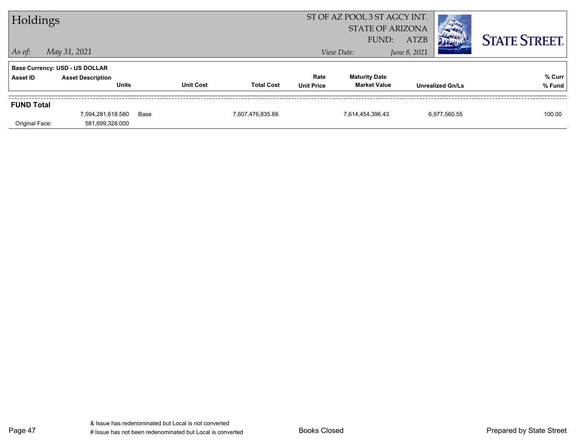| Holdings          |                                |      |                  |                         | ST OF AZ POOL 3 ST AGCY INT. |                      |              |                         |                      |
|-------------------|--------------------------------|------|------------------|-------------------------|------------------------------|----------------------|--------------|-------------------------|----------------------|
|                   |                                |      |                  | <b>STATE OF ARIZONA</b> |                              |                      |              |                         |                      |
|                   |                                |      |                  |                         |                              | FUND:                | <b>ATZB</b>  |                         | <b>STATE STREET.</b> |
| $\vert$ As of:    | May 31, 2021                   |      |                  |                         |                              | View Date:           | June 8, 2021 |                         |                      |
|                   | Base Currency: USD - US DOLLAR |      |                  |                         |                              |                      |              |                         |                      |
| <b>Asset ID</b>   | <b>Asset Description</b>       |      |                  |                         | Rate                         | <b>Maturity Date</b> |              |                         | % Curr               |
|                   | <b>Units</b>                   |      | <b>Unit Cost</b> | <b>Total Cost</b>       | <b>Unit Price</b>            | <b>Market Value</b>  |              | <b>Unrealized Gn/Ls</b> | % Fund               |
| <b>FUND Total</b> |                                |      |                  |                         |                              |                      |              |                         |                      |
|                   | 7,594,281,618.580              | Base |                  | 7,607,476,835.88        |                              | 7,614,454,396.43     |              | 6,977,560.55            | 100.00               |
| Original Face:    | 581,699,328.000                |      |                  |                         |                              |                      |              |                         |                      |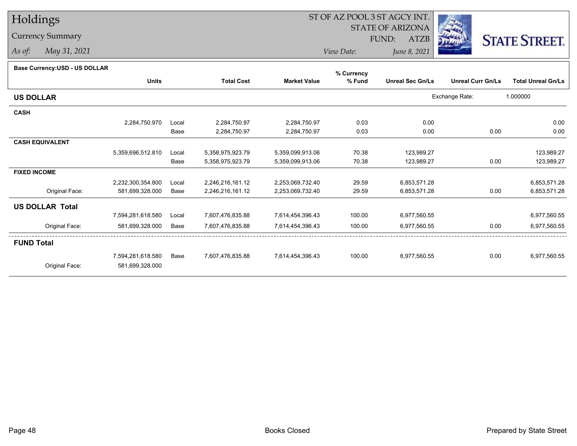## Holdings

Currency Summary

*As of: May 31, 2021*

## ST OF AZ POOL 3 ST AGCY INT.

STATE OF ARIZONA

FUND: ATZB



*View Date:June 8, 2021*

|                        |                   |       |                   |                     | % Currency |                         |                          |                           |
|------------------------|-------------------|-------|-------------------|---------------------|------------|-------------------------|--------------------------|---------------------------|
|                        | <b>Units</b>      |       | <b>Total Cost</b> | <b>Market Value</b> | % Fund     | <b>Unreal Sec Gn/Ls</b> | <b>Unreal Curr Gn/Ls</b> | <b>Total Unreal Gn/Ls</b> |
| <b>US DOLLAR</b>       |                   |       |                   |                     |            |                         | Exchange Rate:           | 1.000000                  |
| <b>CASH</b>            |                   |       |                   |                     |            |                         |                          |                           |
|                        | 2,284,750.970     | Local | 2,284,750.97      | 2,284,750.97        | 0.03       | 0.00                    |                          | 0.00                      |
|                        |                   | Base  | 2,284,750.97      | 2,284,750.97        | 0.03       | 0.00                    | 0.00                     | 0.00                      |
| <b>CASH EQUIVALENT</b> |                   |       |                   |                     |            |                         |                          |                           |
|                        | 5,359,696,512.810 | Local | 5,358,975,923.79  | 5,359,099,913.06    | 70.38      | 123,989.27              |                          | 123,989.27                |
|                        |                   | Base  | 5,358,975,923.79  | 5,359,099,913.06    | 70.38      | 123,989.27              | 0.00                     | 123,989.27                |
| <b>FIXED INCOME</b>    |                   |       |                   |                     |            |                         |                          |                           |
|                        | 2,232,300,354.800 | Local | 2,246,216,161.12  | 2,253,069,732.40    | 29.59      | 6,853,571.28            |                          | 6,853,571.28              |
| Original Face:         | 581,699,328.000   | Base  | 2,246,216,161.12  | 2,253,069,732.40    | 29.59      | 6,853,571.28            | 0.00                     | 6,853,571.28              |
| <b>US DOLLAR Total</b> |                   |       |                   |                     |            |                         |                          |                           |
|                        | 7,594,281,618.580 | Local | 7,607,476,835.88  | 7,614,454,396.43    | 100.00     | 6,977,560.55            |                          | 6,977,560.55              |
| Original Face:         | 581,699,328.000   | Base  | 7,607,476,835.88  | 7,614,454,396.43    | 100.00     | 6,977,560.55            | 0.00                     | 6,977,560.55              |
| <b>FUND Total</b>      |                   |       |                   |                     |            |                         |                          |                           |
|                        | 7,594,281,618.580 | Base  | 7,607,476,835.88  | 7,614,454,396.43    | 100.00     | 6,977,560.55            | 0.00                     | 6,977,560.55              |
| Original Face:         | 581,699,328.000   |       |                   |                     |            |                         |                          |                           |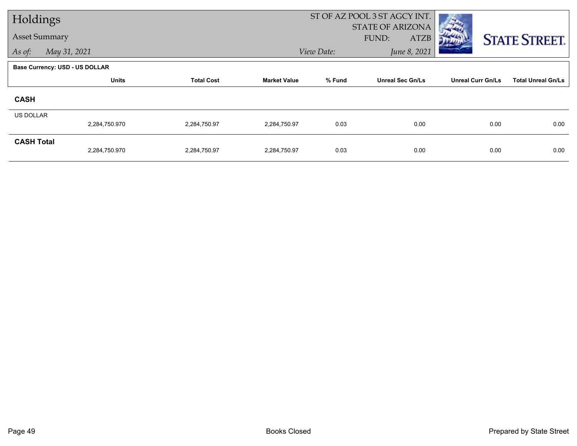| Holdings               |                                       |                   |                                                          |                            | ST OF AZ POOL 3 ST AGCY INT.                    |                           |                      |  |
|------------------------|---------------------------------------|-------------------|----------------------------------------------------------|----------------------------|-------------------------------------------------|---------------------------|----------------------|--|
| <b>Asset Summary</b>   |                                       |                   |                                                          |                            | <b>STATE OF ARIZONA</b><br>FUND:<br><b>ATZB</b> |                           |                      |  |
| May 31, 2021<br>As of: |                                       |                   |                                                          | June 8, 2021<br>View Date: |                                                 |                           | <b>STATE STREET.</b> |  |
|                        |                                       |                   |                                                          |                            |                                                 |                           |                      |  |
|                        | <b>Base Currency: USD - US DOLLAR</b> |                   |                                                          |                            |                                                 |                           |                      |  |
|                        | <b>Units</b>                          | <b>Total Cost</b> | % Fund<br><b>Unreal Sec Gn/Ls</b><br><b>Market Value</b> |                            | <b>Unreal Curr Gn/Ls</b>                        | <b>Total Unreal Gn/Ls</b> |                      |  |
| <b>CASH</b>            |                                       |                   |                                                          |                            |                                                 |                           |                      |  |
| <b>US DOLLAR</b>       |                                       |                   |                                                          |                            |                                                 |                           |                      |  |
|                        | 2,284,750.970                         | 2,284,750.97      | 2,284,750.97                                             | 0.03                       | 0.00                                            | 0.00                      | 0.00                 |  |
| <b>CASH Total</b>      |                                       |                   |                                                          |                            |                                                 |                           |                      |  |
|                        | 2,284,750.970                         | 2,284,750.97      | 2,284,750.97                                             | 0.03                       | 0.00                                            | 0.00                      | 0.00                 |  |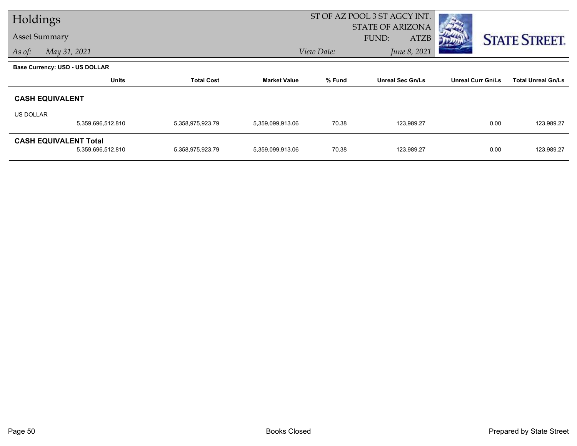| Holdings  |                                |                   |                     | ST OF AZ POOL 3 ST AGCY INT. |                         |                          |                           |
|-----------|--------------------------------|-------------------|---------------------|------------------------------|-------------------------|--------------------------|---------------------------|
|           |                                |                   |                     |                              | <b>STATE OF ARIZONA</b> |                          |                           |
|           | <b>Asset Summary</b>           |                   |                     |                              | <b>ATZB</b><br>FUND:    |                          | <b>STATE STREET.</b>      |
| As of:    | May 31, 2021                   |                   |                     | June 8, 2021<br>View Date:   |                         |                          |                           |
|           | Base Currency: USD - US DOLLAR |                   |                     |                              |                         |                          |                           |
|           | <b>Units</b>                   | <b>Total Cost</b> | <b>Market Value</b> | % Fund                       | <b>Unreal Sec Gn/Ls</b> | <b>Unreal Curr Gn/Ls</b> | <b>Total Unreal Gn/Ls</b> |
|           | <b>CASH EQUIVALENT</b>         |                   |                     |                              |                         |                          |                           |
| US DOLLAR |                                |                   |                     |                              |                         |                          |                           |
|           | 5,359,696,512.810              | 5,358,975,923.79  | 5,359,099,913.06    | 70.38                        | 123,989.27              | 0.00                     | 123,989.27                |
|           | <b>CASH EQUIVALENT Total</b>   |                   |                     |                              |                         |                          |                           |
|           | 5,359,696,512.810              | 5,358,975,923.79  | 5,359,099,913.06    | 70.38                        | 123,989.27              | 0.00                     | 123,989.27                |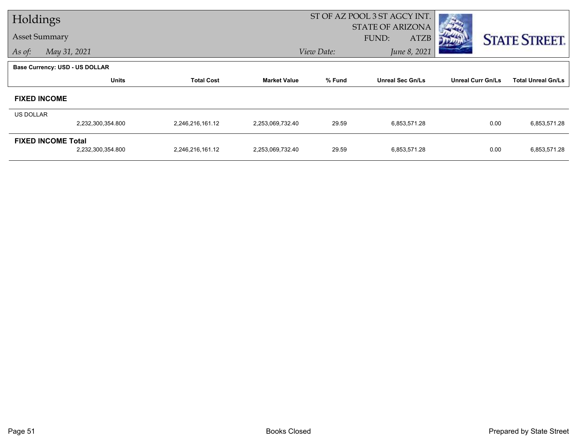| Holdings  |                                       |                   |                     |            | ST OF AZ POOL 3 ST AGCY INT.             |                          |                           |
|-----------|---------------------------------------|-------------------|---------------------|------------|------------------------------------------|--------------------------|---------------------------|
|           | <b>Asset Summary</b>                  |                   |                     |            | <b>STATE OF ARIZONA</b><br>FUND:<br>ATZB |                          |                           |
| As of:    | May 31, 2021                          |                   |                     | View Date: | June 8, 2021                             |                          | <b>STATE STREET.</b>      |
|           |                                       |                   |                     |            |                                          |                          |                           |
|           | <b>Base Currency: USD - US DOLLAR</b> |                   |                     |            |                                          |                          |                           |
|           | <b>Units</b>                          | <b>Total Cost</b> | <b>Market Value</b> | % Fund     | <b>Unreal Sec Gn/Ls</b>                  | <b>Unreal Curr Gn/Ls</b> | <b>Total Unreal Gn/Ls</b> |
|           | <b>FIXED INCOME</b>                   |                   |                     |            |                                          |                          |                           |
| US DOLLAR |                                       |                   |                     |            |                                          |                          |                           |
|           | 2,232,300,354.800                     | 2,246,216,161.12  | 2,253,069,732.40    | 29.59      | 6,853,571.28                             | 0.00                     | 6,853,571.28              |
|           | <b>FIXED INCOME Total</b>             |                   |                     |            |                                          |                          |                           |
|           | 2,232,300,354.800                     | 2,246,216,161.12  | 2,253,069,732.40    | 29.59      | 6,853,571.28                             | 0.00                     | 6,853,571.28              |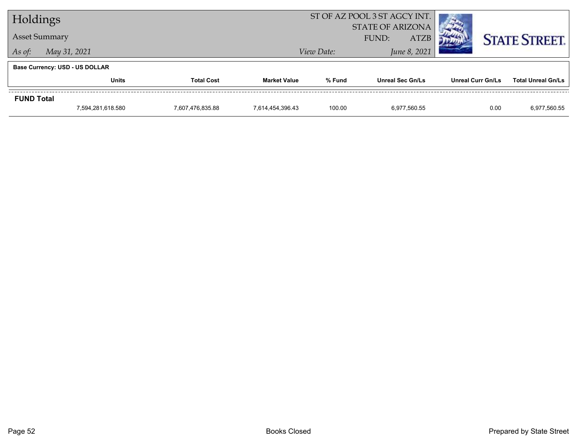| Holdings             |                                       |  |                     | ST OF AZ POOL 3 ST AGCY INT.                    |                         |                   |                           |  |
|----------------------|---------------------------------------|--|---------------------|-------------------------------------------------|-------------------------|-------------------|---------------------------|--|
| <b>Asset Summary</b> |                                       |  |                     | <b>STATE OF ARIZONA</b><br><b>ATZB</b><br>FUND: |                         |                   | <b>STATE STREET.</b>      |  |
| As of:               | May 31, 2021                          |  |                     | View Date:                                      | June 8, 2021            |                   |                           |  |
|                      | <b>Base Currency: USD - US DOLLAR</b> |  |                     |                                                 |                         |                   |                           |  |
|                      | <b>Units</b><br><b>Total Cost</b>     |  | <b>Market Value</b> | % Fund                                          | <b>Unreal Sec Gn/Ls</b> | Unreal Curr Gn/Ls | <b>Total Unreal Gn/Ls</b> |  |
| <b>FUND Total</b>    |                                       |  |                     |                                                 |                         |                   |                           |  |
|                      | 7,594,281,618.580<br>7,607,476,835.88 |  | 7,614,454,396.43    | 100.00                                          | 6,977,560.55            | 0.00              | 6,977,560.55              |  |